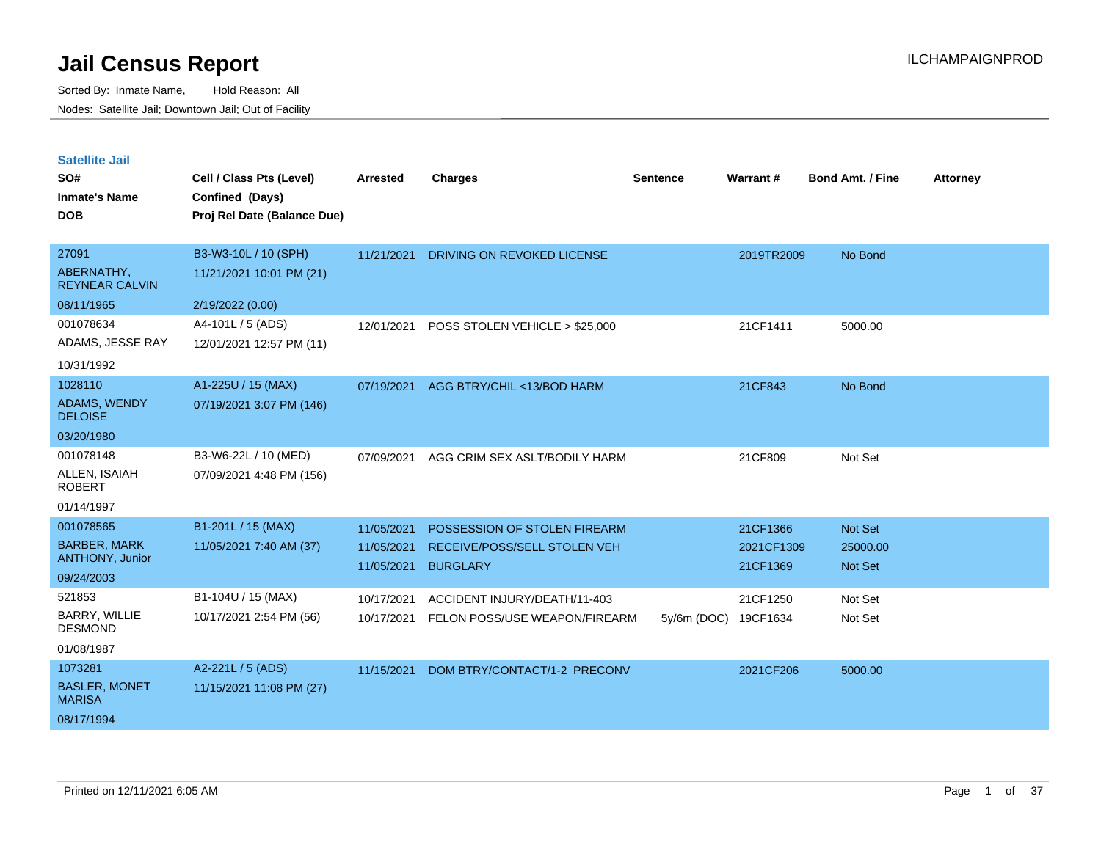| <b>Satellite Jail</b> |  |
|-----------------------|--|
|                       |  |

| SO#<br><b>Inmate's Name</b>           | Cell / Class Pts (Level)<br>Confined (Days) | <b>Arrested</b> | <b>Charges</b>                 | <b>Sentence</b> | Warrant#   | <b>Bond Amt. / Fine</b> | <b>Attorney</b> |
|---------------------------------------|---------------------------------------------|-----------------|--------------------------------|-----------------|------------|-------------------------|-----------------|
| <b>DOB</b>                            | Proj Rel Date (Balance Due)                 |                 |                                |                 |            |                         |                 |
| 27091                                 | B3-W3-10L / 10 (SPH)                        | 11/21/2021      | DRIVING ON REVOKED LICENSE     |                 | 2019TR2009 | No Bond                 |                 |
| ABERNATHY,<br><b>REYNEAR CALVIN</b>   | 11/21/2021 10:01 PM (21)                    |                 |                                |                 |            |                         |                 |
| 08/11/1965                            | 2/19/2022 (0.00)                            |                 |                                |                 |            |                         |                 |
| 001078634                             | A4-101L / 5 (ADS)                           | 12/01/2021      | POSS STOLEN VEHICLE > \$25,000 |                 | 21CF1411   | 5000.00                 |                 |
| ADAMS, JESSE RAY                      | 12/01/2021 12:57 PM (11)                    |                 |                                |                 |            |                         |                 |
| 10/31/1992                            |                                             |                 |                                |                 |            |                         |                 |
| 1028110                               | A1-225U / 15 (MAX)                          | 07/19/2021      | AGG BTRY/CHIL <13/BOD HARM     |                 | 21CF843    | No Bond                 |                 |
| <b>ADAMS, WENDY</b><br><b>DELOISE</b> | 07/19/2021 3:07 PM (146)                    |                 |                                |                 |            |                         |                 |
| 03/20/1980                            |                                             |                 |                                |                 |            |                         |                 |
| 001078148                             | B3-W6-22L / 10 (MED)                        | 07/09/2021      | AGG CRIM SEX ASLT/BODILY HARM  |                 | 21CF809    | Not Set                 |                 |
| ALLEN, ISAIAH<br><b>ROBERT</b>        | 07/09/2021 4:48 PM (156)                    |                 |                                |                 |            |                         |                 |
| 01/14/1997                            |                                             |                 |                                |                 |            |                         |                 |
| 001078565                             | B1-201L / 15 (MAX)                          | 11/05/2021      | POSSESSION OF STOLEN FIREARM   |                 | 21CF1366   | Not Set                 |                 |
| <b>BARBER, MARK</b>                   | 11/05/2021 7:40 AM (37)                     | 11/05/2021      | RECEIVE/POSS/SELL STOLEN VEH   |                 | 2021CF1309 | 25000.00                |                 |
| <b>ANTHONY, Junior</b>                |                                             | 11/05/2021      | <b>BURGLARY</b>                |                 | 21CF1369   | Not Set                 |                 |
| 09/24/2003<br>521853                  |                                             |                 |                                |                 |            |                         |                 |
| <b>BARRY, WILLIE</b>                  | B1-104U / 15 (MAX)                          | 10/17/2021      | ACCIDENT INJURY/DEATH/11-403   |                 | 21CF1250   | Not Set                 |                 |
| <b>DESMOND</b>                        | 10/17/2021 2:54 PM (56)                     | 10/17/2021      | FELON POSS/USE WEAPON/FIREARM  | 5y/6m (DOC)     | 19CF1634   | Not Set                 |                 |
| 01/08/1987                            |                                             |                 |                                |                 |            |                         |                 |
| 1073281                               | A2-221L / 5 (ADS)                           | 11/15/2021      | DOM BTRY/CONTACT/1-2 PRECONV   |                 | 2021CF206  | 5000.00                 |                 |
| <b>BASLER, MONET</b><br><b>MARISA</b> | 11/15/2021 11:08 PM (27)                    |                 |                                |                 |            |                         |                 |
| 08/17/1994                            |                                             |                 |                                |                 |            |                         |                 |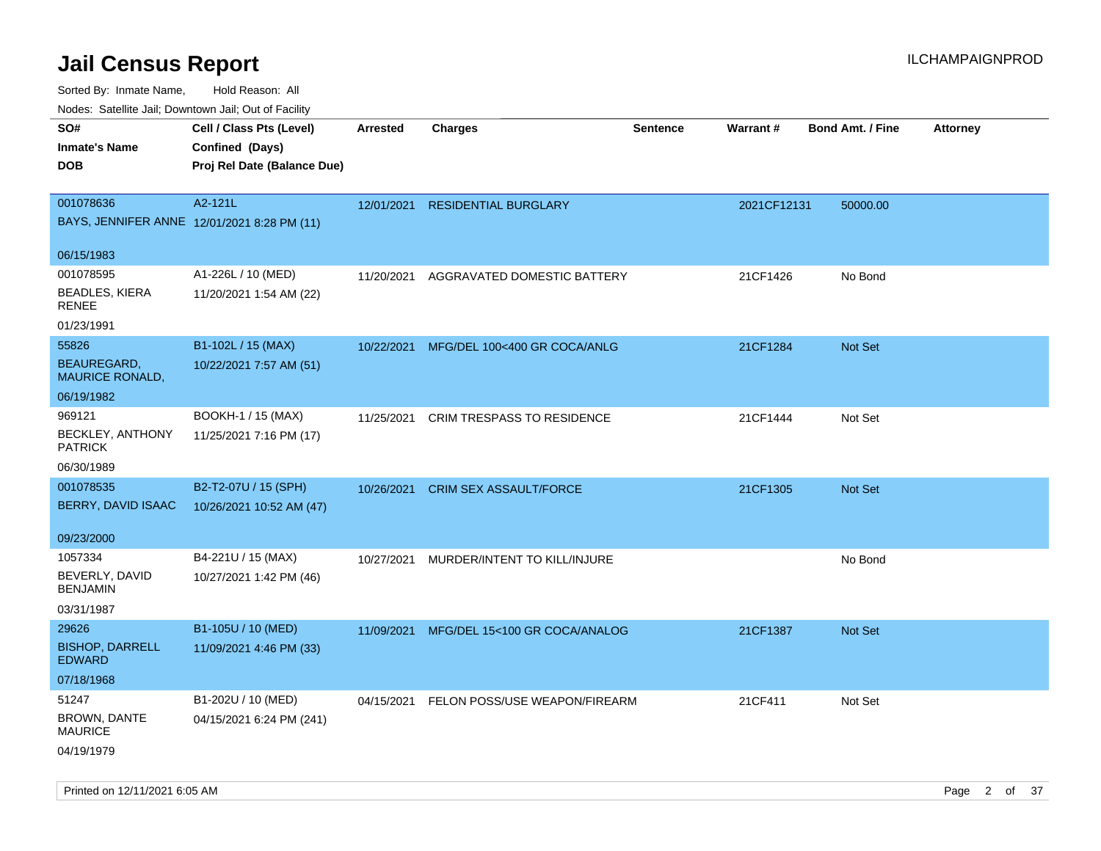| roaco. Odichile Jan, Downtown Jan, Out of Facility         |                                                                            |                 |                                          |                 |             |                         |                 |
|------------------------------------------------------------|----------------------------------------------------------------------------|-----------------|------------------------------------------|-----------------|-------------|-------------------------|-----------------|
| SO#<br><b>Inmate's Name</b><br><b>DOB</b>                  | Cell / Class Pts (Level)<br>Confined (Days)<br>Proj Rel Date (Balance Due) | <b>Arrested</b> | <b>Charges</b>                           | <b>Sentence</b> | Warrant#    | <b>Bond Amt. / Fine</b> | <b>Attorney</b> |
| 001078636<br>BAYS, JENNIFER ANNE 12/01/2021 8:28 PM (11)   | A2-121L                                                                    | 12/01/2021      | <b>RESIDENTIAL BURGLARY</b>              |                 | 2021CF12131 | 50000.00                |                 |
| 06/15/1983                                                 |                                                                            |                 |                                          |                 |             |                         |                 |
| 001078595<br><b>BEADLES, KIERA</b><br>RENEE                | A1-226L / 10 (MED)<br>11/20/2021 1:54 AM (22)                              | 11/20/2021      | AGGRAVATED DOMESTIC BATTERY              |                 | 21CF1426    | No Bond                 |                 |
| 01/23/1991                                                 |                                                                            |                 |                                          |                 |             |                         |                 |
| 55826<br>BEAUREGARD,<br><b>MAURICE RONALD,</b>             | B1-102L / 15 (MAX)<br>10/22/2021 7:57 AM (51)                              | 10/22/2021      | MFG/DEL 100<400 GR COCA/ANLG             |                 | 21CF1284    | Not Set                 |                 |
| 06/19/1982                                                 |                                                                            |                 |                                          |                 |             |                         |                 |
| 969121<br>BECKLEY, ANTHONY<br><b>PATRICK</b>               | BOOKH-1 / 15 (MAX)<br>11/25/2021 7:16 PM (17)                              | 11/25/2021      | <b>CRIM TRESPASS TO RESIDENCE</b>        |                 | 21CF1444    | Not Set                 |                 |
| 06/30/1989                                                 |                                                                            |                 |                                          |                 |             |                         |                 |
| 001078535<br>BERRY, DAVID ISAAC                            | B2-T2-07U / 15 (SPH)<br>10/26/2021 10:52 AM (47)                           | 10/26/2021      | <b>CRIM SEX ASSAULT/FORCE</b>            |                 | 21CF1305    | <b>Not Set</b>          |                 |
| 09/23/2000                                                 |                                                                            |                 |                                          |                 |             |                         |                 |
| 1057334<br>BEVERLY, DAVID<br><b>BENJAMIN</b><br>03/31/1987 | B4-221U / 15 (MAX)<br>10/27/2021 1:42 PM (46)                              | 10/27/2021      | MURDER/INTENT TO KILL/INJURE             |                 |             | No Bond                 |                 |
| 29626                                                      | B1-105U / 10 (MED)                                                         | 11/09/2021      | MFG/DEL 15<100 GR COCA/ANALOG            |                 | 21CF1387    | Not Set                 |                 |
| <b>BISHOP, DARRELL</b><br><b>EDWARD</b>                    | 11/09/2021 4:46 PM (33)                                                    |                 |                                          |                 |             |                         |                 |
| 07/18/1968                                                 |                                                                            |                 |                                          |                 |             |                         |                 |
| 51247<br>BROWN, DANTE<br><b>MAURICE</b>                    | B1-202U / 10 (MED)<br>04/15/2021 6:24 PM (241)                             |                 | 04/15/2021 FELON POSS/USE WEAPON/FIREARM |                 | 21CF411     | Not Set                 |                 |
| 04/19/1979                                                 |                                                                            |                 |                                          |                 |             |                         |                 |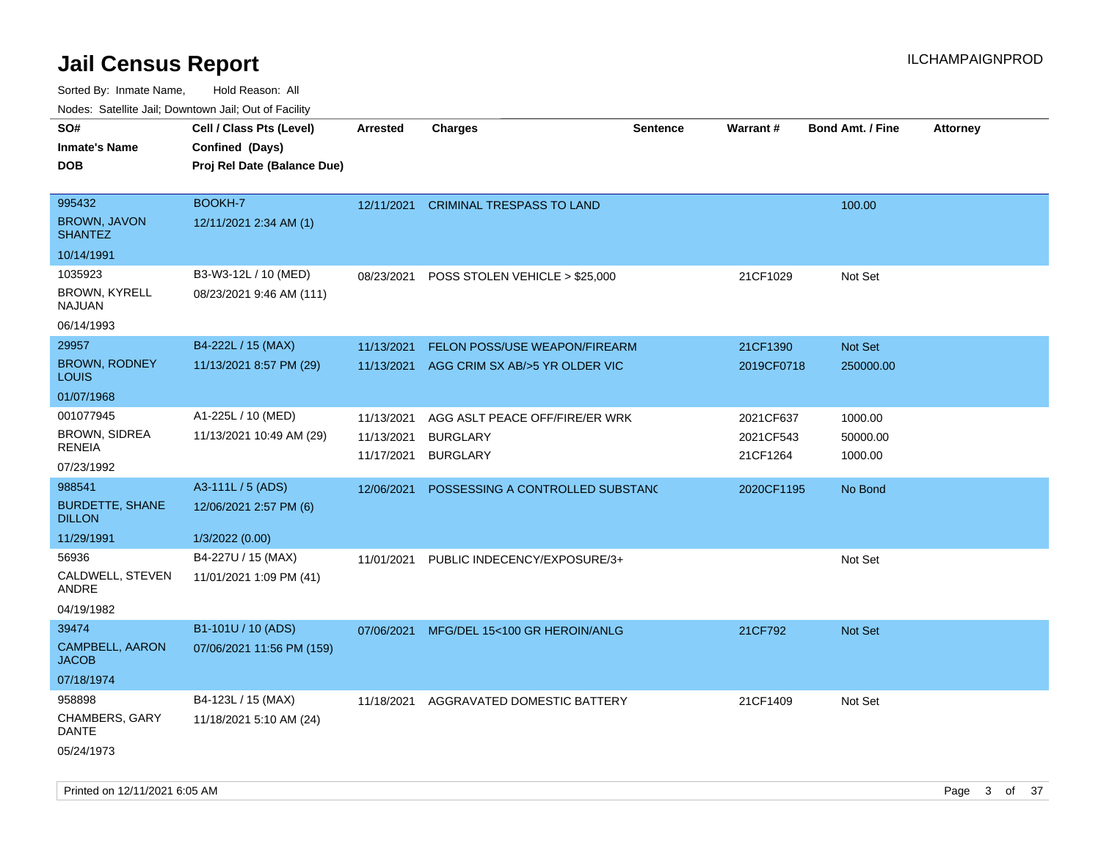| Nudes. Satellite Jali, Downtown Jali, Out of Facility |                             |                 |                                  |                 |                 |                         |                 |
|-------------------------------------------------------|-----------------------------|-----------------|----------------------------------|-----------------|-----------------|-------------------------|-----------------|
| SO#                                                   | Cell / Class Pts (Level)    | <b>Arrested</b> | <b>Charges</b>                   | <b>Sentence</b> | <b>Warrant#</b> | <b>Bond Amt. / Fine</b> | <b>Attorney</b> |
| Inmate's Name                                         | Confined (Days)             |                 |                                  |                 |                 |                         |                 |
| <b>DOB</b>                                            | Proj Rel Date (Balance Due) |                 |                                  |                 |                 |                         |                 |
|                                                       |                             |                 |                                  |                 |                 |                         |                 |
| 995432                                                | <b>BOOKH-7</b>              | 12/11/2021      | <b>CRIMINAL TRESPASS TO LAND</b> |                 |                 | 100.00                  |                 |
| <b>BROWN, JAVON</b><br><b>SHANTEZ</b>                 | 12/11/2021 2:34 AM (1)      |                 |                                  |                 |                 |                         |                 |
| 10/14/1991                                            |                             |                 |                                  |                 |                 |                         |                 |
| 1035923                                               | B3-W3-12L / 10 (MED)        | 08/23/2021      | POSS STOLEN VEHICLE > \$25,000   |                 | 21CF1029        | Not Set                 |                 |
| BROWN, KYRELL<br>NAJUAN                               | 08/23/2021 9:46 AM (111)    |                 |                                  |                 |                 |                         |                 |
| 06/14/1993                                            |                             |                 |                                  |                 |                 |                         |                 |
| 29957                                                 | B4-222L / 15 (MAX)          | 11/13/2021      | FELON POSS/USE WEAPON/FIREARM    |                 | 21CF1390        | <b>Not Set</b>          |                 |
| <b>BROWN, RODNEY</b><br>Louis                         | 11/13/2021 8:57 PM (29)     | 11/13/2021      | AGG CRIM SX AB/>5 YR OLDER VIC   |                 | 2019CF0718      | 250000.00               |                 |
| 01/07/1968                                            |                             |                 |                                  |                 |                 |                         |                 |
| 001077945                                             | A1-225L / 10 (MED)          | 11/13/2021      | AGG ASLT PEACE OFF/FIRE/ER WRK   |                 | 2021CF637       | 1000.00                 |                 |
| BROWN, SIDREA<br>RENEIA                               | 11/13/2021 10:49 AM (29)    | 11/13/2021      | <b>BURGLARY</b>                  |                 | 2021CF543       | 50000.00                |                 |
| 07/23/1992                                            |                             | 11/17/2021      | <b>BURGLARY</b>                  |                 | 21CF1264        | 1000.00                 |                 |
| 988541                                                | A3-111L / 5 (ADS)           | 12/06/2021      | POSSESSING A CONTROLLED SUBSTAND |                 | 2020CF1195      | No Bond                 |                 |
| <b>BURDETTE, SHANE</b><br><b>DILLON</b>               | 12/06/2021 2:57 PM (6)      |                 |                                  |                 |                 |                         |                 |
| 11/29/1991                                            | 1/3/2022 (0.00)             |                 |                                  |                 |                 |                         |                 |
| 56936                                                 | B4-227U / 15 (MAX)          | 11/01/2021      | PUBLIC INDECENCY/EXPOSURE/3+     |                 |                 | Not Set                 |                 |
| CALDWELL, STEVEN<br>ANDRE                             | 11/01/2021 1:09 PM (41)     |                 |                                  |                 |                 |                         |                 |
| 04/19/1982                                            |                             |                 |                                  |                 |                 |                         |                 |
| 39474                                                 | B1-101U / 10 (ADS)          | 07/06/2021      | MFG/DEL 15<100 GR HEROIN/ANLG    |                 | 21CF792         | <b>Not Set</b>          |                 |
| <b>CAMPBELL, AARON</b><br>JACOB                       | 07/06/2021 11:56 PM (159)   |                 |                                  |                 |                 |                         |                 |
| 07/18/1974                                            |                             |                 |                                  |                 |                 |                         |                 |
| 958898                                                | B4-123L / 15 (MAX)          | 11/18/2021      | AGGRAVATED DOMESTIC BATTERY      |                 | 21CF1409        | Not Set                 |                 |
| CHAMBERS, GARY<br>DANTE                               | 11/18/2021 5:10 AM (24)     |                 |                                  |                 |                 |                         |                 |
| 05/24/1973                                            |                             |                 |                                  |                 |                 |                         |                 |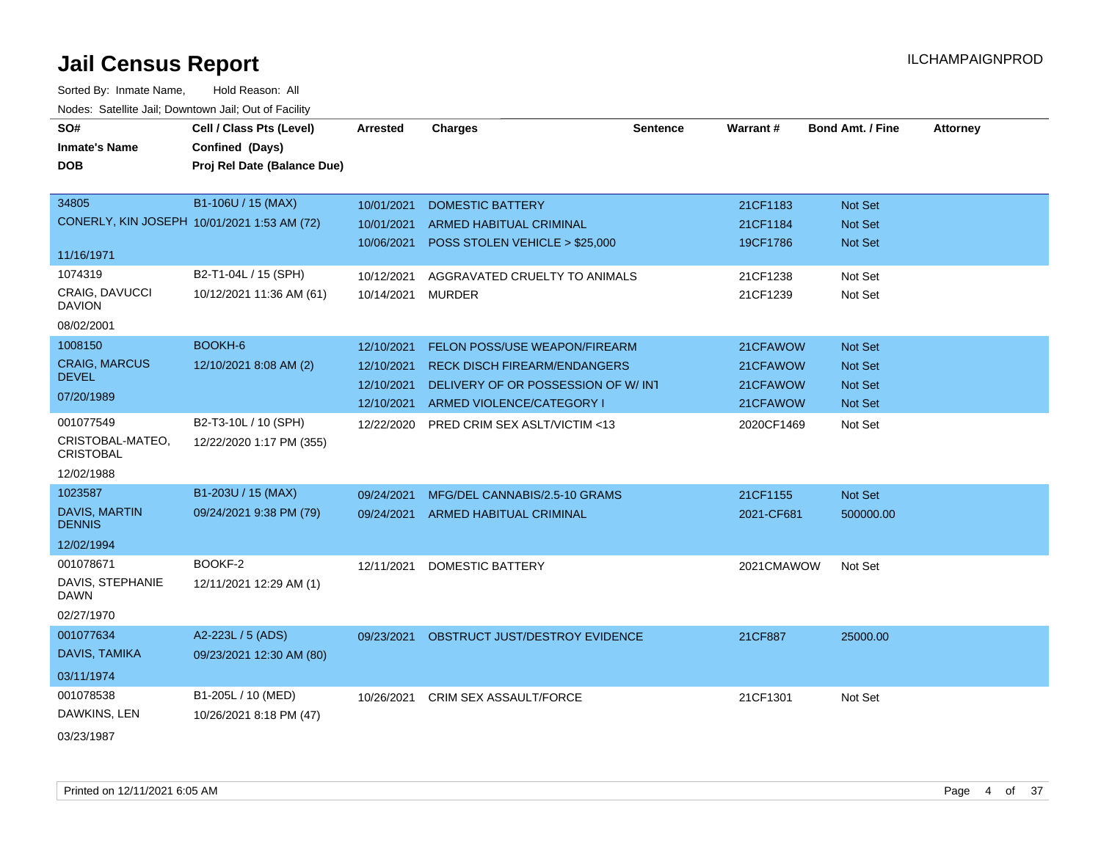| SO#                                    | Cell / Class Pts (Level)                    | <b>Arrested</b> | <b>Charges</b>                            | <b>Sentence</b> | Warrant#   | <b>Bond Amt. / Fine</b> | <b>Attorney</b> |
|----------------------------------------|---------------------------------------------|-----------------|-------------------------------------------|-----------------|------------|-------------------------|-----------------|
| <b>Inmate's Name</b>                   | Confined (Days)                             |                 |                                           |                 |            |                         |                 |
| <b>DOB</b>                             | Proj Rel Date (Balance Due)                 |                 |                                           |                 |            |                         |                 |
|                                        |                                             |                 |                                           |                 |            |                         |                 |
| 34805                                  | B1-106U / 15 (MAX)                          | 10/01/2021      | <b>DOMESTIC BATTERY</b>                   |                 | 21CF1183   | Not Set                 |                 |
|                                        | CONERLY, KIN JOSEPH 10/01/2021 1:53 AM (72) | 10/01/2021      | <b>ARMED HABITUAL CRIMINAL</b>            |                 | 21CF1184   | Not Set                 |                 |
|                                        |                                             | 10/06/2021      | POSS STOLEN VEHICLE > \$25,000            |                 | 19CF1786   | Not Set                 |                 |
| 11/16/1971                             |                                             |                 |                                           |                 |            |                         |                 |
| 1074319                                | B2-T1-04L / 15 (SPH)                        | 10/12/2021      | AGGRAVATED CRUELTY TO ANIMALS             |                 | 21CF1238   | Not Set                 |                 |
| <b>CRAIG, DAVUCCI</b><br><b>DAVION</b> | 10/12/2021 11:36 AM (61)                    | 10/14/2021      | MURDER                                    |                 | 21CF1239   | Not Set                 |                 |
| 08/02/2001                             |                                             |                 |                                           |                 |            |                         |                 |
| 1008150                                | BOOKH-6                                     | 12/10/2021      | <b>FELON POSS/USE WEAPON/FIREARM</b>      |                 | 21CFAWOW   | Not Set                 |                 |
| <b>CRAIG, MARCUS</b>                   | 12/10/2021 8:08 AM (2)                      | 12/10/2021      | <b>RECK DISCH FIREARM/ENDANGERS</b>       |                 | 21CFAWOW   | <b>Not Set</b>          |                 |
| <b>DEVEL</b>                           |                                             | 12/10/2021      | DELIVERY OF OR POSSESSION OF W/INT        |                 | 21CFAWOW   | Not Set                 |                 |
| 07/20/1989                             |                                             | 12/10/2021      | ARMED VIOLENCE/CATEGORY I                 |                 | 21CFAWOW   | Not Set                 |                 |
| 001077549                              | B2-T3-10L / 10 (SPH)                        | 12/22/2020      | PRED CRIM SEX ASLT/VICTIM <13             |                 | 2020CF1469 | Not Set                 |                 |
| CRISTOBAL-MATEO.<br><b>CRISTOBAL</b>   | 12/22/2020 1:17 PM (355)                    |                 |                                           |                 |            |                         |                 |
| 12/02/1988                             |                                             |                 |                                           |                 |            |                         |                 |
| 1023587                                | B1-203U / 15 (MAX)                          | 09/24/2021      | MFG/DEL CANNABIS/2.5-10 GRAMS             |                 | 21CF1155   | Not Set                 |                 |
| <b>DAVIS, MARTIN</b><br><b>DENNIS</b>  | 09/24/2021 9:38 PM (79)                     |                 | 09/24/2021 ARMED HABITUAL CRIMINAL        |                 | 2021-CF681 | 500000.00               |                 |
| 12/02/1994                             |                                             |                 |                                           |                 |            |                         |                 |
| 001078671                              | BOOKF-2                                     | 12/11/2021      | <b>DOMESTIC BATTERY</b>                   |                 | 2021CMAWOW | Not Set                 |                 |
| DAVIS, STEPHANIE<br><b>DAWN</b>        | 12/11/2021 12:29 AM (1)                     |                 |                                           |                 |            |                         |                 |
| 02/27/1970                             |                                             |                 |                                           |                 |            |                         |                 |
| 001077634                              | A2-223L / 5 (ADS)                           |                 | 09/23/2021 OBSTRUCT JUST/DESTROY EVIDENCE |                 | 21CF887    | 25000.00                |                 |
| DAVIS, TAMIKA                          | 09/23/2021 12:30 AM (80)                    |                 |                                           |                 |            |                         |                 |
| 03/11/1974                             |                                             |                 |                                           |                 |            |                         |                 |
| 001078538                              | B1-205L / 10 (MED)                          | 10/26/2021      | <b>CRIM SEX ASSAULT/FORCE</b>             |                 | 21CF1301   | Not Set                 |                 |
| DAWKINS, LEN                           | 10/26/2021 8:18 PM (47)                     |                 |                                           |                 |            |                         |                 |
| 03/23/1987                             |                                             |                 |                                           |                 |            |                         |                 |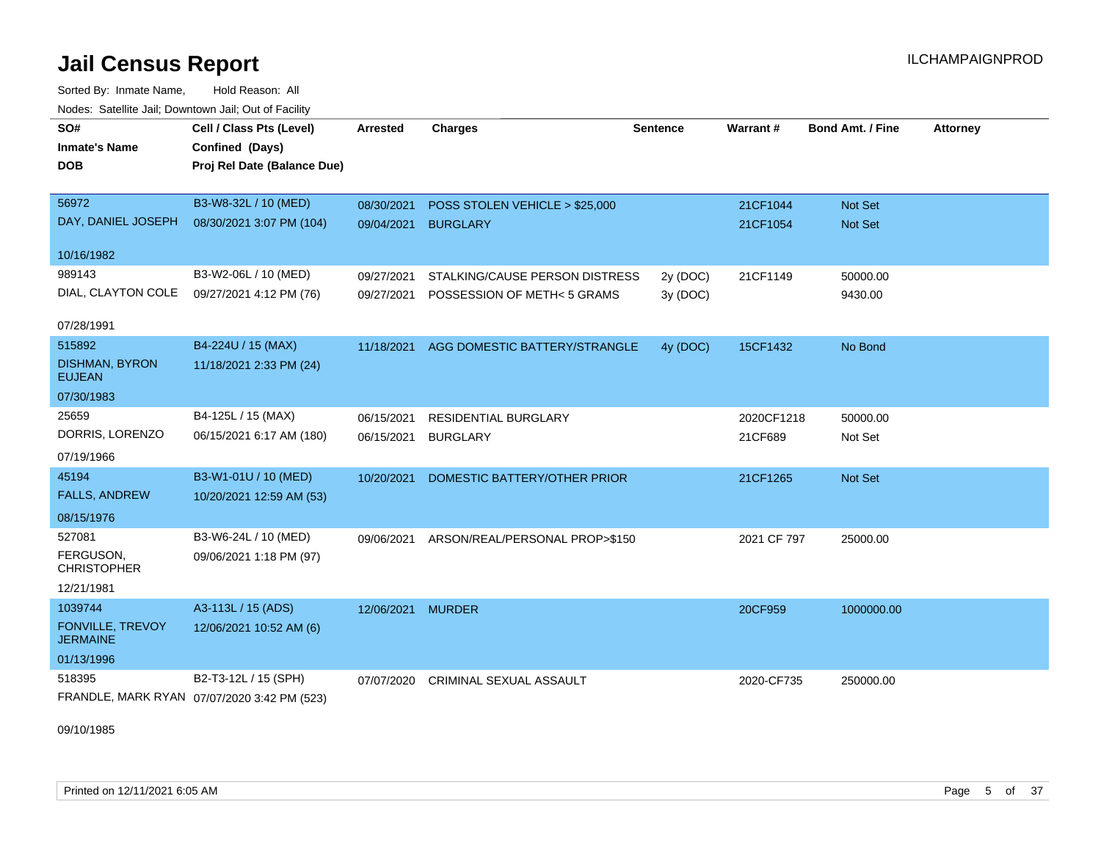Sorted By: Inmate Name, Hold Reason: All Nodes: Satellite Jail; Downtown Jail; Out of Facility

| SO#<br><b>Inmate's Name</b>                | Cell / Class Pts (Level)<br>Confined (Days) | <b>Arrested</b>   | <b>Charges</b>                 | <b>Sentence</b> | <b>Warrant#</b> | <b>Bond Amt. / Fine</b> | <b>Attorney</b> |
|--------------------------------------------|---------------------------------------------|-------------------|--------------------------------|-----------------|-----------------|-------------------------|-----------------|
| <b>DOB</b>                                 | Proj Rel Date (Balance Due)                 |                   |                                |                 |                 |                         |                 |
| 56972                                      | B3-W8-32L / 10 (MED)                        | 08/30/2021        | POSS STOLEN VEHICLE > \$25,000 |                 | 21CF1044        | <b>Not Set</b>          |                 |
| DAY, DANIEL JOSEPH                         | 08/30/2021 3:07 PM (104)                    | 09/04/2021        | <b>BURGLARY</b>                |                 | 21CF1054        | <b>Not Set</b>          |                 |
| 10/16/1982                                 |                                             |                   |                                |                 |                 |                         |                 |
| 989143                                     | B3-W2-06L / 10 (MED)                        | 09/27/2021        | STALKING/CAUSE PERSON DISTRESS | 2y (DOC)        | 21CF1149        | 50000.00                |                 |
| DIAL, CLAYTON COLE                         | 09/27/2021 4:12 PM (76)                     | 09/27/2021        | POSSESSION OF METH< 5 GRAMS    | 3y (DOC)        |                 | 9430.00                 |                 |
| 07/28/1991                                 |                                             |                   |                                |                 |                 |                         |                 |
| 515892                                     | B4-224U / 15 (MAX)                          | 11/18/2021        | AGG DOMESTIC BATTERY/STRANGLE  | 4y (DOC)        | 15CF1432        | No Bond                 |                 |
| <b>DISHMAN, BYRON</b><br><b>EUJEAN</b>     | 11/18/2021 2:33 PM (24)                     |                   |                                |                 |                 |                         |                 |
| 07/30/1983                                 |                                             |                   |                                |                 |                 |                         |                 |
| 25659                                      | B4-125L / 15 (MAX)                          | 06/15/2021        | <b>RESIDENTIAL BURGLARY</b>    |                 | 2020CF1218      | 50000.00                |                 |
| DORRIS, LORENZO                            | 06/15/2021 6:17 AM (180)                    | 06/15/2021        | <b>BURGLARY</b>                |                 | 21CF689         | Not Set                 |                 |
| 07/19/1966                                 |                                             |                   |                                |                 |                 |                         |                 |
| 45194                                      | B3-W1-01U / 10 (MED)                        | 10/20/2021        | DOMESTIC BATTERY/OTHER PRIOR   |                 | 21CF1265        | Not Set                 |                 |
| <b>FALLS, ANDREW</b>                       | 10/20/2021 12:59 AM (53)                    |                   |                                |                 |                 |                         |                 |
| 08/15/1976                                 |                                             |                   |                                |                 |                 |                         |                 |
| 527081                                     | B3-W6-24L / 10 (MED)                        | 09/06/2021        | ARSON/REAL/PERSONAL PROP>\$150 |                 | 2021 CF 797     | 25000.00                |                 |
| FERGUSON,<br><b>CHRISTOPHER</b>            | 09/06/2021 1:18 PM (97)                     |                   |                                |                 |                 |                         |                 |
| 12/21/1981                                 |                                             |                   |                                |                 |                 |                         |                 |
| 1039744                                    | A3-113L / 15 (ADS)                          | 12/06/2021 MURDER |                                |                 | 20CF959         | 1000000.00              |                 |
| <b>FONVILLE, TREVOY</b><br><b>JERMAINE</b> | 12/06/2021 10:52 AM (6)                     |                   |                                |                 |                 |                         |                 |
| 01/13/1996                                 |                                             |                   |                                |                 |                 |                         |                 |
| 518395                                     | B2-T3-12L / 15 (SPH)                        | 07/07/2020        | <b>CRIMINAL SEXUAL ASSAULT</b> |                 | 2020-CF735      | 250000.00               |                 |
|                                            | FRANDLE, MARK RYAN 07/07/2020 3:42 PM (523) |                   |                                |                 |                 |                         |                 |

09/10/1985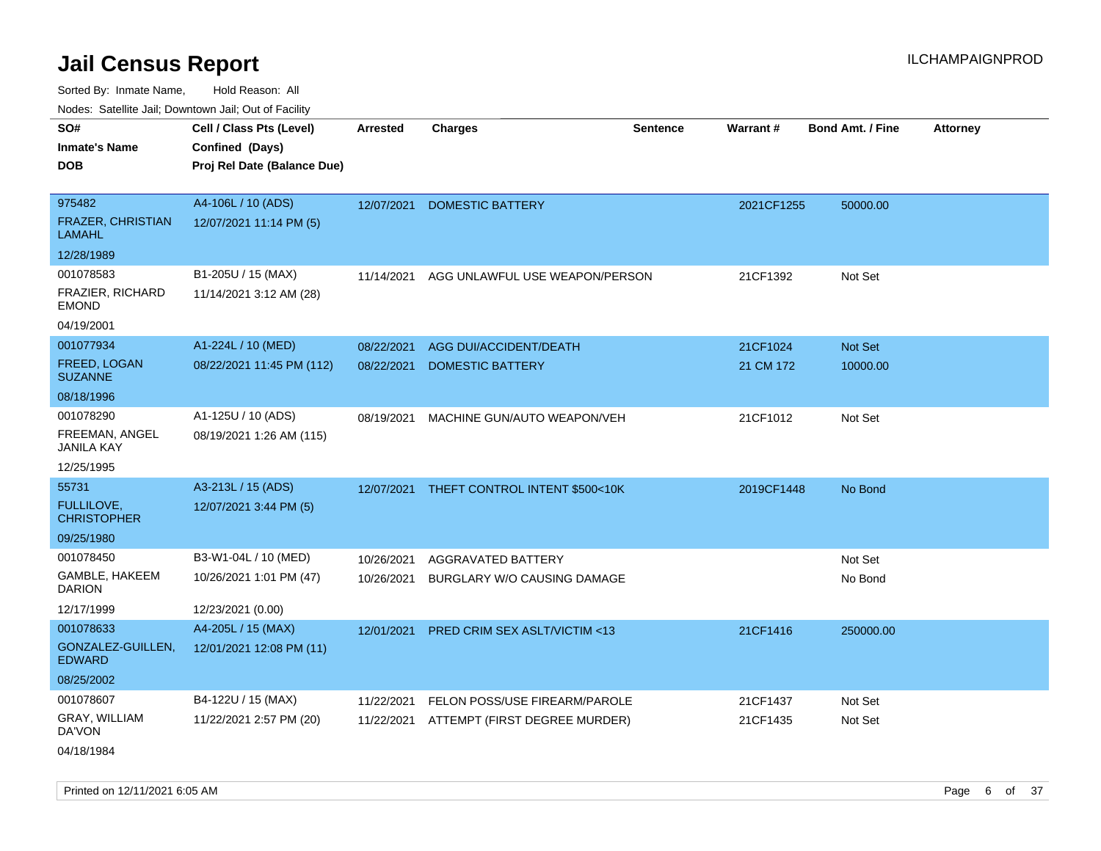Sorted By: Inmate Name, Hold Reason: All Nodes: Satellite Jail; Downtown Jail; Out of Facility

| SO#                                       | Cell / Class Pts (Level)    | <b>Arrested</b> | <b>Charges</b>                            | <b>Sentence</b> | Warrant#   | <b>Bond Amt. / Fine</b> | <b>Attorney</b> |
|-------------------------------------------|-----------------------------|-----------------|-------------------------------------------|-----------------|------------|-------------------------|-----------------|
| <b>Inmate's Name</b>                      | Confined (Days)             |                 |                                           |                 |            |                         |                 |
| <b>DOB</b>                                | Proj Rel Date (Balance Due) |                 |                                           |                 |            |                         |                 |
|                                           |                             |                 |                                           |                 |            |                         |                 |
| 975482                                    | A4-106L / 10 (ADS)          | 12/07/2021      | <b>DOMESTIC BATTERY</b>                   |                 | 2021CF1255 | 50000.00                |                 |
| <b>FRAZER, CHRISTIAN</b><br><b>LAMAHL</b> | 12/07/2021 11:14 PM (5)     |                 |                                           |                 |            |                         |                 |
| 12/28/1989                                |                             |                 |                                           |                 |            |                         |                 |
| 001078583                                 | B1-205U / 15 (MAX)          | 11/14/2021      | AGG UNLAWFUL USE WEAPON/PERSON            |                 | 21CF1392   | Not Set                 |                 |
| <b>FRAZIER, RICHARD</b><br><b>EMOND</b>   | 11/14/2021 3:12 AM (28)     |                 |                                           |                 |            |                         |                 |
| 04/19/2001                                |                             |                 |                                           |                 |            |                         |                 |
| 001077934                                 | A1-224L / 10 (MED)          | 08/22/2021      | <b>AGG DUI/ACCIDENT/DEATH</b>             |                 | 21CF1024   | Not Set                 |                 |
| FREED, LOGAN<br><b>SUZANNE</b>            | 08/22/2021 11:45 PM (112)   | 08/22/2021      | <b>DOMESTIC BATTERY</b>                   |                 | 21 CM 172  | 10000.00                |                 |
| 08/18/1996                                |                             |                 |                                           |                 |            |                         |                 |
| 001078290                                 | A1-125U / 10 (ADS)          | 08/19/2021      | MACHINE GUN/AUTO WEAPON/VEH               |                 | 21CF1012   | Not Set                 |                 |
| FREEMAN, ANGEL<br><b>JANILA KAY</b>       | 08/19/2021 1:26 AM (115)    |                 |                                           |                 |            |                         |                 |
| 12/25/1995                                |                             |                 |                                           |                 |            |                         |                 |
| 55731                                     | A3-213L / 15 (ADS)          |                 | 12/07/2021 THEFT CONTROL INTENT \$500<10K |                 | 2019CF1448 | No Bond                 |                 |
| FULLILOVE,<br><b>CHRISTOPHER</b>          | 12/07/2021 3:44 PM (5)      |                 |                                           |                 |            |                         |                 |
| 09/25/1980                                |                             |                 |                                           |                 |            |                         |                 |
| 001078450                                 | B3-W1-04L / 10 (MED)        | 10/26/2021      | AGGRAVATED BATTERY                        |                 |            | Not Set                 |                 |
| GAMBLE, HAKEEM<br><b>DARION</b>           | 10/26/2021 1:01 PM (47)     | 10/26/2021      | BURGLARY W/O CAUSING DAMAGE               |                 |            | No Bond                 |                 |
| 12/17/1999                                | 12/23/2021 (0.00)           |                 |                                           |                 |            |                         |                 |
| 001078633                                 | A4-205L / 15 (MAX)          | 12/01/2021      | <b>PRED CRIM SEX ASLT/VICTIM &lt;13</b>   |                 | 21CF1416   | 250000.00               |                 |
| GONZALEZ-GUILLEN,<br><b>EDWARD</b>        | 12/01/2021 12:08 PM (11)    |                 |                                           |                 |            |                         |                 |
| 08/25/2002                                |                             |                 |                                           |                 |            |                         |                 |
| 001078607                                 | B4-122U / 15 (MAX)          | 11/22/2021      | FELON POSS/USE FIREARM/PAROLE             |                 | 21CF1437   | Not Set                 |                 |
| GRAY, WILLIAM<br>DA'VON                   | 11/22/2021 2:57 PM (20)     | 11/22/2021      | ATTEMPT (FIRST DEGREE MURDER)             |                 | 21CF1435   | Not Set                 |                 |
| 04/18/1984                                |                             |                 |                                           |                 |            |                         |                 |

Printed on 12/11/2021 6:05 AM **Page 6** of 37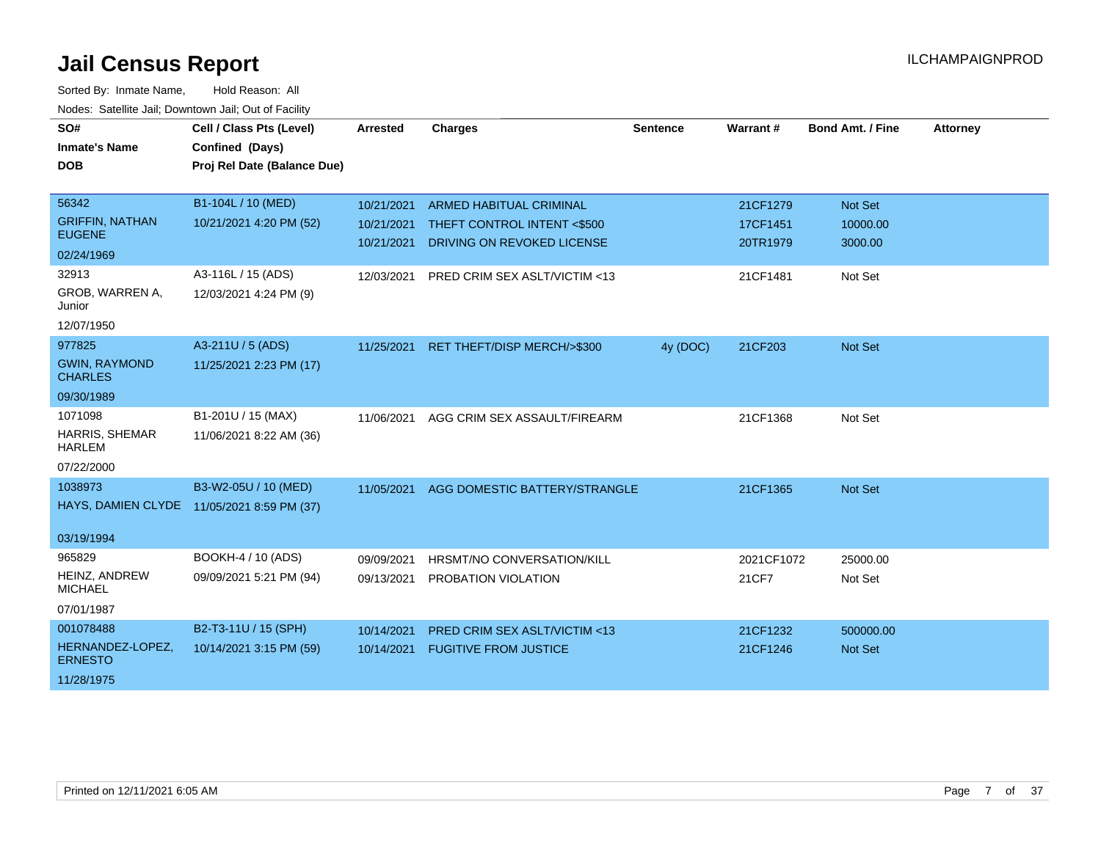| SO#                                    | Cell / Class Pts (Level)                   | Arrested   | <b>Charges</b>                          | Sentence | Warrant#   | <b>Bond Amt. / Fine</b> | <b>Attorney</b> |
|----------------------------------------|--------------------------------------------|------------|-----------------------------------------|----------|------------|-------------------------|-----------------|
| <b>Inmate's Name</b>                   | Confined (Days)                            |            |                                         |          |            |                         |                 |
| <b>DOB</b>                             | Proj Rel Date (Balance Due)                |            |                                         |          |            |                         |                 |
|                                        |                                            |            |                                         |          |            |                         |                 |
| 56342                                  | B1-104L / 10 (MED)                         | 10/21/2021 | <b>ARMED HABITUAL CRIMINAL</b>          |          | 21CF1279   | Not Set                 |                 |
| <b>GRIFFIN, NATHAN</b>                 | 10/21/2021 4:20 PM (52)                    | 10/21/2021 | THEFT CONTROL INTENT <\$500             |          | 17CF1451   | 10000.00                |                 |
| <b>EUGENE</b>                          |                                            | 10/21/2021 | DRIVING ON REVOKED LICENSE              |          | 20TR1979   | 3000.00                 |                 |
| 02/24/1969                             |                                            |            |                                         |          |            |                         |                 |
| 32913                                  | A3-116L / 15 (ADS)                         | 12/03/2021 | PRED CRIM SEX ASLT/VICTIM <13           |          | 21CF1481   | Not Set                 |                 |
| GROB, WARREN A,<br>Junior              | 12/03/2021 4:24 PM (9)                     |            |                                         |          |            |                         |                 |
| 12/07/1950                             |                                            |            |                                         |          |            |                         |                 |
| 977825                                 | A3-211U / 5 (ADS)                          | 11/25/2021 | RET THEFT/DISP MERCH/>\$300             | 4y (DOC) | 21CF203    | <b>Not Set</b>          |                 |
| <b>GWIN, RAYMOND</b>                   | 11/25/2021 2:23 PM (17)                    |            |                                         |          |            |                         |                 |
| <b>CHARLES</b>                         |                                            |            |                                         |          |            |                         |                 |
| 09/30/1989                             |                                            |            |                                         |          |            |                         |                 |
| 1071098                                | B1-201U / 15 (MAX)                         | 11/06/2021 | AGG CRIM SEX ASSAULT/FIREARM            |          | 21CF1368   | Not Set                 |                 |
| <b>HARRIS, SHEMAR</b><br><b>HARLEM</b> | 11/06/2021 8:22 AM (36)                    |            |                                         |          |            |                         |                 |
| 07/22/2000                             |                                            |            |                                         |          |            |                         |                 |
| 1038973                                | B3-W2-05U / 10 (MED)                       | 11/05/2021 | AGG DOMESTIC BATTERY/STRANGLE           |          | 21CF1365   | <b>Not Set</b>          |                 |
|                                        | HAYS, DAMIEN CLYDE 11/05/2021 8:59 PM (37) |            |                                         |          |            |                         |                 |
|                                        |                                            |            |                                         |          |            |                         |                 |
| 03/19/1994                             |                                            |            |                                         |          |            |                         |                 |
| 965829                                 | BOOKH-4 / 10 (ADS)                         | 09/09/2021 | HRSMT/NO CONVERSATION/KILL              |          | 2021CF1072 | 25000.00                |                 |
| HEINZ, ANDREW<br><b>MICHAEL</b>        | 09/09/2021 5:21 PM (94)                    | 09/13/2021 | PROBATION VIOLATION                     |          | 21CF7      | Not Set                 |                 |
| 07/01/1987                             |                                            |            |                                         |          |            |                         |                 |
| 001078488                              | B2-T3-11U / 15 (SPH)                       | 10/14/2021 | <b>PRED CRIM SEX ASLT/VICTIM &lt;13</b> |          | 21CF1232   | 500000.00               |                 |
| HERNANDEZ-LOPEZ,<br><b>ERNESTO</b>     | 10/14/2021 3:15 PM (59)                    | 10/14/2021 | <b>FUGITIVE FROM JUSTICE</b>            |          | 21CF1246   | <b>Not Set</b>          |                 |
| 11/28/1975                             |                                            |            |                                         |          |            |                         |                 |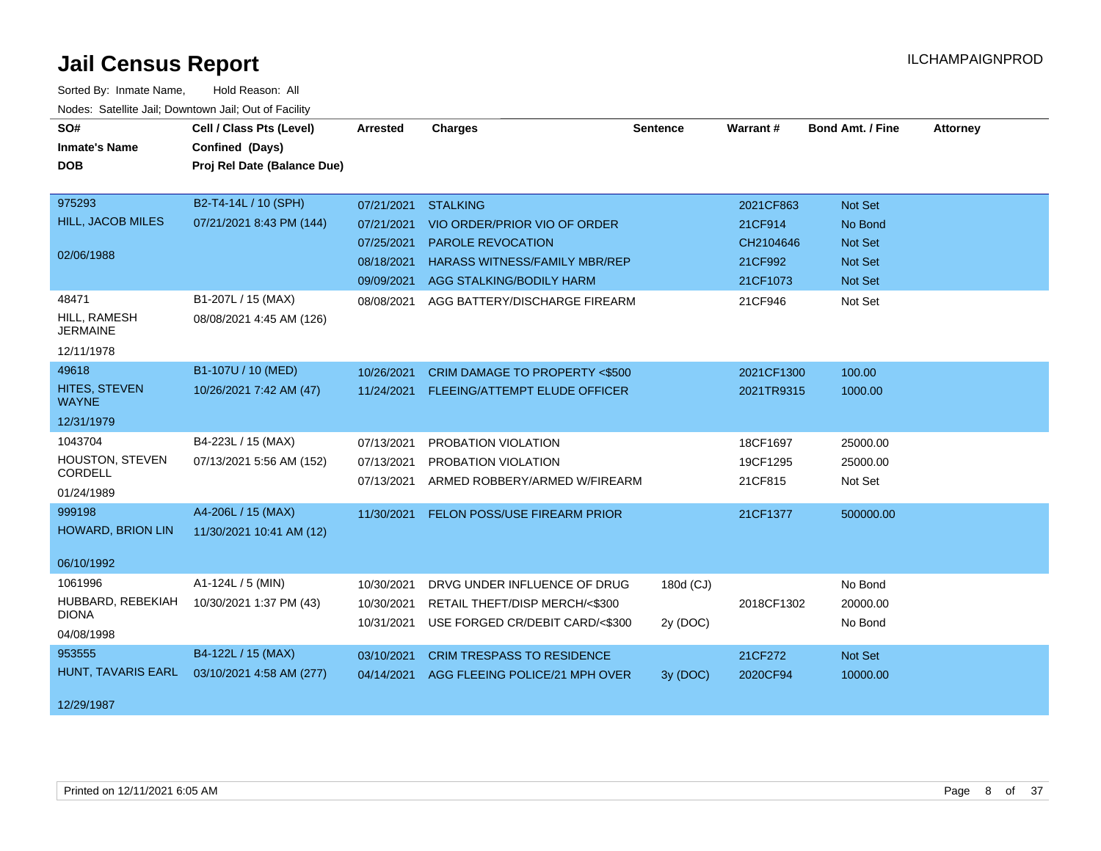| SO#                             | Cell / Class Pts (Level)    | <b>Arrested</b> | <b>Charges</b>                            | <b>Sentence</b> | Warrant#   | <b>Bond Amt. / Fine</b> | <b>Attorney</b> |
|---------------------------------|-----------------------------|-----------------|-------------------------------------------|-----------------|------------|-------------------------|-----------------|
| <b>Inmate's Name</b>            | Confined (Days)             |                 |                                           |                 |            |                         |                 |
| <b>DOB</b>                      | Proj Rel Date (Balance Due) |                 |                                           |                 |            |                         |                 |
|                                 |                             |                 |                                           |                 |            |                         |                 |
| 975293                          | B2-T4-14L / 10 (SPH)        | 07/21/2021      | <b>STALKING</b>                           |                 | 2021CF863  | Not Set                 |                 |
| HILL, JACOB MILES               | 07/21/2021 8:43 PM (144)    | 07/21/2021      | VIO ORDER/PRIOR VIO OF ORDER              |                 | 21CF914    | No Bond                 |                 |
|                                 |                             | 07/25/2021      | PAROLE REVOCATION                         |                 | CH2104646  | Not Set                 |                 |
| 02/06/1988                      |                             | 08/18/2021      | <b>HARASS WITNESS/FAMILY MBR/REP</b>      |                 | 21CF992    | Not Set                 |                 |
|                                 |                             | 09/09/2021      | AGG STALKING/BODILY HARM                  |                 | 21CF1073   | <b>Not Set</b>          |                 |
| 48471                           | B1-207L / 15 (MAX)          | 08/08/2021      | AGG BATTERY/DISCHARGE FIREARM             |                 | 21CF946    | Not Set                 |                 |
| HILL, RAMESH<br><b>JERMAINE</b> | 08/08/2021 4:45 AM (126)    |                 |                                           |                 |            |                         |                 |
| 12/11/1978                      |                             |                 |                                           |                 |            |                         |                 |
| 49618                           | B1-107U / 10 (MED)          | 10/26/2021      | CRIM DAMAGE TO PROPERTY <\$500            |                 | 2021CF1300 | 100.00                  |                 |
| HITES, STEVEN<br><b>WAYNE</b>   | 10/26/2021 7:42 AM (47)     |                 | 11/24/2021 FLEEING/ATTEMPT ELUDE OFFICER  |                 | 2021TR9315 | 1000.00                 |                 |
| 12/31/1979                      |                             |                 |                                           |                 |            |                         |                 |
| 1043704                         | B4-223L / 15 (MAX)          | 07/13/2021      | PROBATION VIOLATION                       |                 | 18CF1697   | 25000.00                |                 |
| HOUSTON, STEVEN                 | 07/13/2021 5:56 AM (152)    | 07/13/2021      | PROBATION VIOLATION                       |                 | 19CF1295   | 25000.00                |                 |
| CORDELL                         |                             | 07/13/2021      | ARMED ROBBERY/ARMED W/FIREARM             |                 | 21CF815    | Not Set                 |                 |
| 01/24/1989                      |                             |                 |                                           |                 |            |                         |                 |
| 999198                          | A4-206L / 15 (MAX)          | 11/30/2021      | <b>FELON POSS/USE FIREARM PRIOR</b>       |                 | 21CF1377   | 500000.00               |                 |
| <b>HOWARD, BRION LIN</b>        | 11/30/2021 10:41 AM (12)    |                 |                                           |                 |            |                         |                 |
| 06/10/1992                      |                             |                 |                                           |                 |            |                         |                 |
| 1061996                         | A1-124L / 5 (MIN)           | 10/30/2021      | DRVG UNDER INFLUENCE OF DRUG              | 180d (CJ)       |            | No Bond                 |                 |
| HUBBARD, REBEKIAH               | 10/30/2021 1:37 PM (43)     | 10/30/2021      | RETAIL THEFT/DISP MERCH/<\$300            |                 | 2018CF1302 | 20000.00                |                 |
| <b>DIONA</b>                    |                             | 10/31/2021      | USE FORGED CR/DEBIT CARD/<\$300           | 2y (DOC)        |            | No Bond                 |                 |
| 04/08/1998                      |                             |                 |                                           |                 |            |                         |                 |
| 953555                          | B4-122L / 15 (MAX)          | 03/10/2021      | <b>CRIM TRESPASS TO RESIDENCE</b>         |                 | 21CF272    | Not Set                 |                 |
| HUNT, TAVARIS EARL              | 03/10/2021 4:58 AM (277)    |                 | 04/14/2021 AGG FLEEING POLICE/21 MPH OVER | 3y (DOC)        | 2020CF94   | 10000.00                |                 |
| 12/29/1987                      |                             |                 |                                           |                 |            |                         |                 |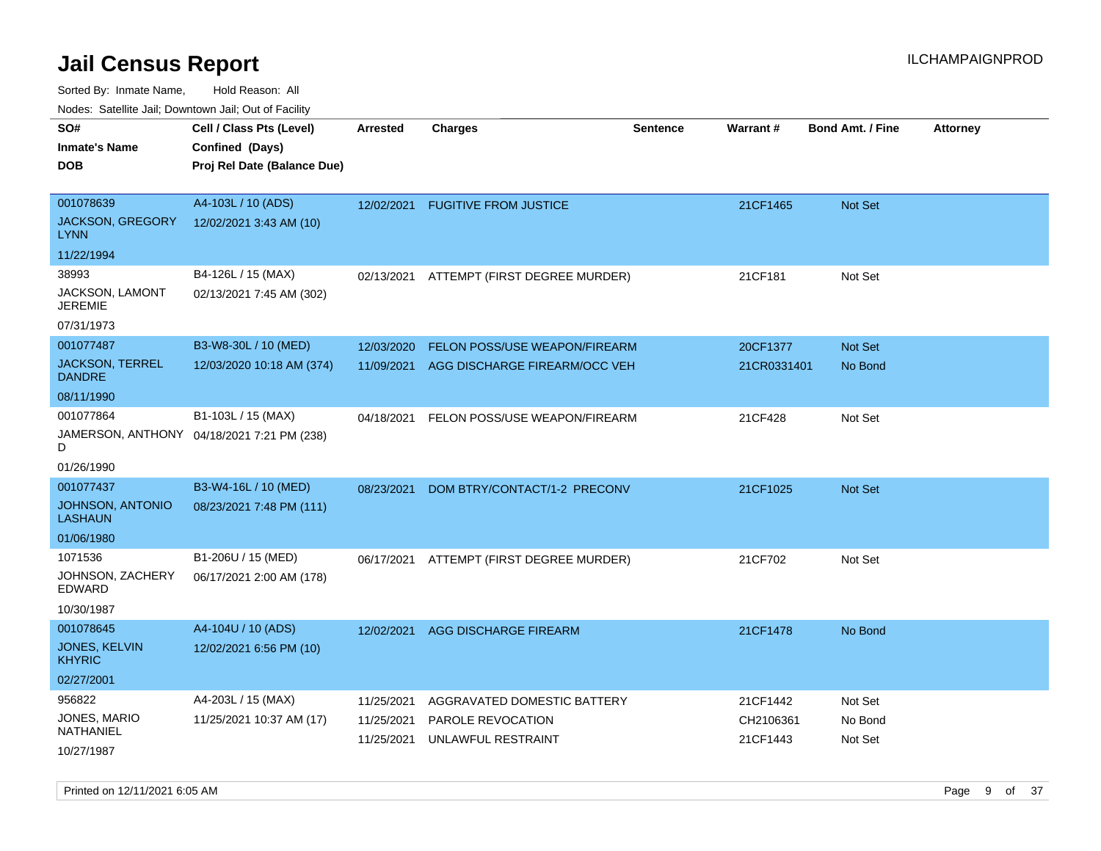Sorted By: Inmate Name, Hold Reason: All

|  |  |  | Nodes: Satellite Jail; Downtown Jail; Out of Facility |  |
|--|--|--|-------------------------------------------------------|--|
|--|--|--|-------------------------------------------------------|--|

| SO#<br><b>Inmate's Name</b>             | Cell / Class Pts (Level)<br>Confined (Days) | <b>Arrested</b> | <b>Charges</b>                | <b>Sentence</b> | Warrant#    | <b>Bond Amt. / Fine</b> | <b>Attorney</b> |
|-----------------------------------------|---------------------------------------------|-----------------|-------------------------------|-----------------|-------------|-------------------------|-----------------|
| <b>DOB</b>                              | Proj Rel Date (Balance Due)                 |                 |                               |                 |             |                         |                 |
|                                         |                                             |                 |                               |                 |             |                         |                 |
| 001078639                               | A4-103L / 10 (ADS)                          | 12/02/2021      | <b>FUGITIVE FROM JUSTICE</b>  |                 | 21CF1465    | Not Set                 |                 |
| <b>JACKSON, GREGORY</b><br><b>LYNN</b>  | 12/02/2021 3:43 AM (10)                     |                 |                               |                 |             |                         |                 |
| 11/22/1994                              |                                             |                 |                               |                 |             |                         |                 |
| 38993                                   | B4-126L / 15 (MAX)                          | 02/13/2021      | ATTEMPT (FIRST DEGREE MURDER) |                 | 21CF181     | Not Set                 |                 |
| JACKSON, LAMONT<br><b>JEREMIE</b>       | 02/13/2021 7:45 AM (302)                    |                 |                               |                 |             |                         |                 |
| 07/31/1973                              |                                             |                 |                               |                 |             |                         |                 |
| 001077487                               | B3-W8-30L / 10 (MED)                        | 12/03/2020      | FELON POSS/USE WEAPON/FIREARM |                 | 20CF1377    | Not Set                 |                 |
| <b>JACKSON, TERREL</b><br><b>DANDRE</b> | 12/03/2020 10:18 AM (374)                   | 11/09/2021      | AGG DISCHARGE FIREARM/OCC VEH |                 | 21CR0331401 | No Bond                 |                 |
| 08/11/1990                              |                                             |                 |                               |                 |             |                         |                 |
| 001077864                               | B1-103L / 15 (MAX)                          | 04/18/2021      | FELON POSS/USE WEAPON/FIREARM |                 | 21CF428     | Not Set                 |                 |
| D                                       | JAMERSON, ANTHONY 04/18/2021 7:21 PM (238)  |                 |                               |                 |             |                         |                 |
| 01/26/1990                              |                                             |                 |                               |                 |             |                         |                 |
| 001077437                               | B3-W4-16L / 10 (MED)                        | 08/23/2021      | DOM BTRY/CONTACT/1-2 PRECONV  |                 | 21CF1025    | Not Set                 |                 |
| JOHNSON, ANTONIO<br><b>LASHAUN</b>      | 08/23/2021 7:48 PM (111)                    |                 |                               |                 |             |                         |                 |
| 01/06/1980                              |                                             |                 |                               |                 |             |                         |                 |
| 1071536                                 | B1-206U / 15 (MED)                          | 06/17/2021      | ATTEMPT (FIRST DEGREE MURDER) |                 | 21CF702     | Not Set                 |                 |
| JOHNSON, ZACHERY<br>EDWARD              | 06/17/2021 2:00 AM (178)                    |                 |                               |                 |             |                         |                 |
| 10/30/1987                              |                                             |                 |                               |                 |             |                         |                 |
| 001078645                               | A4-104U / 10 (ADS)                          | 12/02/2021      | AGG DISCHARGE FIREARM         |                 | 21CF1478    | No Bond                 |                 |
| JONES, KELVIN<br><b>KHYRIC</b>          | 12/02/2021 6:56 PM (10)                     |                 |                               |                 |             |                         |                 |
| 02/27/2001                              |                                             |                 |                               |                 |             |                         |                 |
| 956822                                  | A4-203L / 15 (MAX)                          | 11/25/2021      | AGGRAVATED DOMESTIC BATTERY   |                 | 21CF1442    | Not Set                 |                 |
| JONES, MARIO<br>NATHANIEL               | 11/25/2021 10:37 AM (17)                    | 11/25/2021      | PAROLE REVOCATION             |                 | CH2106361   | No Bond                 |                 |
| 10/27/1987                              |                                             | 11/25/2021      | UNLAWFUL RESTRAINT            |                 | 21CF1443    | Not Set                 |                 |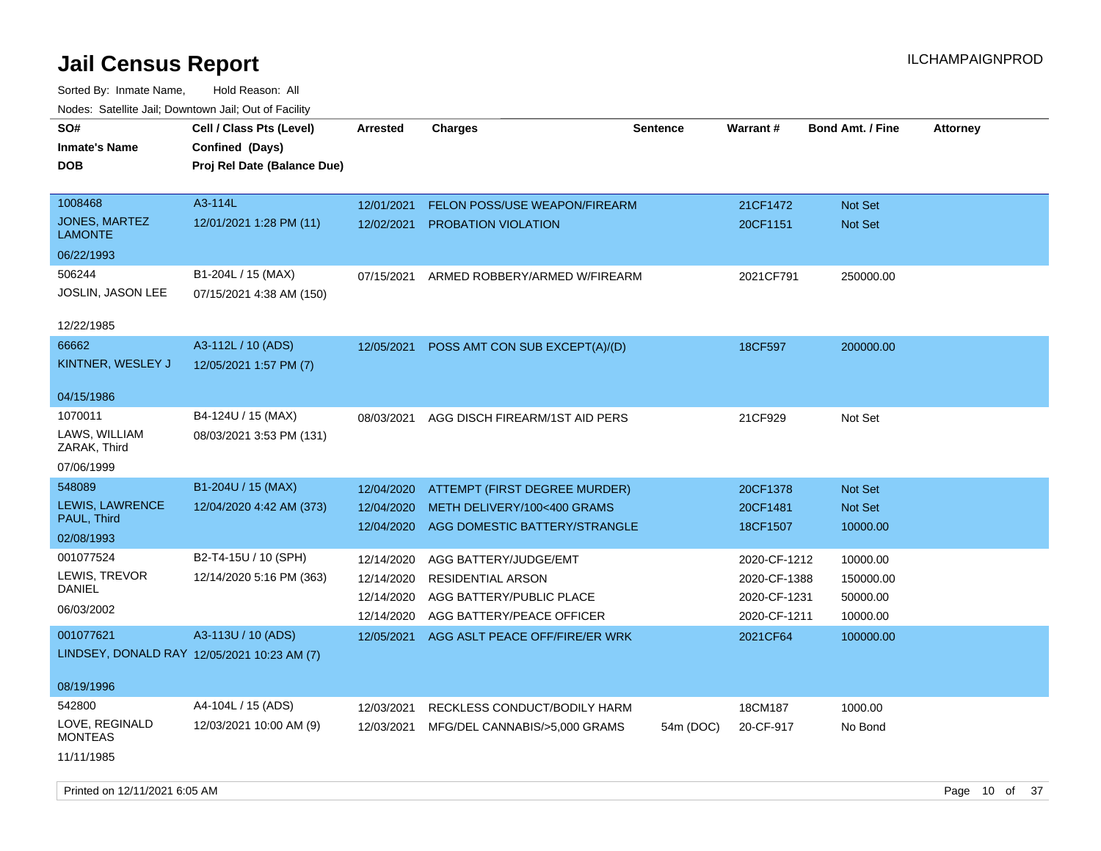Sorted By: Inmate Name, Hold Reason: All Nodes: Satellite Jail; Downtown Jail; Out of Facility

| SO#                                         | Cell / Class Pts (Level)    | Arrested   | <b>Charges</b>                       | Sentence  | <b>Warrant#</b> | <b>Bond Amt. / Fine</b> | <b>Attorney</b> |
|---------------------------------------------|-----------------------------|------------|--------------------------------------|-----------|-----------------|-------------------------|-----------------|
| <b>Inmate's Name</b>                        | Confined (Days)             |            |                                      |           |                 |                         |                 |
| <b>DOB</b>                                  | Proj Rel Date (Balance Due) |            |                                      |           |                 |                         |                 |
|                                             |                             |            |                                      |           |                 |                         |                 |
| 1008468                                     | A3-114L                     | 12/01/2021 | <b>FELON POSS/USE WEAPON/FIREARM</b> |           | 21CF1472        | <b>Not Set</b>          |                 |
| <b>JONES, MARTEZ</b><br><b>LAMONTE</b>      | 12/01/2021 1:28 PM (11)     | 12/02/2021 | <b>PROBATION VIOLATION</b>           |           | 20CF1151        | Not Set                 |                 |
| 06/22/1993                                  |                             |            |                                      |           |                 |                         |                 |
| 506244                                      | B1-204L / 15 (MAX)          | 07/15/2021 | ARMED ROBBERY/ARMED W/FIREARM        |           | 2021CF791       | 250000.00               |                 |
| JOSLIN, JASON LEE                           | 07/15/2021 4:38 AM (150)    |            |                                      |           |                 |                         |                 |
| 12/22/1985                                  |                             |            |                                      |           |                 |                         |                 |
| 66662                                       | A3-112L / 10 (ADS)          | 12/05/2021 | POSS AMT CON SUB EXCEPT(A)/(D)       |           | 18CF597         | 200000.00               |                 |
| KINTNER, WESLEY J                           | 12/05/2021 1:57 PM (7)      |            |                                      |           |                 |                         |                 |
| 04/15/1986                                  |                             |            |                                      |           |                 |                         |                 |
| 1070011                                     | B4-124U / 15 (MAX)          | 08/03/2021 | AGG DISCH FIREARM/1ST AID PERS       |           | 21CF929         | Not Set                 |                 |
| LAWS, WILLIAM<br>ZARAK, Third               | 08/03/2021 3:53 PM (131)    |            |                                      |           |                 |                         |                 |
| 07/06/1999                                  |                             |            |                                      |           |                 |                         |                 |
| 548089                                      | B1-204U / 15 (MAX)          | 12/04/2020 | ATTEMPT (FIRST DEGREE MURDER)        |           | 20CF1378        | <b>Not Set</b>          |                 |
| LEWIS, LAWRENCE                             | 12/04/2020 4:42 AM (373)    | 12/04/2020 | METH DELIVERY/100<400 GRAMS          |           | 20CF1481        | Not Set                 |                 |
| PAUL, Third                                 |                             | 12/04/2020 | AGG DOMESTIC BATTERY/STRANGLE        |           | 18CF1507        | 10000.00                |                 |
| 02/08/1993                                  |                             |            |                                      |           |                 |                         |                 |
| 001077524                                   | B2-T4-15U / 10 (SPH)        | 12/14/2020 | AGG BATTERY/JUDGE/EMT                |           | 2020-CF-1212    | 10000.00                |                 |
| LEWIS, TREVOR<br>DANIEL                     | 12/14/2020 5:16 PM (363)    | 12/14/2020 | <b>RESIDENTIAL ARSON</b>             |           | 2020-CF-1388    | 150000.00               |                 |
| 06/03/2002                                  |                             | 12/14/2020 | AGG BATTERY/PUBLIC PLACE             |           | 2020-CF-1231    | 50000.00                |                 |
|                                             |                             | 12/14/2020 | AGG BATTERY/PEACE OFFICER            |           | 2020-CF-1211    | 10000.00                |                 |
| 001077621                                   | A3-113U / 10 (ADS)          | 12/05/2021 | AGG ASLT PEACE OFF/FIRE/ER WRK       |           | 2021CF64        | 100000.00               |                 |
| LINDSEY, DONALD RAY 12/05/2021 10:23 AM (7) |                             |            |                                      |           |                 |                         |                 |
| 08/19/1996                                  |                             |            |                                      |           |                 |                         |                 |
| 542800                                      | A4-104L / 15 (ADS)          | 12/03/2021 | RECKLESS CONDUCT/BODILY HARM         |           | 18CM187         | 1000.00                 |                 |
| LOVE, REGINALD<br><b>MONTEAS</b>            | 12/03/2021 10:00 AM (9)     | 12/03/2021 | MFG/DEL CANNABIS/>5,000 GRAMS        | 54m (DOC) | 20-CF-917       | No Bond                 |                 |
| 11/11/1985                                  |                             |            |                                      |           |                 |                         |                 |

Printed on  $12/11/2021$  6:05 AM Page 10 of 37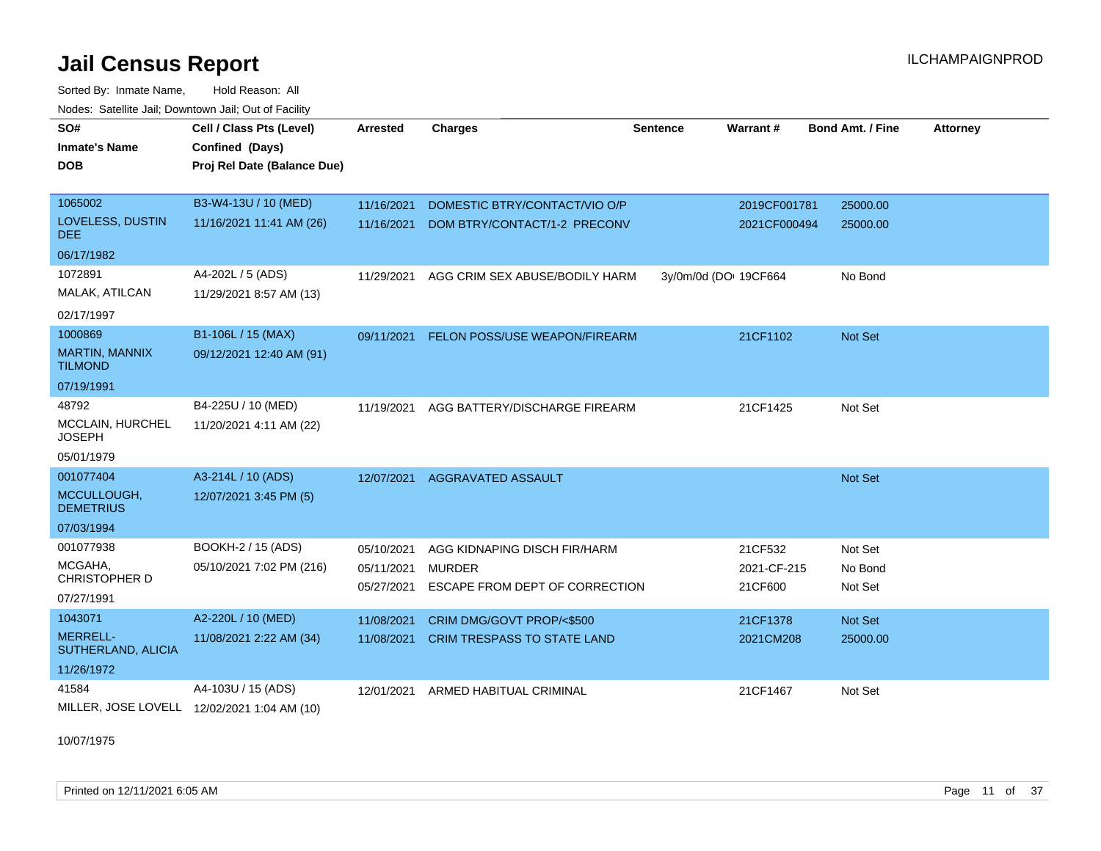Sorted By: Inmate Name, Hold Reason: All Nodes: Satellite Jail; Downtown Jail; Out of Facility

| SO#                                     | Cell / Class Pts (Level)                    | <b>Arrested</b> | <b>Charges</b>                           | <b>Sentence</b> | Warrant#              | <b>Bond Amt. / Fine</b> | <b>Attorney</b> |  |
|-----------------------------------------|---------------------------------------------|-----------------|------------------------------------------|-----------------|-----------------------|-------------------------|-----------------|--|
| <b>Inmate's Name</b>                    | Confined (Days)                             |                 |                                          |                 |                       |                         |                 |  |
| <b>DOB</b>                              | Proj Rel Date (Balance Due)                 |                 |                                          |                 |                       |                         |                 |  |
|                                         |                                             |                 |                                          |                 |                       |                         |                 |  |
| 1065002                                 | B3-W4-13U / 10 (MED)                        | 11/16/2021      | DOMESTIC BTRY/CONTACT/VIO O/P            |                 | 2019CF001781          | 25000.00                |                 |  |
| LOVELESS, DUSTIN<br>DEE.                | 11/16/2021 11:41 AM (26)                    | 11/16/2021      | DOM BTRY/CONTACT/1-2 PRECONV             |                 | 2021CF000494          | 25000.00                |                 |  |
| 06/17/1982                              |                                             |                 |                                          |                 |                       |                         |                 |  |
| 1072891                                 | A4-202L / 5 (ADS)                           | 11/29/2021      | AGG CRIM SEX ABUSE/BODILY HARM           |                 | 3y/0m/0d (DO: 19CF664 | No Bond                 |                 |  |
| MALAK, ATILCAN                          | 11/29/2021 8:57 AM (13)                     |                 |                                          |                 |                       |                         |                 |  |
| 02/17/1997                              |                                             |                 |                                          |                 |                       |                         |                 |  |
| 1000869                                 | B1-106L / 15 (MAX)                          |                 | 09/11/2021 FELON POSS/USE WEAPON/FIREARM |                 | 21CF1102              | Not Set                 |                 |  |
| <b>MARTIN, MANNIX</b><br><b>TILMOND</b> | 09/12/2021 12:40 AM (91)                    |                 |                                          |                 |                       |                         |                 |  |
| 07/19/1991                              |                                             |                 |                                          |                 |                       |                         |                 |  |
| 48792                                   | B4-225U / 10 (MED)                          | 11/19/2021      | AGG BATTERY/DISCHARGE FIREARM            |                 | 21CF1425              | Not Set                 |                 |  |
| MCCLAIN, HURCHEL<br><b>JOSEPH</b>       | 11/20/2021 4:11 AM (22)                     |                 |                                          |                 |                       |                         |                 |  |
| 05/01/1979                              |                                             |                 |                                          |                 |                       |                         |                 |  |
| 001077404                               | A3-214L / 10 (ADS)                          | 12/07/2021      | AGGRAVATED ASSAULT                       |                 |                       | Not Set                 |                 |  |
| MCCULLOUGH,<br><b>DEMETRIUS</b>         | 12/07/2021 3:45 PM (5)                      |                 |                                          |                 |                       |                         |                 |  |
| 07/03/1994                              |                                             |                 |                                          |                 |                       |                         |                 |  |
| 001077938                               | BOOKH-2 / 15 (ADS)                          | 05/10/2021      | AGG KIDNAPING DISCH FIR/HARM             |                 | 21CF532               | Not Set                 |                 |  |
| MCGAHA,                                 | 05/10/2021 7:02 PM (216)                    | 05/11/2021      | <b>MURDER</b>                            |                 | 2021-CF-215           | No Bond                 |                 |  |
| <b>CHRISTOPHER D</b>                    |                                             | 05/27/2021      | ESCAPE FROM DEPT OF CORRECTION           |                 | 21CF600               | Not Set                 |                 |  |
| 07/27/1991                              |                                             |                 |                                          |                 |                       |                         |                 |  |
| 1043071                                 | A2-220L / 10 (MED)                          | 11/08/2021      | CRIM DMG/GOVT PROP/<\$500                |                 | 21CF1378              | Not Set                 |                 |  |
| MERRELL-<br>SUTHERLAND, ALICIA          | 11/08/2021 2:22 AM (34)                     | 11/08/2021      | <b>CRIM TRESPASS TO STATE LAND</b>       |                 | 2021CM208             | 25000.00                |                 |  |
| 11/26/1972                              |                                             |                 |                                          |                 |                       |                         |                 |  |
| 41584                                   | A4-103U / 15 (ADS)                          | 12/01/2021      | ARMED HABITUAL CRIMINAL                  |                 | 21CF1467              | Not Set                 |                 |  |
|                                         | MILLER, JOSE LOVELL 12/02/2021 1:04 AM (10) |                 |                                          |                 |                       |                         |                 |  |

10/07/1975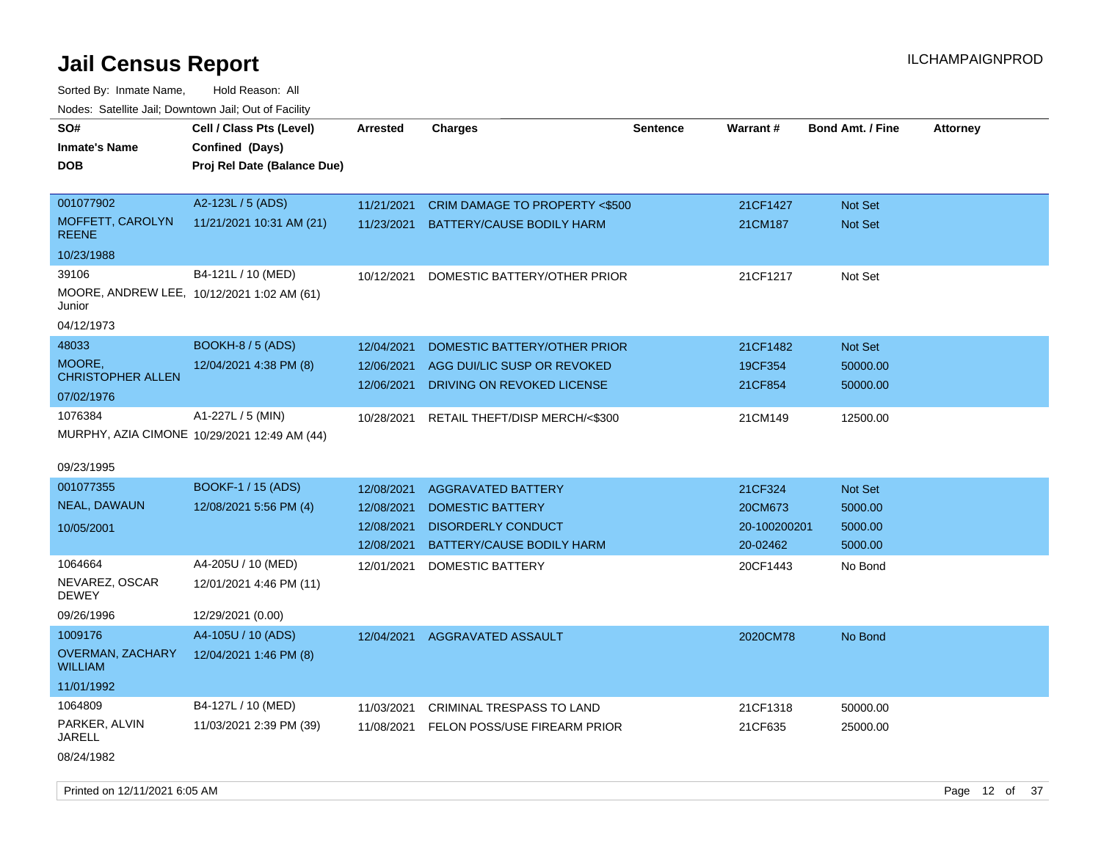| vodos. Odtomto dan, Downtown dan, Out or Fabilit     |                                              |                 |                                  |                 |              |                         |                 |
|------------------------------------------------------|----------------------------------------------|-----------------|----------------------------------|-----------------|--------------|-------------------------|-----------------|
| SO#                                                  | Cell / Class Pts (Level)                     | <b>Arrested</b> | <b>Charges</b>                   | <b>Sentence</b> | Warrant#     | <b>Bond Amt. / Fine</b> | <b>Attorney</b> |
| <b>Inmate's Name</b>                                 | Confined (Days)                              |                 |                                  |                 |              |                         |                 |
| <b>DOB</b>                                           | Proj Rel Date (Balance Due)                  |                 |                                  |                 |              |                         |                 |
|                                                      |                                              |                 |                                  |                 |              |                         |                 |
| 001077902                                            | A2-123L / 5 (ADS)                            | 11/21/2021      | CRIM DAMAGE TO PROPERTY <\$500   |                 | 21CF1427     | <b>Not Set</b>          |                 |
| MOFFETT, CAROLYN<br><b>REENE</b>                     | 11/21/2021 10:31 AM (21)                     | 11/23/2021      | <b>BATTERY/CAUSE BODILY HARM</b> |                 | 21CM187      | Not Set                 |                 |
| 10/23/1988                                           |                                              |                 |                                  |                 |              |                         |                 |
| 39106                                                | B4-121L / 10 (MED)                           | 10/12/2021      | DOMESTIC BATTERY/OTHER PRIOR     |                 | 21CF1217     | Not Set                 |                 |
| MOORE, ANDREW LEE, 10/12/2021 1:02 AM (61)<br>Junior |                                              |                 |                                  |                 |              |                         |                 |
| 04/12/1973                                           |                                              |                 |                                  |                 |              |                         |                 |
| 48033                                                | <b>BOOKH-8 / 5 (ADS)</b>                     | 12/04/2021      | DOMESTIC BATTERY/OTHER PRIOR     |                 | 21CF1482     | Not Set                 |                 |
| MOORE,                                               | 12/04/2021 4:38 PM (8)                       | 12/06/2021      | AGG DUI/LIC SUSP OR REVOKED      |                 | 19CF354      | 50000.00                |                 |
| <b>CHRISTOPHER ALLEN</b>                             |                                              | 12/06/2021      | DRIVING ON REVOKED LICENSE       |                 | 21CF854      | 50000.00                |                 |
| 07/02/1976                                           |                                              |                 |                                  |                 |              |                         |                 |
| 1076384                                              | A1-227L / 5 (MIN)                            | 10/28/2021      | RETAIL THEFT/DISP MERCH/<\$300   |                 | 21CM149      | 12500.00                |                 |
|                                                      | MURPHY, AZIA CIMONE 10/29/2021 12:49 AM (44) |                 |                                  |                 |              |                         |                 |
| 09/23/1995                                           |                                              |                 |                                  |                 |              |                         |                 |
| 001077355                                            | BOOKF-1 / 15 (ADS)                           | 12/08/2021      | <b>AGGRAVATED BATTERY</b>        |                 | 21CF324      | Not Set                 |                 |
| NEAL, DAWAUN                                         | 12/08/2021 5:56 PM (4)                       | 12/08/2021      | <b>DOMESTIC BATTERY</b>          |                 | 20CM673      | 5000.00                 |                 |
| 10/05/2001                                           |                                              | 12/08/2021      | <b>DISORDERLY CONDUCT</b>        |                 | 20-100200201 | 5000.00                 |                 |
|                                                      |                                              | 12/08/2021      | BATTERY/CAUSE BODILY HARM        |                 | 20-02462     | 5000.00                 |                 |
| 1064664                                              | A4-205U / 10 (MED)                           | 12/01/2021      | <b>DOMESTIC BATTERY</b>          |                 | 20CF1443     | No Bond                 |                 |
| NEVAREZ, OSCAR<br>DEWEY                              | 12/01/2021 4:46 PM (11)                      |                 |                                  |                 |              |                         |                 |
| 09/26/1996                                           | 12/29/2021 (0.00)                            |                 |                                  |                 |              |                         |                 |
| 1009176                                              | A4-105U / 10 (ADS)                           | 12/04/2021      | AGGRAVATED ASSAULT               |                 | 2020CM78     | No Bond                 |                 |
| <b>OVERMAN, ZACHARY</b><br><b>WILLIAM</b>            | 12/04/2021 1:46 PM (8)                       |                 |                                  |                 |              |                         |                 |
| 11/01/1992                                           |                                              |                 |                                  |                 |              |                         |                 |
| 1064809                                              | B4-127L / 10 (MED)                           | 11/03/2021      | CRIMINAL TRESPASS TO LAND        |                 | 21CF1318     | 50000.00                |                 |
| PARKER, ALVIN<br>JARELL                              | 11/03/2021 2:39 PM (39)                      | 11/08/2021      | FELON POSS/USE FIREARM PRIOR     |                 | 21CF635      | 25000.00                |                 |
| 08/24/1982                                           |                                              |                 |                                  |                 |              |                         |                 |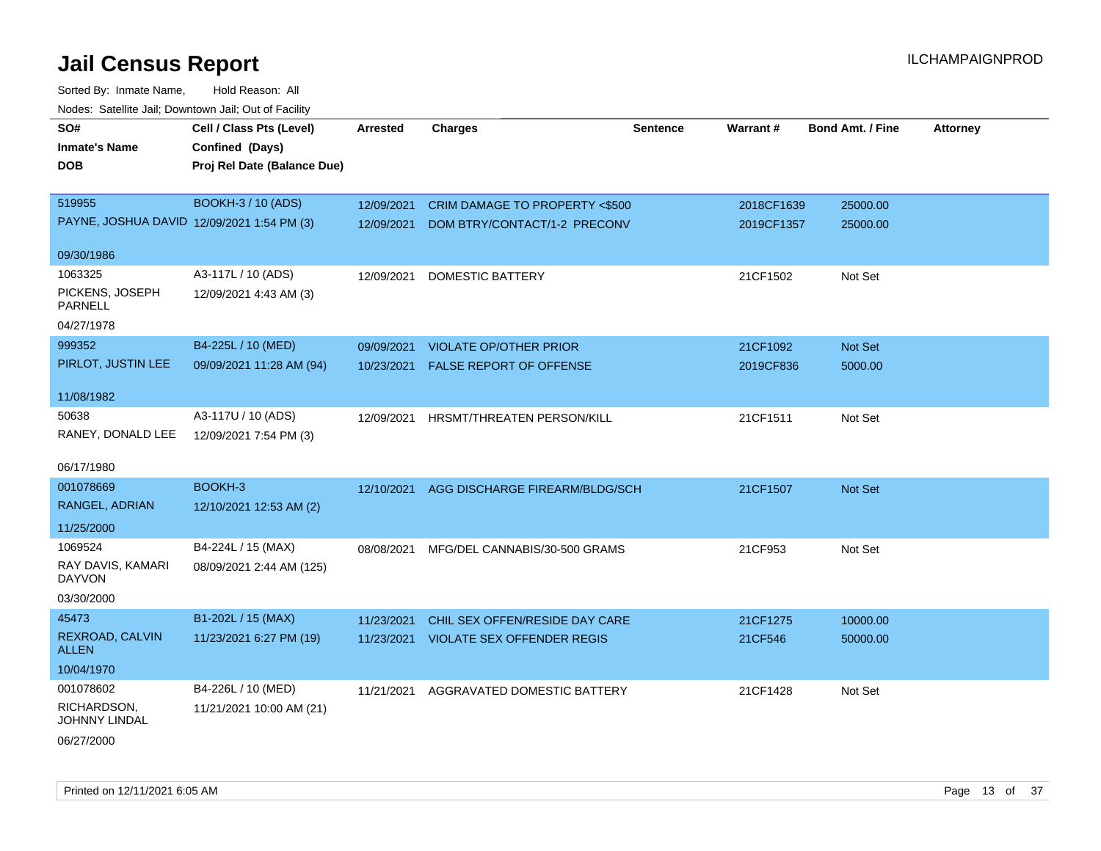| <b>NOULD:</b> Catoline bail, Downtown bail, Out of I dollty |                                             |                 |                                          |          |                 |                         |                 |
|-------------------------------------------------------------|---------------------------------------------|-----------------|------------------------------------------|----------|-----------------|-------------------------|-----------------|
| SO#<br><b>Inmate's Name</b>                                 | Cell / Class Pts (Level)<br>Confined (Days) | <b>Arrested</b> | <b>Charges</b>                           | Sentence | <b>Warrant#</b> | <b>Bond Amt. / Fine</b> | <b>Attorney</b> |
| <b>DOB</b>                                                  | Proj Rel Date (Balance Due)                 |                 |                                          |          |                 |                         |                 |
|                                                             |                                             |                 |                                          |          |                 |                         |                 |
| 519955                                                      | BOOKH-3 / 10 (ADS)                          | 12/09/2021      | <b>CRIM DAMAGE TO PROPERTY &lt;\$500</b> |          | 2018CF1639      | 25000.00                |                 |
| PAYNE, JOSHUA DAVID 12/09/2021 1:54 PM (3)                  |                                             | 12/09/2021      | DOM BTRY/CONTACT/1-2 PRECONV             |          | 2019CF1357      | 25000.00                |                 |
| 09/30/1986                                                  |                                             |                 |                                          |          |                 |                         |                 |
| 1063325                                                     | A3-117L / 10 (ADS)                          | 12/09/2021      | <b>DOMESTIC BATTERY</b>                  |          | 21CF1502        | Not Set                 |                 |
| PICKENS, JOSEPH<br><b>PARNELL</b>                           | 12/09/2021 4:43 AM (3)                      |                 |                                          |          |                 |                         |                 |
| 04/27/1978                                                  |                                             |                 |                                          |          |                 |                         |                 |
| 999352                                                      | B4-225L / 10 (MED)                          | 09/09/2021      | <b>VIOLATE OP/OTHER PRIOR</b>            |          | 21CF1092        | Not Set                 |                 |
| PIRLOT, JUSTIN LEE                                          | 09/09/2021 11:28 AM (94)                    | 10/23/2021      | <b>FALSE REPORT OF OFFENSE</b>           |          | 2019CF836       | 5000.00                 |                 |
|                                                             |                                             |                 |                                          |          |                 |                         |                 |
| 11/08/1982                                                  |                                             |                 |                                          |          |                 |                         |                 |
| 50638                                                       | A3-117U / 10 (ADS)                          | 12/09/2021      | <b>HRSMT/THREATEN PERSON/KILL</b>        |          | 21CF1511        | Not Set                 |                 |
| RANEY, DONALD LEE                                           | 12/09/2021 7:54 PM (3)                      |                 |                                          |          |                 |                         |                 |
| 06/17/1980                                                  |                                             |                 |                                          |          |                 |                         |                 |
| 001078669                                                   | BOOKH-3                                     | 12/10/2021      | AGG DISCHARGE FIREARM/BLDG/SCH           |          | 21CF1507        | Not Set                 |                 |
| RANGEL, ADRIAN                                              | 12/10/2021 12:53 AM (2)                     |                 |                                          |          |                 |                         |                 |
| 11/25/2000                                                  |                                             |                 |                                          |          |                 |                         |                 |
| 1069524                                                     | B4-224L / 15 (MAX)                          | 08/08/2021      | MFG/DEL CANNABIS/30-500 GRAMS            |          | 21CF953         | Not Set                 |                 |
| RAY DAVIS, KAMARI<br><b>DAYVON</b>                          | 08/09/2021 2:44 AM (125)                    |                 |                                          |          |                 |                         |                 |
| 03/30/2000                                                  |                                             |                 |                                          |          |                 |                         |                 |
| 45473                                                       | B1-202L / 15 (MAX)                          | 11/23/2021      | CHIL SEX OFFEN/RESIDE DAY CARE           |          | 21CF1275        | 10000.00                |                 |
| REXROAD, CALVIN<br><b>ALLEN</b>                             | 11/23/2021 6:27 PM (19)                     |                 | 11/23/2021 VIOLATE SEX OFFENDER REGIS    |          | 21CF546         | 50000.00                |                 |
| 10/04/1970                                                  |                                             |                 |                                          |          |                 |                         |                 |
| 001078602                                                   | B4-226L / 10 (MED)                          | 11/21/2021      | AGGRAVATED DOMESTIC BATTERY              |          | 21CF1428        | Not Set                 |                 |
| RICHARDSON,<br><b>JOHNNY LINDAL</b>                         | 11/21/2021 10:00 AM (21)                    |                 |                                          |          |                 |                         |                 |
| 06/27/2000                                                  |                                             |                 |                                          |          |                 |                         |                 |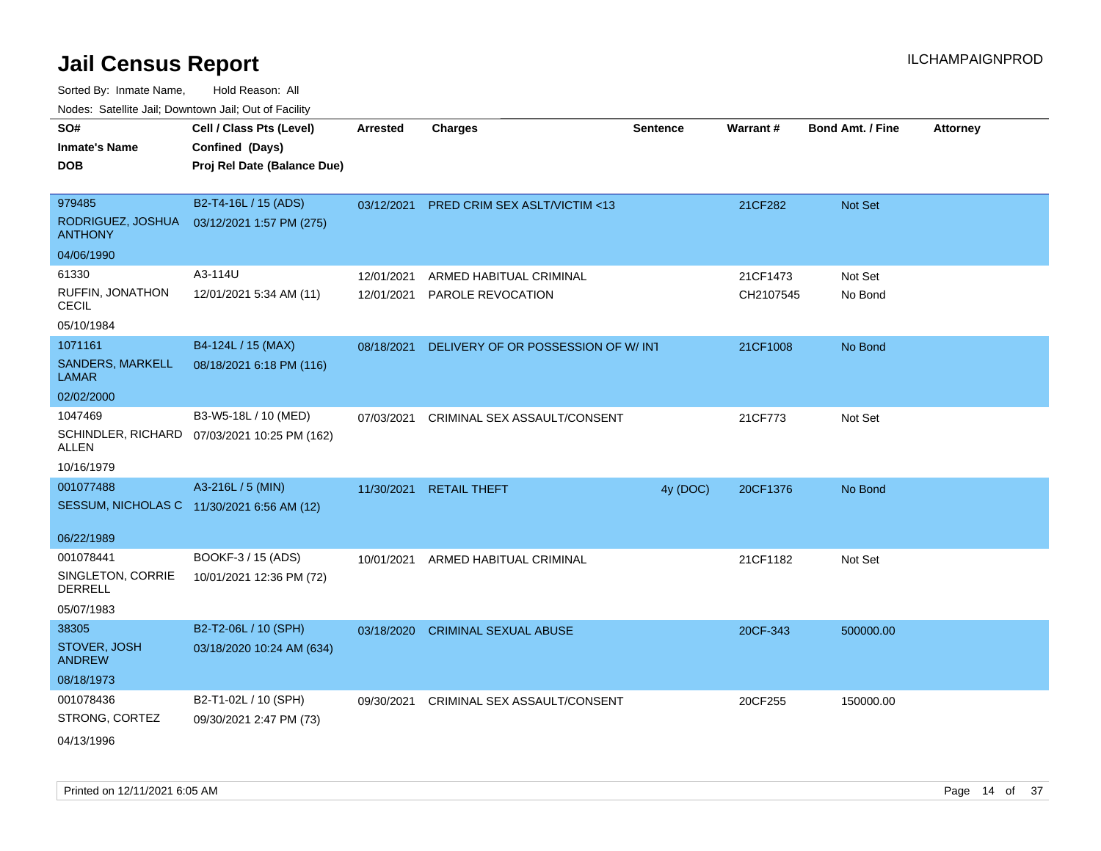| SO#                                 | Cell / Class Pts (Level)                     | Arrested   | <b>Charges</b>                     | <b>Sentence</b> | Warrant#  | <b>Bond Amt. / Fine</b> | <b>Attorney</b> |
|-------------------------------------|----------------------------------------------|------------|------------------------------------|-----------------|-----------|-------------------------|-----------------|
| <b>Inmate's Name</b>                | Confined (Days)                              |            |                                    |                 |           |                         |                 |
| <b>DOB</b>                          | Proj Rel Date (Balance Due)                  |            |                                    |                 |           |                         |                 |
|                                     |                                              |            |                                    |                 |           |                         |                 |
| 979485                              | B2-T4-16L / 15 (ADS)                         | 03/12/2021 | PRED CRIM SEX ASLT/VICTIM <13      |                 | 21CF282   | Not Set                 |                 |
| RODRIGUEZ, JOSHUA<br><b>ANTHONY</b> | 03/12/2021 1:57 PM (275)                     |            |                                    |                 |           |                         |                 |
| 04/06/1990                          |                                              |            |                                    |                 |           |                         |                 |
| 61330                               | A3-114U                                      | 12/01/2021 | ARMED HABITUAL CRIMINAL            |                 | 21CF1473  | Not Set                 |                 |
| RUFFIN, JONATHON<br><b>CECIL</b>    | 12/01/2021 5:34 AM (11)                      | 12/01/2021 | PAROLE REVOCATION                  |                 | CH2107545 | No Bond                 |                 |
| 05/10/1984                          |                                              |            |                                    |                 |           |                         |                 |
| 1071161                             | B4-124L / 15 (MAX)                           | 08/18/2021 | DELIVERY OF OR POSSESSION OF W/INT |                 | 21CF1008  | No Bond                 |                 |
| SANDERS, MARKELL<br><b>LAMAR</b>    | 08/18/2021 6:18 PM (116)                     |            |                                    |                 |           |                         |                 |
| 02/02/2000                          |                                              |            |                                    |                 |           |                         |                 |
| 1047469                             | B3-W5-18L / 10 (MED)                         | 07/03/2021 | CRIMINAL SEX ASSAULT/CONSENT       |                 | 21CF773   | Not Set                 |                 |
| <b>ALLEN</b>                        | SCHINDLER, RICHARD 07/03/2021 10:25 PM (162) |            |                                    |                 |           |                         |                 |
| 10/16/1979                          |                                              |            |                                    |                 |           |                         |                 |
| 001077488                           | A3-216L / 5 (MIN)                            | 11/30/2021 | <b>RETAIL THEFT</b>                | 4y (DOC)        | 20CF1376  | No Bond                 |                 |
|                                     | SESSUM, NICHOLAS C 11/30/2021 6:56 AM (12)   |            |                                    |                 |           |                         |                 |
| 06/22/1989                          |                                              |            |                                    |                 |           |                         |                 |
| 001078441                           | BOOKF-3 / 15 (ADS)                           |            |                                    |                 |           | Not Set                 |                 |
| SINGLETON, CORRIE<br><b>DERRELL</b> | 10/01/2021 12:36 PM (72)                     | 10/01/2021 | ARMED HABITUAL CRIMINAL            |                 | 21CF1182  |                         |                 |
| 05/07/1983                          |                                              |            |                                    |                 |           |                         |                 |
| 38305                               | B2-T2-06L / 10 (SPH)                         | 03/18/2020 | <b>CRIMINAL SEXUAL ABUSE</b>       |                 | 20CF-343  | 500000.00               |                 |
| STOVER, JOSH<br><b>ANDREW</b>       | 03/18/2020 10:24 AM (634)                    |            |                                    |                 |           |                         |                 |
| 08/18/1973                          |                                              |            |                                    |                 |           |                         |                 |
| 001078436                           | B2-T1-02L / 10 (SPH)                         | 09/30/2021 | CRIMINAL SEX ASSAULT/CONSENT       |                 | 20CF255   | 150000.00               |                 |
| STRONG, CORTEZ                      | 09/30/2021 2:47 PM (73)                      |            |                                    |                 |           |                         |                 |
| 04/13/1996                          |                                              |            |                                    |                 |           |                         |                 |
|                                     |                                              |            |                                    |                 |           |                         |                 |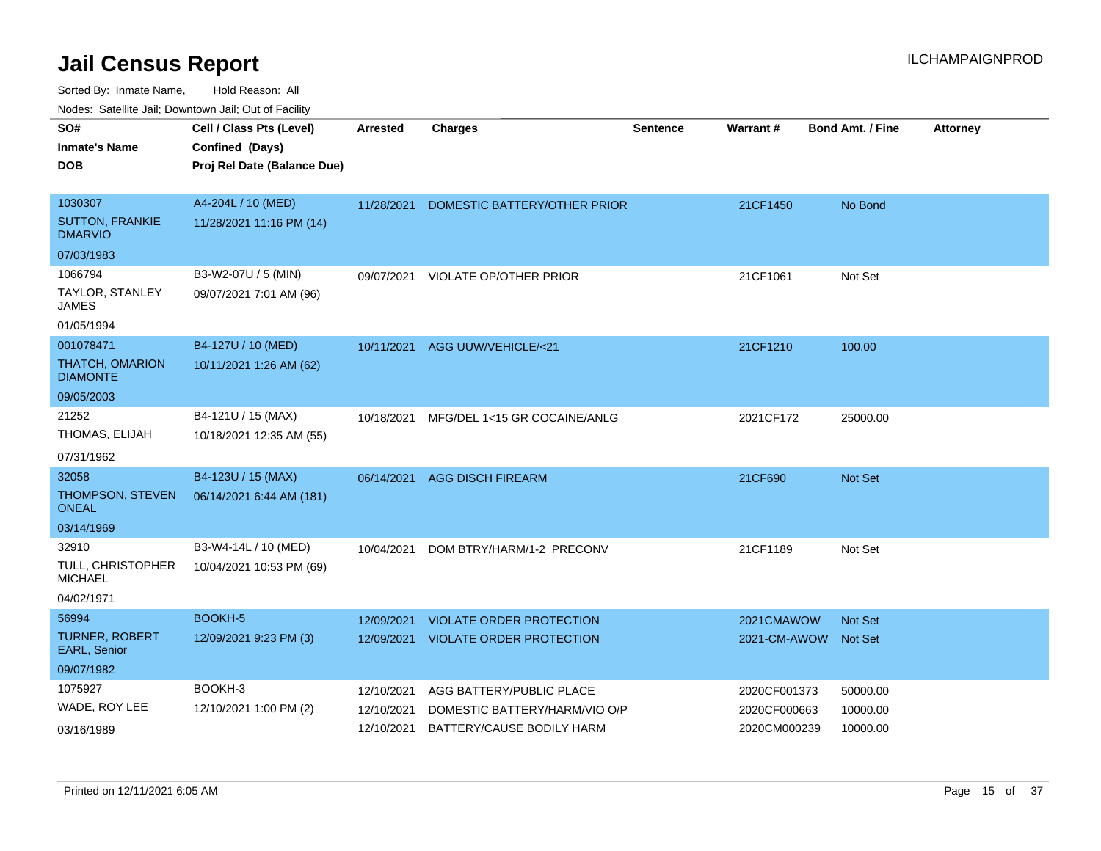| SO#<br><b>Inmate's Name</b>                | Cell / Class Pts (Level)<br>Confined (Days) | Arrested   | <b>Charges</b>                  | <b>Sentence</b> | Warrant#             | <b>Bond Amt. / Fine</b> | <b>Attorney</b> |
|--------------------------------------------|---------------------------------------------|------------|---------------------------------|-----------------|----------------------|-------------------------|-----------------|
| <b>DOB</b>                                 | Proj Rel Date (Balance Due)                 |            |                                 |                 |                      |                         |                 |
| 1030307                                    | A4-204L / 10 (MED)                          | 11/28/2021 | DOMESTIC BATTERY/OTHER PRIOR    |                 | 21CF1450             | No Bond                 |                 |
| <b>SUTTON, FRANKIE</b><br><b>DMARVIO</b>   | 11/28/2021 11:16 PM (14)                    |            |                                 |                 |                      |                         |                 |
| 07/03/1983                                 |                                             |            |                                 |                 |                      |                         |                 |
| 1066794                                    | B3-W2-07U / 5 (MIN)                         | 09/07/2021 | <b>VIOLATE OP/OTHER PRIOR</b>   |                 | 21CF1061             | Not Set                 |                 |
| TAYLOR, STANLEY<br>JAMES                   | 09/07/2021 7:01 AM (96)                     |            |                                 |                 |                      |                         |                 |
| 01/05/1994                                 |                                             |            |                                 |                 |                      |                         |                 |
| 001078471                                  | B4-127U / 10 (MED)                          | 10/11/2021 | AGG UUW/VEHICLE/<21             |                 | 21CF1210             | 100.00                  |                 |
| <b>THATCH, OMARION</b><br><b>DIAMONTE</b>  | 10/11/2021 1:26 AM (62)                     |            |                                 |                 |                      |                         |                 |
| 09/05/2003                                 |                                             |            |                                 |                 |                      |                         |                 |
| 21252                                      | B4-121U / 15 (MAX)                          | 10/18/2021 | MFG/DEL 1<15 GR COCAINE/ANLG    |                 | 2021CF172            | 25000.00                |                 |
| THOMAS, ELIJAH                             | 10/18/2021 12:35 AM (55)                    |            |                                 |                 |                      |                         |                 |
| 07/31/1962                                 |                                             |            |                                 |                 |                      |                         |                 |
| 32058                                      | B4-123U / 15 (MAX)                          | 06/14/2021 | <b>AGG DISCH FIREARM</b>        |                 | 21CF690              | <b>Not Set</b>          |                 |
| THOMPSON, STEVEN<br><b>ONEAL</b>           | 06/14/2021 6:44 AM (181)                    |            |                                 |                 |                      |                         |                 |
| 03/14/1969                                 |                                             |            |                                 |                 |                      |                         |                 |
| 32910                                      | B3-W4-14L / 10 (MED)                        | 10/04/2021 | DOM BTRY/HARM/1-2 PRECONV       |                 | 21CF1189             | Not Set                 |                 |
| <b>TULL, CHRISTOPHER</b><br><b>MICHAEL</b> | 10/04/2021 10:53 PM (69)                    |            |                                 |                 |                      |                         |                 |
| 04/02/1971                                 |                                             |            |                                 |                 |                      |                         |                 |
| 56994                                      | BOOKH-5                                     | 12/09/2021 | VIOLATE ORDER PROTECTION        |                 | 2021CMAWOW           | <b>Not Set</b>          |                 |
| <b>TURNER, ROBERT</b><br>EARL, Senior      | 12/09/2021 9:23 PM (3)                      | 12/09/2021 | <b>VIOLATE ORDER PROTECTION</b> |                 | 2021-CM-AWOW Not Set |                         |                 |
| 09/07/1982                                 |                                             |            |                                 |                 |                      |                         |                 |
| 1075927                                    | BOOKH-3                                     | 12/10/2021 | AGG BATTERY/PUBLIC PLACE        |                 | 2020CF001373         | 50000.00                |                 |
| WADE, ROY LEE                              | 12/10/2021 1:00 PM (2)                      | 12/10/2021 | DOMESTIC BATTERY/HARM/VIO O/P   |                 | 2020CF000663         | 10000.00                |                 |
| 03/16/1989                                 |                                             | 12/10/2021 | BATTERY/CAUSE BODILY HARM       |                 | 2020CM000239         | 10000.00                |                 |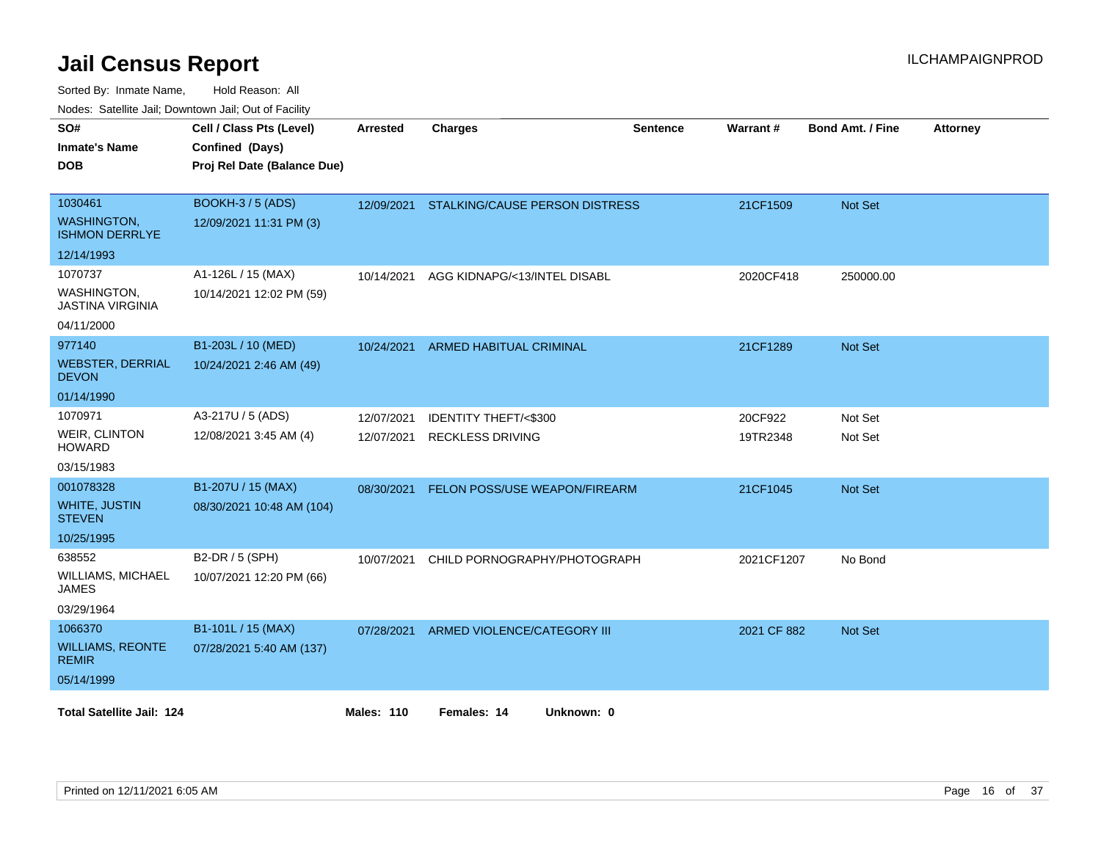| Nuuts. Saltiille Jali, Duwilluwii Jali, Oul of Facility<br>SO# | Cell / Class Pts (Level)    | Arrested          | <b>Charges</b>                            | <b>Sentence</b> | <b>Warrant#</b> | <b>Bond Amt. / Fine</b> | <b>Attorney</b> |
|----------------------------------------------------------------|-----------------------------|-------------------|-------------------------------------------|-----------------|-----------------|-------------------------|-----------------|
| <b>Inmate's Name</b>                                           | Confined (Days)             |                   |                                           |                 |                 |                         |                 |
| <b>DOB</b>                                                     | Proj Rel Date (Balance Due) |                   |                                           |                 |                 |                         |                 |
|                                                                |                             |                   |                                           |                 |                 |                         |                 |
| 1030461                                                        | <b>BOOKH-3 / 5 (ADS)</b>    |                   | 12/09/2021 STALKING/CAUSE PERSON DISTRESS |                 | 21CF1509        | Not Set                 |                 |
| <b>WASHINGTON,</b><br><b>ISHMON DERRLYE</b>                    | 12/09/2021 11:31 PM (3)     |                   |                                           |                 |                 |                         |                 |
| 12/14/1993                                                     |                             |                   |                                           |                 |                 |                         |                 |
| 1070737                                                        | A1-126L / 15 (MAX)          | 10/14/2021        | AGG KIDNAPG/<13/INTEL DISABL              |                 | 2020CF418       | 250000.00               |                 |
| <b>WASHINGTON,</b><br><b>JASTINA VIRGINIA</b>                  | 10/14/2021 12:02 PM (59)    |                   |                                           |                 |                 |                         |                 |
| 04/11/2000                                                     |                             |                   |                                           |                 |                 |                         |                 |
| 977140                                                         | B1-203L / 10 (MED)          | 10/24/2021        | <b>ARMED HABITUAL CRIMINAL</b>            |                 | 21CF1289        | <b>Not Set</b>          |                 |
| <b>WEBSTER, DERRIAL</b><br><b>DEVON</b>                        | 10/24/2021 2:46 AM (49)     |                   |                                           |                 |                 |                         |                 |
| 01/14/1990                                                     |                             |                   |                                           |                 |                 |                         |                 |
| 1070971                                                        | A3-217U / 5 (ADS)           | 12/07/2021        | <b>IDENTITY THEFT/&lt;\$300</b>           |                 | 20CF922         | Not Set                 |                 |
| <b>WEIR, CLINTON</b><br><b>HOWARD</b>                          | 12/08/2021 3:45 AM (4)      | 12/07/2021        | <b>RECKLESS DRIVING</b>                   |                 | 19TR2348        | Not Set                 |                 |
| 03/15/1983                                                     |                             |                   |                                           |                 |                 |                         |                 |
| 001078328                                                      | B1-207U / 15 (MAX)          | 08/30/2021        | FELON POSS/USE WEAPON/FIREARM             |                 | 21CF1045        | Not Set                 |                 |
| <b>WHITE, JUSTIN</b><br><b>STEVEN</b>                          | 08/30/2021 10:48 AM (104)   |                   |                                           |                 |                 |                         |                 |
| 10/25/1995                                                     |                             |                   |                                           |                 |                 |                         |                 |
| 638552                                                         | B2-DR / 5 (SPH)             | 10/07/2021        | CHILD PORNOGRAPHY/PHOTOGRAPH              |                 | 2021CF1207      | No Bond                 |                 |
| WILLIAMS, MICHAEL<br><b>JAMES</b>                              | 10/07/2021 12:20 PM (66)    |                   |                                           |                 |                 |                         |                 |
| 03/29/1964                                                     |                             |                   |                                           |                 |                 |                         |                 |
| 1066370                                                        | B1-101L / 15 (MAX)          | 07/28/2021        | ARMED VIOLENCE/CATEGORY III               |                 | 2021 CF 882     | Not Set                 |                 |
| <b>WILLIAMS, REONTE</b><br><b>REMIR</b>                        | 07/28/2021 5:40 AM (137)    |                   |                                           |                 |                 |                         |                 |
| 05/14/1999                                                     |                             |                   |                                           |                 |                 |                         |                 |
| <b>Total Satellite Jail: 124</b>                               |                             | <b>Males: 110</b> | Females: 14<br>Unknown: 0                 |                 |                 |                         |                 |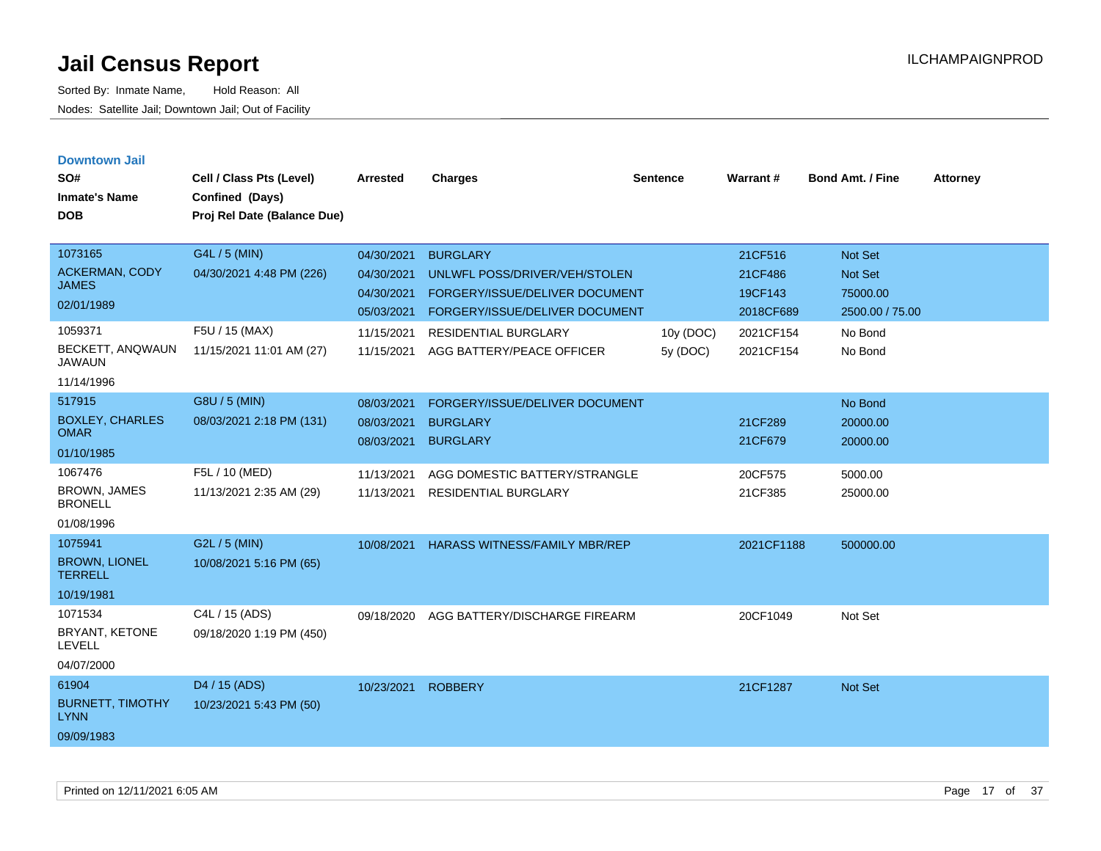| <b>Downtown Jail</b><br>SO#<br><b>Inmate's Name</b><br><b>DOB</b> | Cell / Class Pts (Level)<br>Confined (Days)<br>Proj Rel Date (Balance Due) | <b>Arrested</b>          | <b>Charges</b>                                                          | <b>Sentence</b>       | Warrant#               | <b>Bond Amt. / Fine</b>     | <b>Attorney</b> |
|-------------------------------------------------------------------|----------------------------------------------------------------------------|--------------------------|-------------------------------------------------------------------------|-----------------------|------------------------|-----------------------------|-----------------|
| 1073165                                                           | G4L / 5 (MIN)                                                              | 04/30/2021               | <b>BURGLARY</b>                                                         |                       | 21CF516                | <b>Not Set</b>              |                 |
| <b>ACKERMAN, CODY</b><br><b>JAMES</b>                             | 04/30/2021 4:48 PM (226)                                                   | 04/30/2021               | UNLWFL POSS/DRIVER/VEH/STOLEN                                           |                       | 21CF486                | Not Set                     |                 |
| 02/01/1989                                                        |                                                                            | 04/30/2021<br>05/03/2021 | <b>FORGERY/ISSUE/DELIVER DOCUMENT</b><br>FORGERY/ISSUE/DELIVER DOCUMENT |                       | 19CF143<br>2018CF689   | 75000.00<br>2500.00 / 75.00 |                 |
| 1059371<br>BECKETT, ANQWAUN<br><b>JAWAUN</b><br>11/14/1996        | F5U / 15 (MAX)<br>11/15/2021 11:01 AM (27)                                 | 11/15/2021<br>11/15/2021 | <b>RESIDENTIAL BURGLARY</b><br>AGG BATTERY/PEACE OFFICER                | 10y (DOC)<br>5y (DOC) | 2021CF154<br>2021CF154 | No Bond<br>No Bond          |                 |
| 517915                                                            | G8U / 5 (MIN)                                                              | 08/03/2021               | FORGERY/ISSUE/DELIVER DOCUMENT                                          |                       |                        | No Bond                     |                 |
| <b>BOXLEY, CHARLES</b><br><b>OMAR</b>                             | 08/03/2021 2:18 PM (131)                                                   | 08/03/2021               | <b>BURGLARY</b><br><b>BURGLARY</b>                                      |                       | 21CF289<br>21CF679     | 20000.00                    |                 |
| 01/10/1985                                                        |                                                                            | 08/03/2021               |                                                                         |                       |                        | 20000.00                    |                 |
| 1067476<br>BROWN, JAMES<br><b>BRONELL</b><br>01/08/1996           | F5L / 10 (MED)<br>11/13/2021 2:35 AM (29)                                  | 11/13/2021<br>11/13/2021 | AGG DOMESTIC BATTERY/STRANGLE<br><b>RESIDENTIAL BURGLARY</b>            |                       | 20CF575<br>21CF385     | 5000.00<br>25000.00         |                 |
| 1075941<br><b>BROWN, LIONEL</b><br><b>TERRELL</b><br>10/19/1981   | G2L / 5 (MIN)<br>10/08/2021 5:16 PM (65)                                   | 10/08/2021               | <b>HARASS WITNESS/FAMILY MBR/REP</b>                                    |                       | 2021CF1188             | 500000.00                   |                 |
| 1071534<br>BRYANT, KETONE<br><b>LEVELL</b><br>04/07/2000          | C4L / 15 (ADS)<br>09/18/2020 1:19 PM (450)                                 | 09/18/2020               | AGG BATTERY/DISCHARGE FIREARM                                           |                       | 20CF1049               | Not Set                     |                 |
| 61904<br><b>BURNETT, TIMOTHY</b><br><b>LYNN</b><br>09/09/1983     | D <sub>4</sub> / 15 (ADS)<br>10/23/2021 5:43 PM (50)                       | 10/23/2021               | <b>ROBBERY</b>                                                          |                       | 21CF1287               | <b>Not Set</b>              |                 |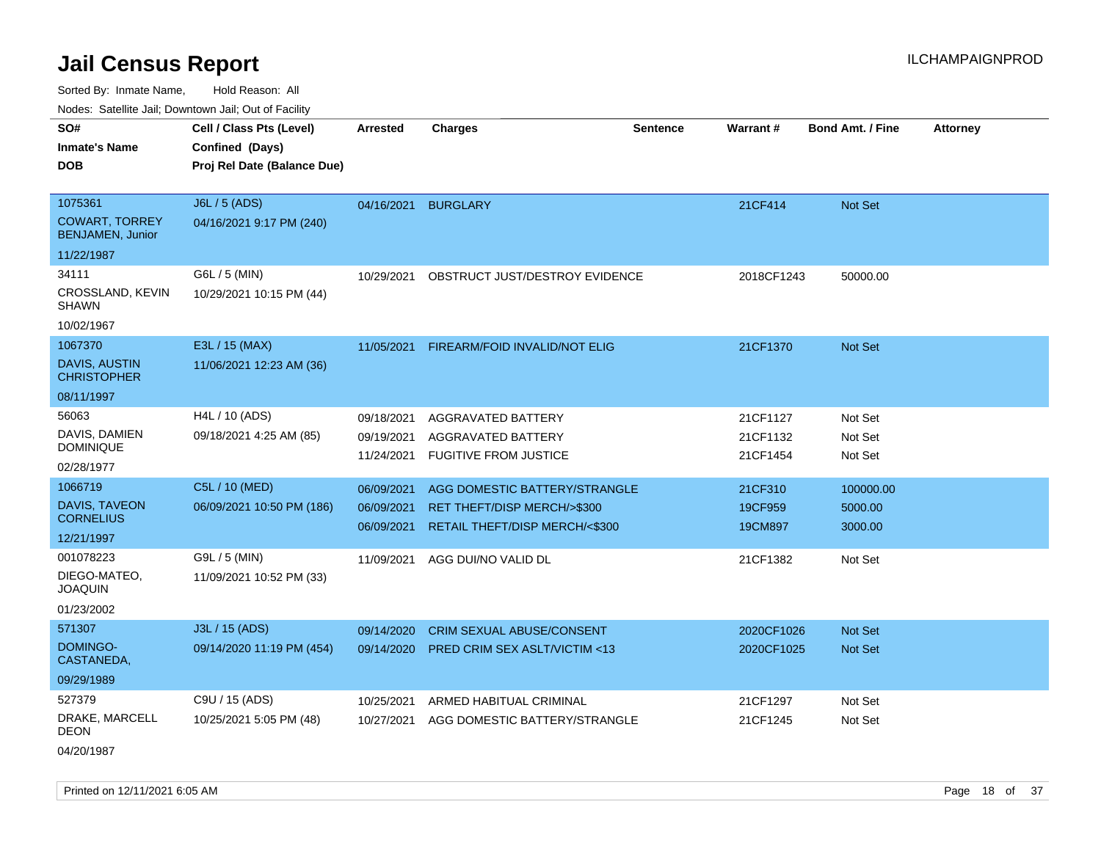Sorted By: Inmate Name, Hold Reason: All

Nodes: Satellite Jail; Downtown Jail; Out of Facility

| vouco. Catolino cali, Downtown cali, Out of Fability                  |                                                                            |                                        |                                                                                                |                 |                                  |                                 |                 |
|-----------------------------------------------------------------------|----------------------------------------------------------------------------|----------------------------------------|------------------------------------------------------------------------------------------------|-----------------|----------------------------------|---------------------------------|-----------------|
| SO#<br><b>Inmate's Name</b><br><b>DOB</b>                             | Cell / Class Pts (Level)<br>Confined (Days)<br>Proj Rel Date (Balance Due) | <b>Arrested</b>                        | <b>Charges</b>                                                                                 | <b>Sentence</b> | <b>Warrant#</b>                  | <b>Bond Amt. / Fine</b>         | <b>Attorney</b> |
| 1075361<br><b>COWART, TORREY</b><br><b>BENJAMEN, Junior</b>           | J6L / 5 (ADS)<br>04/16/2021 9:17 PM (240)                                  | 04/16/2021                             | <b>BURGLARY</b>                                                                                |                 | 21CF414                          | Not Set                         |                 |
| 11/22/1987<br>34111<br>CROSSLAND, KEVIN<br><b>SHAWN</b><br>10/02/1967 | G6L / 5 (MIN)<br>10/29/2021 10:15 PM (44)                                  | 10/29/2021                             | OBSTRUCT JUST/DESTROY EVIDENCE                                                                 |                 | 2018CF1243                       | 50000.00                        |                 |
| 1067370<br><b>DAVIS, AUSTIN</b><br><b>CHRISTOPHER</b><br>08/11/1997   | E3L / 15 (MAX)<br>11/06/2021 12:23 AM (36)                                 | 11/05/2021                             | FIREARM/FOID INVALID/NOT ELIG                                                                  |                 | 21CF1370                         | <b>Not Set</b>                  |                 |
| 56063<br>DAVIS, DAMIEN<br><b>DOMINIQUE</b><br>02/28/1977              | H4L / 10 (ADS)<br>09/18/2021 4:25 AM (85)                                  | 09/18/2021<br>09/19/2021<br>11/24/2021 | AGGRAVATED BATTERY<br>AGGRAVATED BATTERY<br><b>FUGITIVE FROM JUSTICE</b>                       |                 | 21CF1127<br>21CF1132<br>21CF1454 | Not Set<br>Not Set<br>Not Set   |                 |
| 1066719<br>DAVIS, TAVEON<br><b>CORNELIUS</b><br>12/21/1997            | C5L / 10 (MED)<br>06/09/2021 10:50 PM (186)                                | 06/09/2021<br>06/09/2021<br>06/09/2021 | AGG DOMESTIC BATTERY/STRANGLE<br>RET THEFT/DISP MERCH/>\$300<br>RETAIL THEFT/DISP MERCH/<\$300 |                 | 21CF310<br>19CF959<br>19CM897    | 100000.00<br>5000.00<br>3000.00 |                 |
| 001078223<br>DIEGO-MATEO,<br><b>JOAQUIN</b><br>01/23/2002             | G9L / 5 (MIN)<br>11/09/2021 10:52 PM (33)                                  | 11/09/2021                             | AGG DUI/NO VALID DL                                                                            |                 | 21CF1382                         | Not Set                         |                 |
| 571307<br>DOMINGO-<br>CASTANEDA,<br>09/29/1989                        | J3L / 15 (ADS)<br>09/14/2020 11:19 PM (454)                                | 09/14/2020<br>09/14/2020               | CRIM SEXUAL ABUSE/CONSENT<br><b>PRED CRIM SEX ASLT/VICTIM &lt;13</b>                           |                 | 2020CF1026<br>2020CF1025         | Not Set<br><b>Not Set</b>       |                 |
| 527379<br>DRAKE, MARCELL<br><b>DEON</b>                               | C9U / 15 (ADS)<br>10/25/2021 5:05 PM (48)                                  | 10/25/2021<br>10/27/2021               | ARMED HABITUAL CRIMINAL<br>AGG DOMESTIC BATTERY/STRANGLE                                       |                 | 21CF1297<br>21CF1245             | Not Set<br>Not Set              |                 |

04/20/1987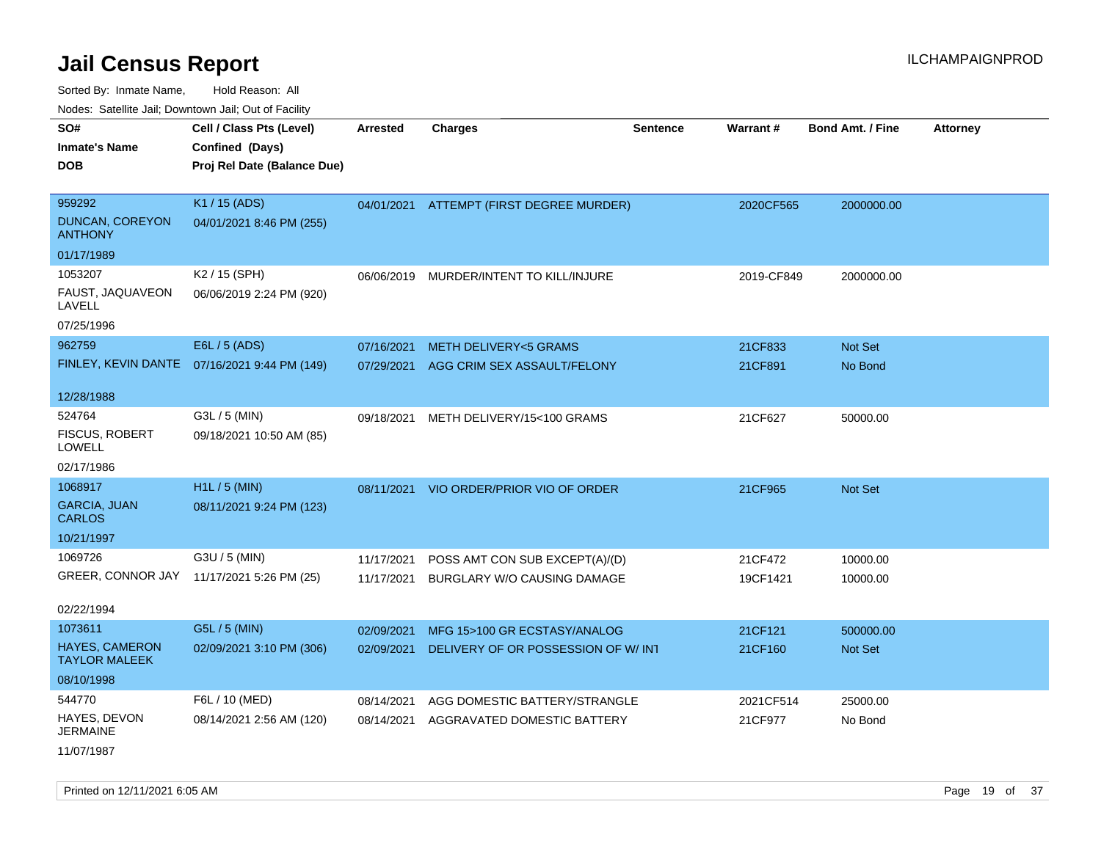Sorted By: Inmate Name, Hold Reason: All

Nodes: Satellite Jail; Downtown Jail; Out of Facility

| SO#<br><b>Inmate's Name</b><br><b>DOB</b>                      | Cell / Class Pts (Level)<br>Confined (Days)<br>Proj Rel Date (Balance Due) | Arrested                 | <b>Charges</b>                                                       | <b>Sentence</b> | Warrant#            | <b>Bond Amt. / Fine</b> | <b>Attorney</b> |
|----------------------------------------------------------------|----------------------------------------------------------------------------|--------------------------|----------------------------------------------------------------------|-----------------|---------------------|-------------------------|-----------------|
| 959292<br><b>DUNCAN, COREYON</b><br><b>ANTHONY</b>             | K1 / 15 (ADS)<br>04/01/2021 8:46 PM (255)                                  |                          | 04/01/2021 ATTEMPT (FIRST DEGREE MURDER)                             |                 | 2020CF565           | 2000000.00              |                 |
| 01/17/1989                                                     |                                                                            |                          |                                                                      |                 |                     |                         |                 |
| 1053207<br>FAUST, JAQUAVEON<br>LAVELL<br>07/25/1996            | K2 / 15 (SPH)<br>06/06/2019 2:24 PM (920)                                  | 06/06/2019               | MURDER/INTENT TO KILL/INJURE                                         |                 | 2019-CF849          | 2000000.00              |                 |
| 962759                                                         | E6L / 5 (ADS)                                                              | 07/16/2021               | <b>METH DELIVERY&lt;5 GRAMS</b>                                      |                 | 21CF833             | <b>Not Set</b>          |                 |
| FINLEY, KEVIN DANTE                                            | 07/16/2021 9:44 PM (149)                                                   | 07/29/2021               | AGG CRIM SEX ASSAULT/FELONY                                          |                 | 21CF891             | No Bond                 |                 |
| 12/28/1988                                                     |                                                                            |                          |                                                                      |                 |                     |                         |                 |
| 524764<br><b>FISCUS, ROBERT</b><br><b>LOWELL</b><br>02/17/1986 | G3L / 5 (MIN)<br>09/18/2021 10:50 AM (85)                                  | 09/18/2021               | METH DELIVERY/15<100 GRAMS                                           |                 | 21CF627             | 50000.00                |                 |
| 1068917                                                        | H1L / 5 (MIN)                                                              | 08/11/2021               | VIO ORDER/PRIOR VIO OF ORDER                                         |                 | 21CF965             | <b>Not Set</b>          |                 |
| <b>GARCIA, JUAN</b><br><b>CARLOS</b>                           | 08/11/2021 9:24 PM (123)                                                   |                          |                                                                      |                 |                     |                         |                 |
| 10/21/1997                                                     |                                                                            |                          |                                                                      |                 |                     |                         |                 |
| 1069726<br>GREER, CONNOR JAY                                   | G3U / 5 (MIN)<br>11/17/2021 5:26 PM (25)                                   | 11/17/2021<br>11/17/2021 | POSS AMT CON SUB EXCEPT(A)/(D)<br><b>BURGLARY W/O CAUSING DAMAGE</b> |                 | 21CF472<br>19CF1421 | 10000.00<br>10000.00    |                 |
| 02/22/1994                                                     |                                                                            |                          |                                                                      |                 |                     |                         |                 |
| 1073611                                                        | G5L / 5 (MIN)                                                              | 02/09/2021               | MFG 15>100 GR ECSTASY/ANALOG                                         |                 | 21CF121             | 500000.00               |                 |
| <b>HAYES, CAMERON</b><br><b>TAYLOR MALEEK</b>                  | 02/09/2021 3:10 PM (306)                                                   | 02/09/2021               | DELIVERY OF OR POSSESSION OF W/ INT                                  |                 | 21CF160             | <b>Not Set</b>          |                 |
| 08/10/1998                                                     |                                                                            |                          |                                                                      |                 |                     |                         |                 |
| 544770                                                         | F6L / 10 (MED)                                                             | 08/14/2021               | AGG DOMESTIC BATTERY/STRANGLE                                        |                 | 2021CF514           | 25000.00                |                 |
| HAYES, DEVON<br><b>JERMAINE</b>                                | 08/14/2021 2:56 AM (120)                                                   | 08/14/2021               | AGGRAVATED DOMESTIC BATTERY                                          |                 | 21CF977             | No Bond                 |                 |

11/07/1987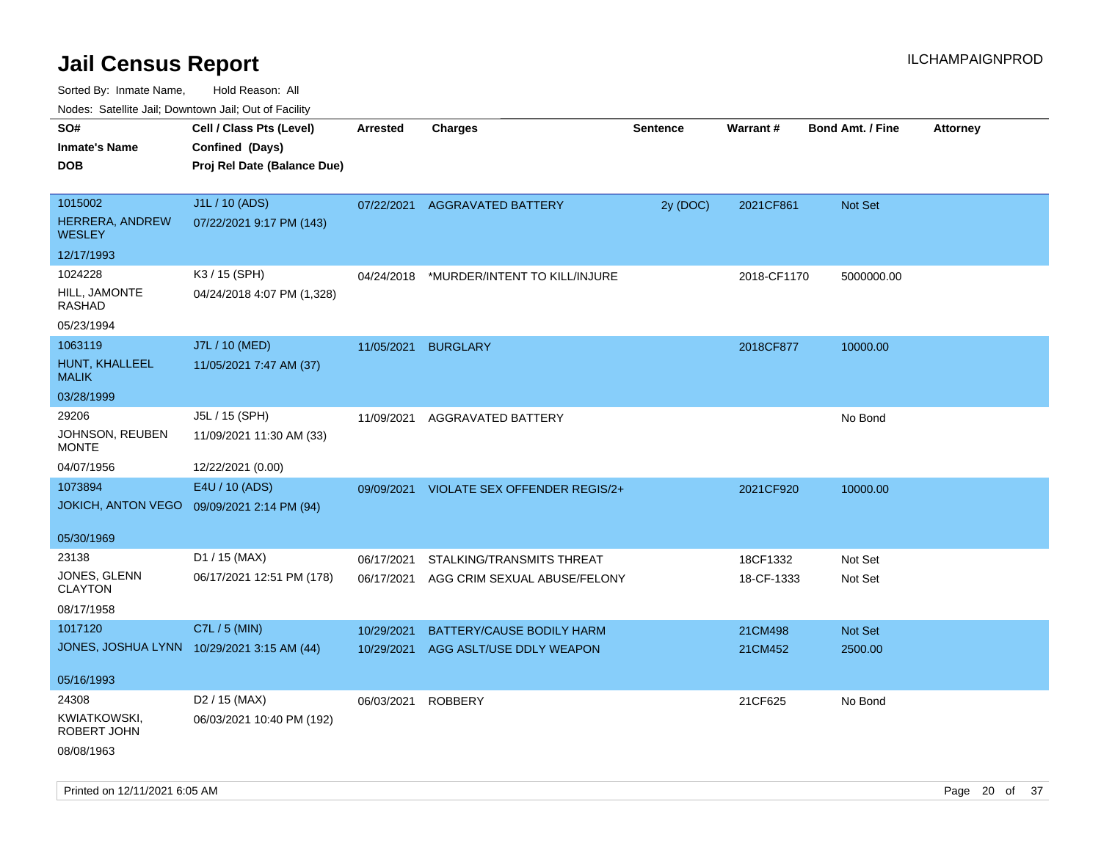| ivuutta. Saltiilitti valli, Duwilluwii Jalli, Out ol Facility |                                            |                    |                                      |                 |             |                         |                 |
|---------------------------------------------------------------|--------------------------------------------|--------------------|--------------------------------------|-----------------|-------------|-------------------------|-----------------|
| SO#                                                           | Cell / Class Pts (Level)                   | <b>Arrested</b>    | <b>Charges</b>                       | <b>Sentence</b> | Warrant#    | <b>Bond Amt. / Fine</b> | <b>Attorney</b> |
| <b>Inmate's Name</b>                                          | Confined (Days)                            |                    |                                      |                 |             |                         |                 |
| <b>DOB</b>                                                    | Proj Rel Date (Balance Due)                |                    |                                      |                 |             |                         |                 |
|                                                               |                                            |                    |                                      |                 |             |                         |                 |
| 1015002                                                       | J1L / 10 (ADS)                             | 07/22/2021         | <b>AGGRAVATED BATTERY</b>            | 2y (DOC)        | 2021CF861   | Not Set                 |                 |
| HERRERA, ANDREW<br><b>WESLEY</b>                              | 07/22/2021 9:17 PM (143)                   |                    |                                      |                 |             |                         |                 |
| 12/17/1993                                                    |                                            |                    |                                      |                 |             |                         |                 |
| 1024228                                                       | K3 / 15 (SPH)                              | 04/24/2018         | *MURDER/INTENT TO KILL/INJURE        |                 | 2018-CF1170 | 5000000.00              |                 |
| HILL, JAMONTE<br><b>RASHAD</b>                                | 04/24/2018 4:07 PM (1,328)                 |                    |                                      |                 |             |                         |                 |
| 05/23/1994                                                    |                                            |                    |                                      |                 |             |                         |                 |
| 1063119                                                       | J7L / 10 (MED)                             | 11/05/2021         | <b>BURGLARY</b>                      |                 | 2018CF877   | 10000.00                |                 |
| HUNT, KHALLEEL<br><b>MALIK</b>                                | 11/05/2021 7:47 AM (37)                    |                    |                                      |                 |             |                         |                 |
| 03/28/1999                                                    |                                            |                    |                                      |                 |             |                         |                 |
| 29206                                                         | J5L / 15 (SPH)                             | 11/09/2021         | AGGRAVATED BATTERY                   |                 |             | No Bond                 |                 |
| JOHNSON, REUBEN<br><b>MONTE</b>                               | 11/09/2021 11:30 AM (33)                   |                    |                                      |                 |             |                         |                 |
| 04/07/1956                                                    | 12/22/2021 (0.00)                          |                    |                                      |                 |             |                         |                 |
| 1073894                                                       | E4U / 10 (ADS)                             | 09/09/2021         | <b>VIOLATE SEX OFFENDER REGIS/2+</b> |                 | 2021CF920   | 10000.00                |                 |
| <b>JOKICH, ANTON VEGO</b>                                     | 09/09/2021 2:14 PM (94)                    |                    |                                      |                 |             |                         |                 |
| 05/30/1969                                                    |                                            |                    |                                      |                 |             |                         |                 |
| 23138                                                         | D1 / 15 (MAX)                              | 06/17/2021         | STALKING/TRANSMITS THREAT            |                 | 18CF1332    | Not Set                 |                 |
| JONES, GLENN<br><b>CLAYTON</b>                                | 06/17/2021 12:51 PM (178)                  | 06/17/2021         | AGG CRIM SEXUAL ABUSE/FELONY         |                 | 18-CF-1333  | Not Set                 |                 |
| 08/17/1958                                                    |                                            |                    |                                      |                 |             |                         |                 |
| 1017120                                                       | C7L / 5 (MIN)                              | 10/29/2021         | BATTERY/CAUSE BODILY HARM            |                 | 21CM498     | <b>Not Set</b>          |                 |
|                                                               | JONES, JOSHUA LYNN 10/29/2021 3:15 AM (44) | 10/29/2021         | AGG ASLT/USE DDLY WEAPON             |                 | 21CM452     | 2500.00                 |                 |
|                                                               |                                            |                    |                                      |                 |             |                         |                 |
| 05/16/1993                                                    |                                            |                    |                                      |                 |             |                         |                 |
| 24308                                                         | D2 / 15 (MAX)                              | 06/03/2021 ROBBERY |                                      |                 | 21CF625     | No Bond                 |                 |
| KWIATKOWSKI,<br>ROBERT JOHN                                   | 06/03/2021 10:40 PM (192)                  |                    |                                      |                 |             |                         |                 |
| 08/08/1963                                                    |                                            |                    |                                      |                 |             |                         |                 |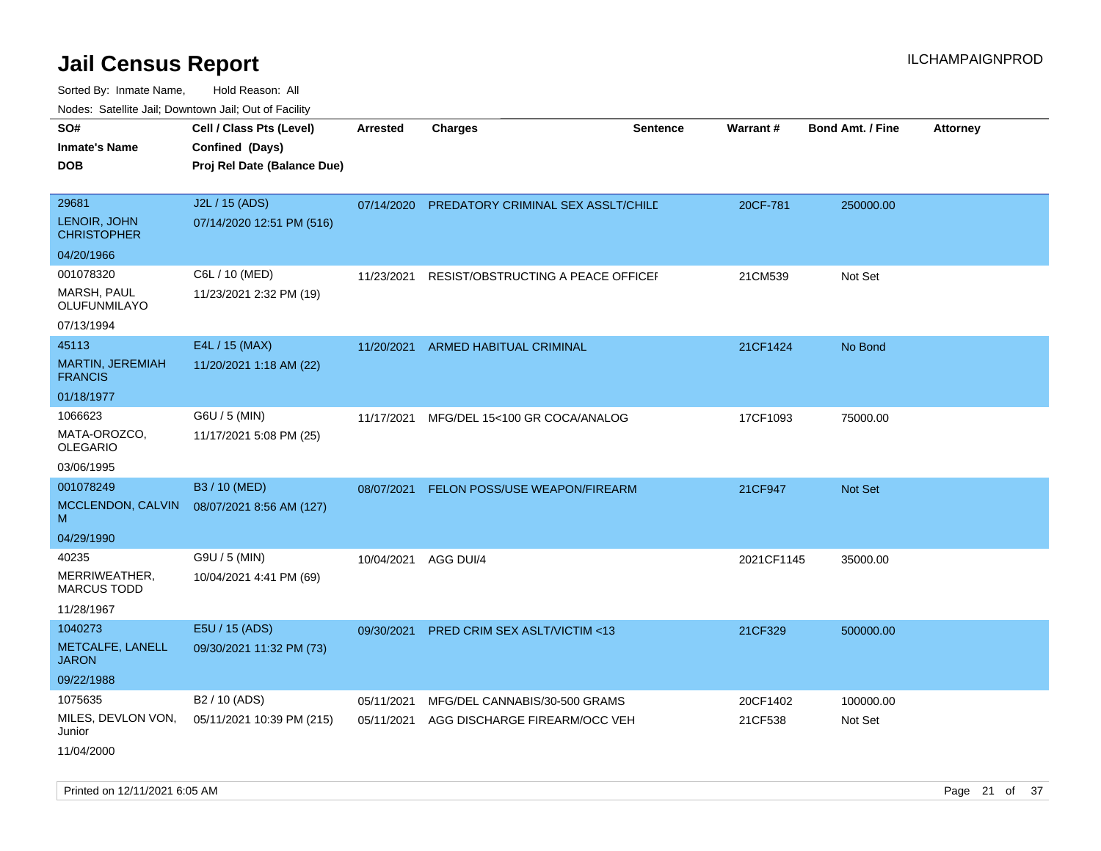| roaco. Odichile Jan, Downtown Jan, Out of Facility         |                                                                            |                          |                                                                |                 |                     |                         |                 |
|------------------------------------------------------------|----------------------------------------------------------------------------|--------------------------|----------------------------------------------------------------|-----------------|---------------------|-------------------------|-----------------|
| SO#<br><b>Inmate's Name</b><br><b>DOB</b>                  | Cell / Class Pts (Level)<br>Confined (Days)<br>Proj Rel Date (Balance Due) | <b>Arrested</b>          | <b>Charges</b>                                                 | <b>Sentence</b> | Warrant#            | <b>Bond Amt. / Fine</b> | <b>Attorney</b> |
| 29681<br>LENOIR, JOHN<br><b>CHRISTOPHER</b>                | J2L / 15 (ADS)<br>07/14/2020 12:51 PM (516)                                |                          | 07/14/2020 PREDATORY CRIMINAL SEX ASSLT/CHILE                  |                 | 20CF-781            | 250000.00               |                 |
| 04/20/1966                                                 |                                                                            |                          |                                                                |                 |                     |                         |                 |
| 001078320<br>MARSH, PAUL<br>OLUFUNMILAYO                   | C6L / 10 (MED)<br>11/23/2021 2:32 PM (19)                                  | 11/23/2021               | RESIST/OBSTRUCTING A PEACE OFFICEF                             |                 | 21CM539             | Not Set                 |                 |
| 07/13/1994                                                 |                                                                            |                          |                                                                |                 |                     |                         |                 |
| 45113<br><b>MARTIN, JEREMIAH</b><br><b>FRANCIS</b>         | E4L / 15 (MAX)<br>11/20/2021 1:18 AM (22)                                  | 11/20/2021               | <b>ARMED HABITUAL CRIMINAL</b>                                 |                 | 21CF1424            | No Bond                 |                 |
| 01/18/1977                                                 |                                                                            |                          |                                                                |                 |                     |                         |                 |
| 1066623<br>MATA-OROZCO,<br><b>OLEGARIO</b>                 | G6U / 5 (MIN)<br>11/17/2021 5:08 PM (25)                                   | 11/17/2021               | MFG/DEL 15<100 GR COCA/ANALOG                                  |                 | 17CF1093            | 75000.00                |                 |
| 03/06/1995                                                 |                                                                            |                          |                                                                |                 |                     |                         |                 |
| 001078249<br>MCCLENDON, CALVIN<br>м                        | B3 / 10 (MED)<br>08/07/2021 8:56 AM (127)                                  | 08/07/2021               | FELON POSS/USE WEAPON/FIREARM                                  |                 | 21CF947             | Not Set                 |                 |
| 04/29/1990                                                 |                                                                            |                          |                                                                |                 |                     |                         |                 |
| 40235<br>MERRIWEATHER,<br><b>MARCUS TODD</b><br>11/28/1967 | G9U / 5 (MIN)<br>10/04/2021 4:41 PM (69)                                   | 10/04/2021               | AGG DUI/4                                                      |                 | 2021CF1145          | 35000.00                |                 |
| 1040273<br>METCALFE, LANELL<br><b>JARON</b><br>09/22/1988  | E5U / 15 (ADS)<br>09/30/2021 11:32 PM (73)                                 | 09/30/2021               | PRED CRIM SEX ASLT/VICTIM <13                                  |                 | 21CF329             | 500000.00               |                 |
| 1075635<br>MILES, DEVLON VON,<br>Junior<br>11/04/2000      | B2 / 10 (ADS)<br>05/11/2021 10:39 PM (215)                                 | 05/11/2021<br>05/11/2021 | MFG/DEL CANNABIS/30-500 GRAMS<br>AGG DISCHARGE FIREARM/OCC VEH |                 | 20CF1402<br>21CF538 | 100000.00<br>Not Set    |                 |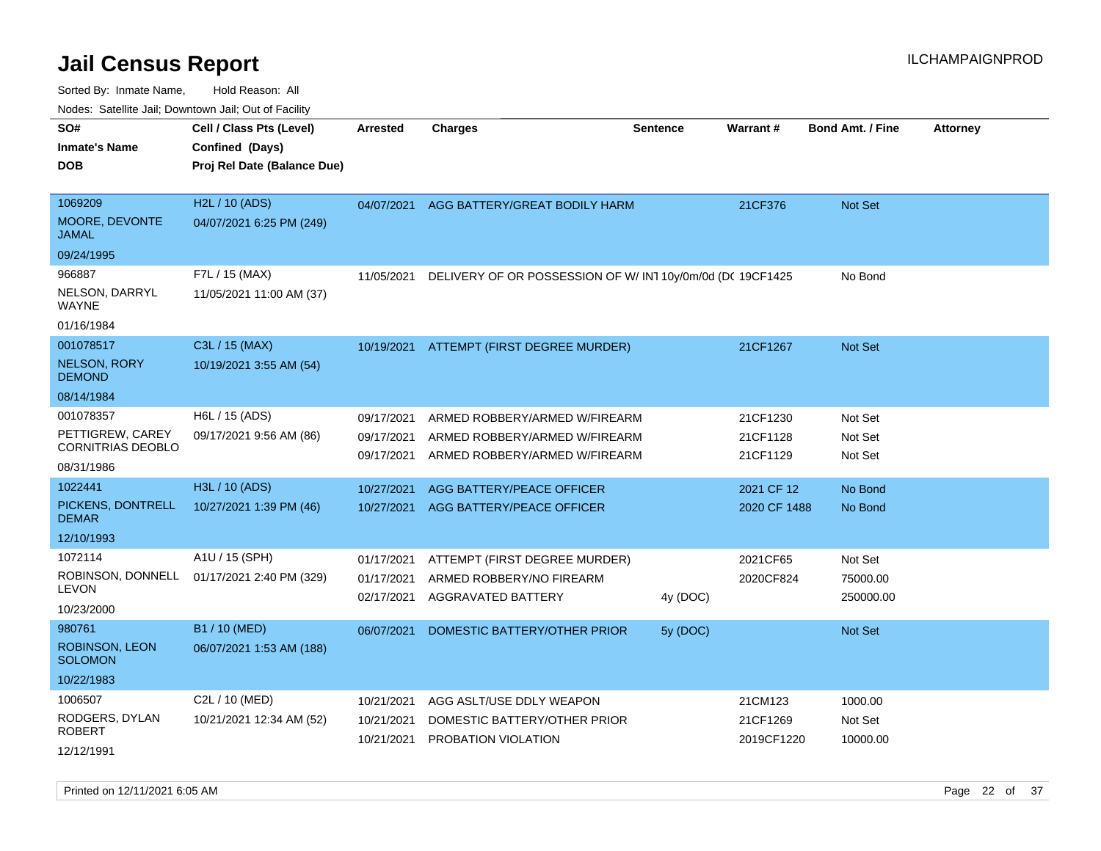| Noucs. Catchitic sail, Downtown sail, Out of Facility                   |                                                                            |                                        |                                                                                                 |                 |                                  |                                  |                 |
|-------------------------------------------------------------------------|----------------------------------------------------------------------------|----------------------------------------|-------------------------------------------------------------------------------------------------|-----------------|----------------------------------|----------------------------------|-----------------|
| SO#<br><b>Inmate's Name</b><br>DOB                                      | Cell / Class Pts (Level)<br>Confined (Days)<br>Proj Rel Date (Balance Due) | <b>Arrested</b>                        | <b>Charges</b>                                                                                  | <b>Sentence</b> | Warrant#                         | <b>Bond Amt. / Fine</b>          | <b>Attorney</b> |
| 1069209<br>MOORE, DEVONTE<br><b>JAMAL</b>                               | H2L / 10 (ADS)<br>04/07/2021 6:25 PM (249)                                 | 04/07/2021                             | AGG BATTERY/GREAT BODILY HARM                                                                   |                 | 21CF376                          | <b>Not Set</b>                   |                 |
| 09/24/1995                                                              |                                                                            |                                        |                                                                                                 |                 |                                  |                                  |                 |
| 966887<br>NELSON, DARRYL<br>WAYNE<br>01/16/1984                         | F7L / 15 (MAX)<br>11/05/2021 11:00 AM (37)                                 | 11/05/2021                             | DELIVERY OF OR POSSESSION OF W/IN110y/0m/0d (DC 19CF1425                                        |                 |                                  | No Bond                          |                 |
| 001078517                                                               | C3L / 15 (MAX)                                                             |                                        | 10/19/2021 ATTEMPT (FIRST DEGREE MURDER)                                                        |                 | 21CF1267                         | <b>Not Set</b>                   |                 |
| <b>NELSON, RORY</b><br><b>DEMOND</b>                                    | 10/19/2021 3:55 AM (54)                                                    |                                        |                                                                                                 |                 |                                  |                                  |                 |
| 08/14/1984                                                              |                                                                            |                                        |                                                                                                 |                 |                                  |                                  |                 |
| 001078357<br>PETTIGREW, CAREY<br><b>CORNITRIAS DEOBLO</b><br>08/31/1986 | H6L / 15 (ADS)<br>09/17/2021 9:56 AM (86)                                  | 09/17/2021<br>09/17/2021<br>09/17/2021 | ARMED ROBBERY/ARMED W/FIREARM<br>ARMED ROBBERY/ARMED W/FIREARM<br>ARMED ROBBERY/ARMED W/FIREARM |                 | 21CF1230<br>21CF1128<br>21CF1129 | Not Set<br>Not Set<br>Not Set    |                 |
| 1022441                                                                 | H3L / 10 (ADS)                                                             | 10/27/2021                             | AGG BATTERY/PEACE OFFICER                                                                       |                 | 2021 CF 12                       | No Bond                          |                 |
| PICKENS, DONTRELL<br><b>DEMAR</b>                                       | 10/27/2021 1:39 PM (46)                                                    | 10/27/2021                             | AGG BATTERY/PEACE OFFICER                                                                       |                 | 2020 CF 1488                     | No Bond                          |                 |
| 12/10/1993                                                              |                                                                            |                                        |                                                                                                 |                 |                                  |                                  |                 |
| 1072114<br>ROBINSON, DONNELL<br><b>LEVON</b><br>10/23/2000              | A1U / 15 (SPH)<br>01/17/2021 2:40 PM (329)                                 | 01/17/2021<br>01/17/2021<br>02/17/2021 | ATTEMPT (FIRST DEGREE MURDER)<br>ARMED ROBBERY/NO FIREARM<br>AGGRAVATED BATTERY                 | 4y (DOC)        | 2021CF65<br>2020CF824            | Not Set<br>75000.00<br>250000.00 |                 |
| 980761                                                                  | B1 / 10 (MED)                                                              | 06/07/2021                             | DOMESTIC BATTERY/OTHER PRIOR                                                                    | 5y (DOC)        |                                  | <b>Not Set</b>                   |                 |
| ROBINSON, LEON<br><b>SOLOMON</b>                                        | 06/07/2021 1:53 AM (188)                                                   |                                        |                                                                                                 |                 |                                  |                                  |                 |
| 10/22/1983                                                              |                                                                            |                                        |                                                                                                 |                 |                                  |                                  |                 |
| 1006507                                                                 | C2L / 10 (MED)                                                             | 10/21/2021                             | AGG ASLT/USE DDLY WEAPON                                                                        |                 | 21CM123                          | 1000.00                          |                 |
| RODGERS, DYLAN<br><b>ROBERT</b>                                         | 10/21/2021 12:34 AM (52)                                                   | 10/21/2021<br>10/21/2021               | DOMESTIC BATTERY/OTHER PRIOR<br><b>PROBATION VIOLATION</b>                                      |                 | 21CF1269<br>2019CF1220           | Not Set<br>10000.00              |                 |
| 12/12/1991                                                              |                                                                            |                                        |                                                                                                 |                 |                                  |                                  |                 |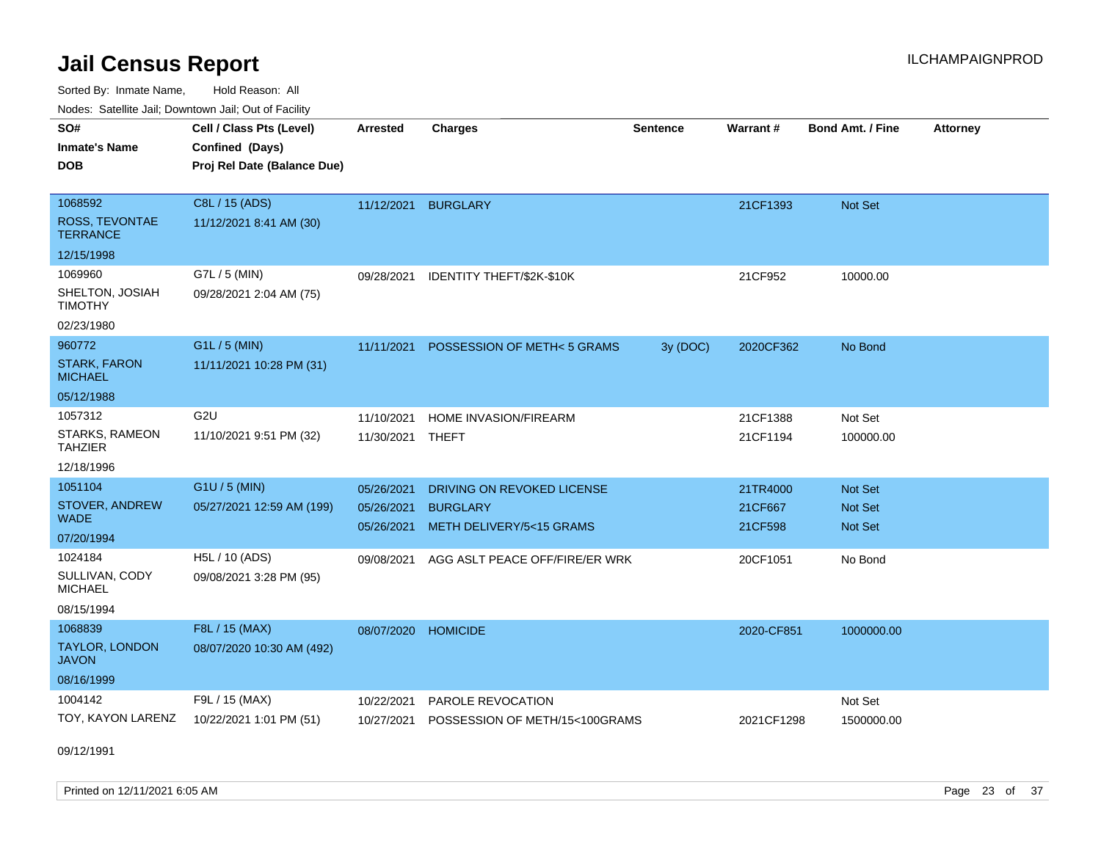Sorted By: Inmate Name, Hold Reason: All Nodes: Satellite Jail; Downtown Jail; Out of Facility

| roacs. Catellite Jall, Downtown Jall, Out of Facility |                                                                            |                 |                                |                 |                 |                         |                 |
|-------------------------------------------------------|----------------------------------------------------------------------------|-----------------|--------------------------------|-----------------|-----------------|-------------------------|-----------------|
| SO#<br><b>Inmate's Name</b><br><b>DOB</b>             | Cell / Class Pts (Level)<br>Confined (Days)<br>Proj Rel Date (Balance Due) | <b>Arrested</b> | <b>Charges</b>                 | <b>Sentence</b> | <b>Warrant#</b> | <b>Bond Amt. / Fine</b> | <b>Attorney</b> |
|                                                       |                                                                            |                 |                                |                 |                 |                         |                 |
| 1068592                                               | C8L / 15 (ADS)                                                             |                 | 11/12/2021 BURGLARY            |                 | 21CF1393        | Not Set                 |                 |
| ROSS, TEVONTAE<br><b>TERRANCE</b>                     | 11/12/2021 8:41 AM (30)                                                    |                 |                                |                 |                 |                         |                 |
| 12/15/1998                                            |                                                                            |                 |                                |                 |                 |                         |                 |
| 1069960                                               | G7L / 5 (MIN)                                                              | 09/28/2021      | IDENTITY THEFT/\$2K-\$10K      |                 | 21CF952         | 10000.00                |                 |
| SHELTON, JOSIAH<br><b>TIMOTHY</b>                     | 09/28/2021 2:04 AM (75)                                                    |                 |                                |                 |                 |                         |                 |
| 02/23/1980                                            |                                                                            |                 |                                |                 |                 |                         |                 |
| 960772                                                | G1L / 5 (MIN)                                                              | 11/11/2021      | POSSESSION OF METH<5 GRAMS     | 3y (DOC)        | 2020CF362       | No Bond                 |                 |
| <b>STARK, FARON</b><br><b>MICHAEL</b>                 | 11/11/2021 10:28 PM (31)                                                   |                 |                                |                 |                 |                         |                 |
| 05/12/1988                                            |                                                                            |                 |                                |                 |                 |                         |                 |
| 1057312                                               | G <sub>2U</sub>                                                            | 11/10/2021      | <b>HOME INVASION/FIREARM</b>   |                 | 21CF1388        | Not Set                 |                 |
| STARKS, RAMEON<br><b>TAHZIER</b>                      | 11/10/2021 9:51 PM (32)                                                    | 11/30/2021      | THEFT                          |                 | 21CF1194        | 100000.00               |                 |
| 12/18/1996                                            |                                                                            |                 |                                |                 |                 |                         |                 |
| 1051104                                               | G1U / 5 (MIN)                                                              | 05/26/2021      | DRIVING ON REVOKED LICENSE     |                 | 21TR4000        | Not Set                 |                 |
| STOVER, ANDREW                                        | 05/27/2021 12:59 AM (199)                                                  | 05/26/2021      | <b>BURGLARY</b>                |                 | 21CF667         | Not Set                 |                 |
| <b>WADE</b>                                           |                                                                            | 05/26/2021      | METH DELIVERY/5<15 GRAMS       |                 | 21CF598         | <b>Not Set</b>          |                 |
| 07/20/1994                                            |                                                                            |                 |                                |                 |                 |                         |                 |
| 1024184                                               | H5L / 10 (ADS)                                                             | 09/08/2021      | AGG ASLT PEACE OFF/FIRE/ER WRK |                 | 20CF1051        | No Bond                 |                 |
| SULLIVAN, CODY<br><b>MICHAEL</b>                      | 09/08/2021 3:28 PM (95)                                                    |                 |                                |                 |                 |                         |                 |
| 08/15/1994                                            |                                                                            |                 |                                |                 |                 |                         |                 |
| 1068839                                               | F8L / 15 (MAX)                                                             | 08/07/2020      | <b>HOMICIDE</b>                |                 | 2020-CF851      | 1000000.00              |                 |
| <b>TAYLOR, LONDON</b><br><b>JAVON</b>                 | 08/07/2020 10:30 AM (492)                                                  |                 |                                |                 |                 |                         |                 |
| 08/16/1999                                            |                                                                            |                 |                                |                 |                 |                         |                 |
| 1004142                                               | F9L / 15 (MAX)                                                             | 10/22/2021      | PAROLE REVOCATION              |                 |                 | Not Set                 |                 |
| TOY, KAYON LARENZ                                     | 10/22/2021 1:01 PM (51)                                                    | 10/27/2021      | POSSESSION OF METH/15<100GRAMS |                 | 2021CF1298      | 1500000.00              |                 |

09/12/1991

Printed on  $12/11/2021$  6:05 AM Page 23 of 37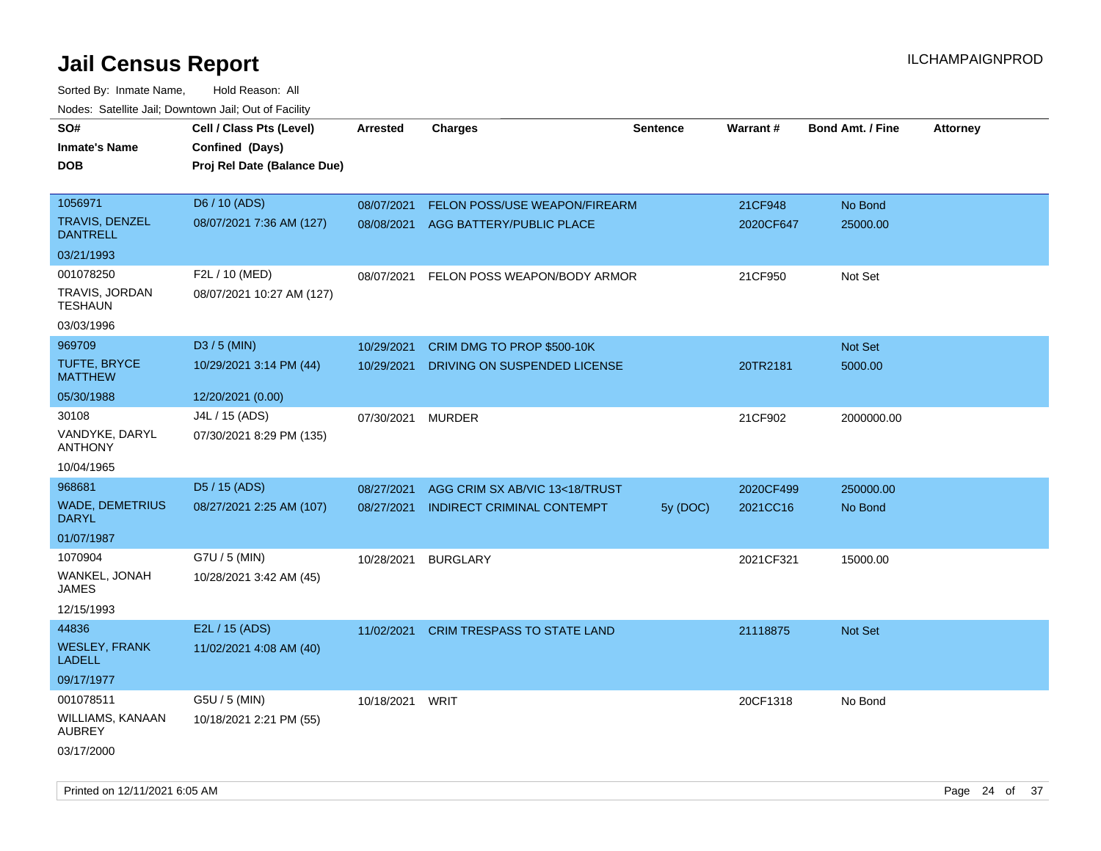| Hougo. Catolino can, Bowmown can, Cat or Fagint<br>SO#<br><b>Inmate's Name</b><br><b>DOB</b> | Cell / Class Pts (Level)<br>Confined (Days)<br>Proj Rel Date (Balance Due) | Arrested        | <b>Charges</b>                      | <b>Sentence</b> | <b>Warrant#</b> | <b>Bond Amt. / Fine</b> | <b>Attorney</b> |
|----------------------------------------------------------------------------------------------|----------------------------------------------------------------------------|-----------------|-------------------------------------|-----------------|-----------------|-------------------------|-----------------|
| 1056971                                                                                      | D6 / 10 (ADS)                                                              | 08/07/2021      | FELON POSS/USE WEAPON/FIREARM       |                 | 21CF948         | No Bond                 |                 |
| <b>TRAVIS, DENZEL</b><br><b>DANTRELL</b>                                                     | 08/07/2021 7:36 AM (127)                                                   |                 | 08/08/2021 AGG BATTERY/PUBLIC PLACE |                 | 2020CF647       | 25000.00                |                 |
| 03/21/1993                                                                                   |                                                                            |                 |                                     |                 |                 |                         |                 |
| 001078250                                                                                    | F2L / 10 (MED)                                                             | 08/07/2021      | FELON POSS WEAPON/BODY ARMOR        |                 | 21CF950         | Not Set                 |                 |
| TRAVIS, JORDAN<br>TESHAUN                                                                    | 08/07/2021 10:27 AM (127)                                                  |                 |                                     |                 |                 |                         |                 |
| 03/03/1996                                                                                   |                                                                            |                 |                                     |                 |                 |                         |                 |
| 969709                                                                                       | D3 / 5 (MIN)                                                               | 10/29/2021      | CRIM DMG TO PROP \$500-10K          |                 |                 | Not Set                 |                 |
| <b>TUFTE, BRYCE</b><br><b>MATTHEW</b>                                                        | 10/29/2021 3:14 PM (44)                                                    | 10/29/2021      | DRIVING ON SUSPENDED LICENSE        |                 | 20TR2181        | 5000.00                 |                 |
| 05/30/1988                                                                                   | 12/20/2021 (0.00)                                                          |                 |                                     |                 |                 |                         |                 |
| 30108                                                                                        | J4L / 15 (ADS)                                                             | 07/30/2021      | <b>MURDER</b>                       |                 | 21CF902         | 2000000.00              |                 |
| VANDYKE, DARYL<br><b>ANTHONY</b>                                                             | 07/30/2021 8:29 PM (135)                                                   |                 |                                     |                 |                 |                         |                 |
| 10/04/1965                                                                                   |                                                                            |                 |                                     |                 |                 |                         |                 |
| 968681                                                                                       | D5 / 15 (ADS)                                                              | 08/27/2021      | AGG CRIM SX AB/VIC 13<18/TRUST      |                 | 2020CF499       | 250000.00               |                 |
| <b>WADE, DEMETRIUS</b><br><b>DARYL</b>                                                       | 08/27/2021 2:25 AM (107)                                                   | 08/27/2021      | <b>INDIRECT CRIMINAL CONTEMPT</b>   | 5y (DOC)        | 2021CC16        | No Bond                 |                 |
| 01/07/1987                                                                                   |                                                                            |                 |                                     |                 |                 |                         |                 |
| 1070904                                                                                      | G7U / 5 (MIN)                                                              | 10/28/2021      | <b>BURGLARY</b>                     |                 | 2021CF321       | 15000.00                |                 |
| WANKEL, JONAH<br>JAMES                                                                       | 10/28/2021 3:42 AM (45)                                                    |                 |                                     |                 |                 |                         |                 |
| 12/15/1993                                                                                   |                                                                            |                 |                                     |                 |                 |                         |                 |
| 44836                                                                                        | E2L / 15 (ADS)                                                             | 11/02/2021      | <b>CRIM TRESPASS TO STATE LAND</b>  |                 | 21118875        | <b>Not Set</b>          |                 |
| <b>WESLEY, FRANK</b><br><b>LADELL</b>                                                        | 11/02/2021 4:08 AM (40)                                                    |                 |                                     |                 |                 |                         |                 |
| 09/17/1977                                                                                   |                                                                            |                 |                                     |                 |                 |                         |                 |
| 001078511                                                                                    | G5U / 5 (MIN)                                                              | 10/18/2021 WRIT |                                     |                 | 20CF1318        | No Bond                 |                 |
| WILLIAMS, KANAAN<br><b>AUBREY</b>                                                            | 10/18/2021 2:21 PM (55)                                                    |                 |                                     |                 |                 |                         |                 |
| 03/17/2000                                                                                   |                                                                            |                 |                                     |                 |                 |                         |                 |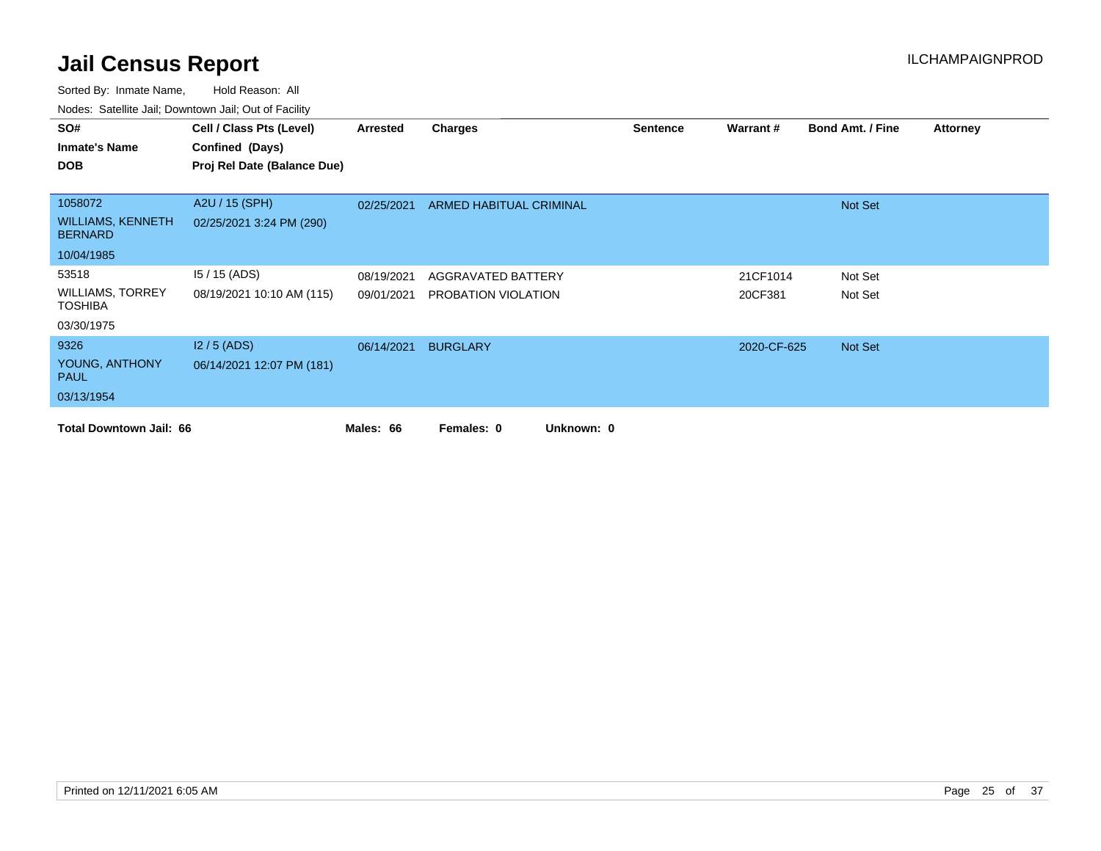| SO#                                        | Cell / Class Pts (Level)    | Arrested   | <b>Charges</b>           | <b>Sentence</b> | Warrant#    | <b>Bond Amt. / Fine</b> | <b>Attorney</b> |
|--------------------------------------------|-----------------------------|------------|--------------------------|-----------------|-------------|-------------------------|-----------------|
| <b>Inmate's Name</b>                       | Confined (Days)             |            |                          |                 |             |                         |                 |
| <b>DOB</b>                                 | Proj Rel Date (Balance Due) |            |                          |                 |             |                         |                 |
|                                            |                             |            |                          |                 |             |                         |                 |
| 1058072                                    | A2U / 15 (SPH)              | 02/25/2021 | ARMED HABITUAL CRIMINAL  |                 |             | Not Set                 |                 |
| <b>WILLIAMS, KENNETH</b><br><b>BERNARD</b> | 02/25/2021 3:24 PM (290)    |            |                          |                 |             |                         |                 |
| 10/04/1985                                 |                             |            |                          |                 |             |                         |                 |
| 53518                                      | $15/15$ (ADS)               | 08/19/2021 | AGGRAVATED BATTERY       |                 | 21CF1014    | Not Set                 |                 |
| <b>WILLIAMS, TORREY</b><br><b>TOSHIBA</b>  | 08/19/2021 10:10 AM (115)   | 09/01/2021 | PROBATION VIOLATION      |                 | 20CF381     | Not Set                 |                 |
| 03/30/1975                                 |                             |            |                          |                 |             |                         |                 |
| 9326                                       | $12/5$ (ADS)                | 06/14/2021 | <b>BURGLARY</b>          |                 | 2020-CF-625 | Not Set                 |                 |
| YOUNG, ANTHONY<br><b>PAUL</b>              | 06/14/2021 12:07 PM (181)   |            |                          |                 |             |                         |                 |
| 03/13/1954                                 |                             |            |                          |                 |             |                         |                 |
| <b>Total Downtown Jail: 66</b>             |                             | Males: 66  | Unknown: 0<br>Females: 0 |                 |             |                         |                 |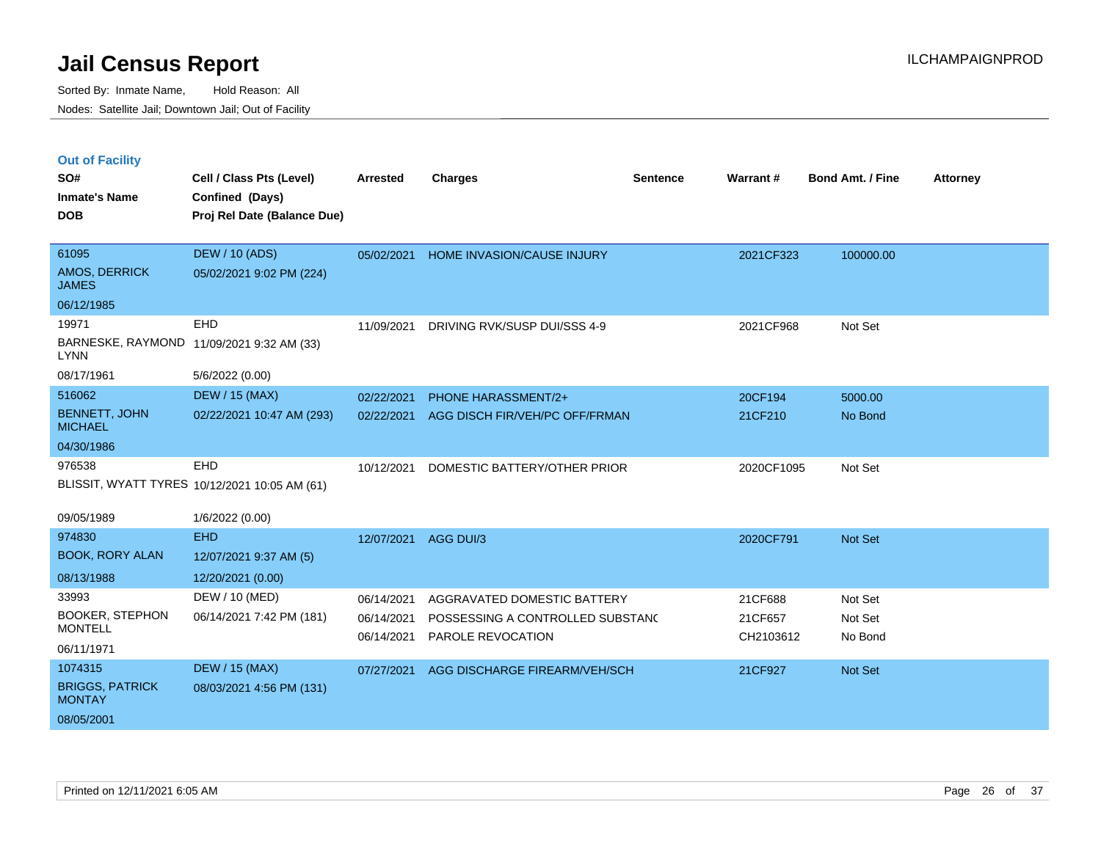|  | <b>Out of Facility</b> |  |
|--|------------------------|--|
|  |                        |  |
|  |                        |  |

| SO#<br><b>Inmate's Name</b>             | Cell / Class Pts (Level)<br>Confined (Days)   | <b>Arrested</b> | <b>Charges</b>                   | <b>Sentence</b> | Warrant#   | <b>Bond Amt. / Fine</b> | <b>Attorney</b> |
|-----------------------------------------|-----------------------------------------------|-----------------|----------------------------------|-----------------|------------|-------------------------|-----------------|
| <b>DOB</b>                              | Proj Rel Date (Balance Due)                   |                 |                                  |                 |            |                         |                 |
| 61095                                   | <b>DEW / 10 (ADS)</b>                         | 05/02/2021      | HOME INVASION/CAUSE INJURY       |                 | 2021CF323  | 100000.00               |                 |
| AMOS, DERRICK<br><b>JAMES</b>           | 05/02/2021 9:02 PM (224)                      |                 |                                  |                 |            |                         |                 |
| 06/12/1985                              |                                               |                 |                                  |                 |            |                         |                 |
| 19971                                   | EHD                                           | 11/09/2021      | DRIVING RVK/SUSP DUI/SSS 4-9     |                 | 2021CF968  | Not Set                 |                 |
| <b>LYNN</b>                             | BARNESKE, RAYMOND 11/09/2021 9:32 AM (33)     |                 |                                  |                 |            |                         |                 |
| 08/17/1961                              | 5/6/2022 (0.00)                               |                 |                                  |                 |            |                         |                 |
| 516062                                  | <b>DEW / 15 (MAX)</b>                         | 02/22/2021      | <b>PHONE HARASSMENT/2+</b>       |                 | 20CF194    | 5000.00                 |                 |
| <b>BENNETT, JOHN</b><br><b>MICHAEL</b>  | 02/22/2021 10:47 AM (293)                     | 02/22/2021      | AGG DISCH FIR/VEH/PC OFF/FRMAN   |                 | 21CF210    | No Bond                 |                 |
| 04/30/1986                              |                                               |                 |                                  |                 |            |                         |                 |
| 976538                                  | EHD                                           | 10/12/2021      | DOMESTIC BATTERY/OTHER PRIOR     |                 | 2020CF1095 | Not Set                 |                 |
|                                         | BLISSIT, WYATT TYRES 10/12/2021 10:05 AM (61) |                 |                                  |                 |            |                         |                 |
| 09/05/1989                              | 1/6/2022 (0.00)                               |                 |                                  |                 |            |                         |                 |
| 974830                                  | <b>EHD</b>                                    | 12/07/2021      | AGG DUI/3                        |                 | 2020CF791  | Not Set                 |                 |
| <b>BOOK, RORY ALAN</b>                  | 12/07/2021 9:37 AM (5)                        |                 |                                  |                 |            |                         |                 |
| 08/13/1988                              | 12/20/2021 (0.00)                             |                 |                                  |                 |            |                         |                 |
| 33993                                   | DEW / 10 (MED)                                | 06/14/2021      | AGGRAVATED DOMESTIC BATTERY      |                 | 21CF688    | Not Set                 |                 |
| <b>BOOKER, STEPHON</b>                  | 06/14/2021 7:42 PM (181)                      | 06/14/2021      | POSSESSING A CONTROLLED SUBSTANC |                 | 21CF657    | Not Set                 |                 |
| <b>MONTELL</b>                          |                                               | 06/14/2021      | PAROLE REVOCATION                |                 | CH2103612  | No Bond                 |                 |
| 06/11/1971                              |                                               |                 |                                  |                 |            |                         |                 |
| 1074315                                 | <b>DEW / 15 (MAX)</b>                         | 07/27/2021      | AGG DISCHARGE FIREARM/VEH/SCH    |                 | 21CF927    | Not Set                 |                 |
| <b>BRIGGS, PATRICK</b><br><b>MONTAY</b> | 08/03/2021 4:56 PM (131)                      |                 |                                  |                 |            |                         |                 |
| 08/05/2001                              |                                               |                 |                                  |                 |            |                         |                 |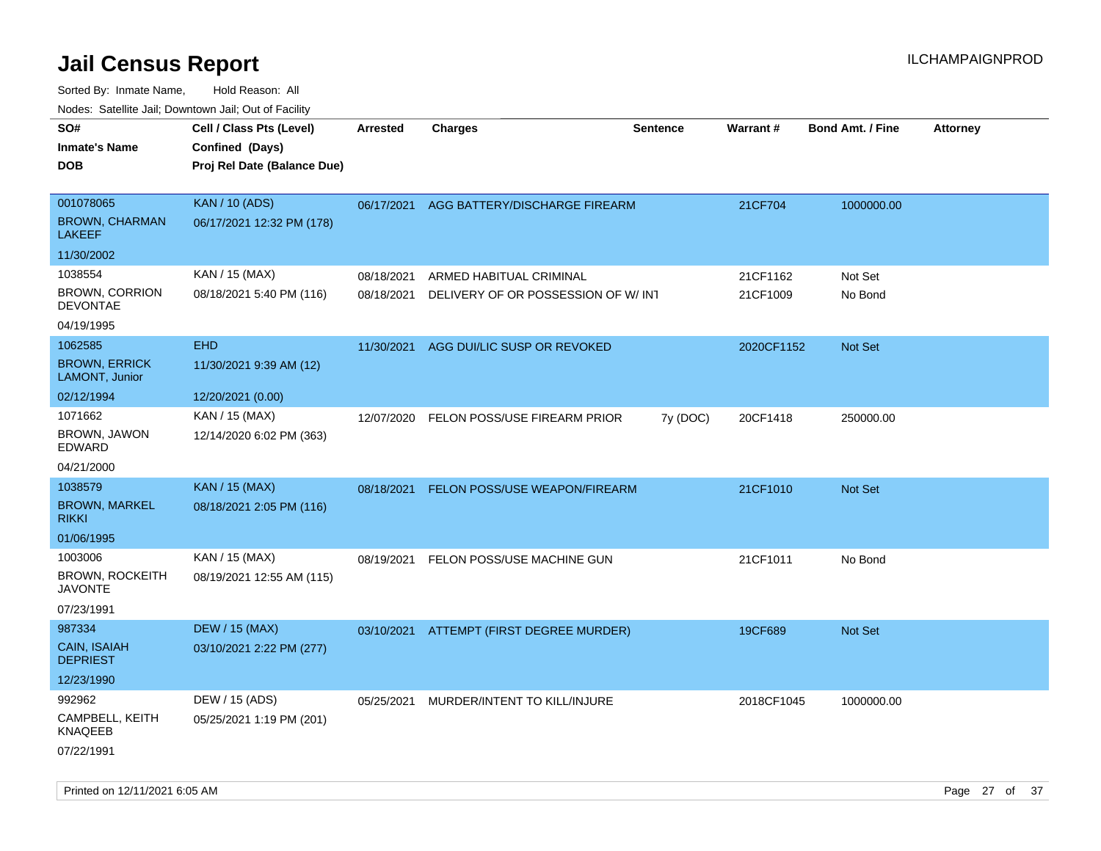| ivouss. Satellite Jall, Downtown Jall, Out of Facility |                             |            |                                          |                 |                 |                         |                 |
|--------------------------------------------------------|-----------------------------|------------|------------------------------------------|-----------------|-----------------|-------------------------|-----------------|
| SO#                                                    | Cell / Class Pts (Level)    | Arrested   | <b>Charges</b>                           | <b>Sentence</b> | <b>Warrant#</b> | <b>Bond Amt. / Fine</b> | <b>Attorney</b> |
| <b>Inmate's Name</b>                                   | Confined (Days)             |            |                                          |                 |                 |                         |                 |
| <b>DOB</b>                                             | Proj Rel Date (Balance Due) |            |                                          |                 |                 |                         |                 |
|                                                        |                             |            |                                          |                 |                 |                         |                 |
| 001078065                                              | <b>KAN / 10 (ADS)</b>       |            | 06/17/2021 AGG BATTERY/DISCHARGE FIREARM |                 | 21CF704         | 1000000.00              |                 |
| <b>BROWN, CHARMAN</b><br><b>LAKEEF</b>                 | 06/17/2021 12:32 PM (178)   |            |                                          |                 |                 |                         |                 |
| 11/30/2002                                             |                             |            |                                          |                 |                 |                         |                 |
| 1038554                                                | KAN / 15 (MAX)              | 08/18/2021 | ARMED HABITUAL CRIMINAL                  |                 | 21CF1162        | Not Set                 |                 |
| <b>BROWN, CORRION</b><br><b>DEVONTAE</b>               | 08/18/2021 5:40 PM (116)    | 08/18/2021 | DELIVERY OF OR POSSESSION OF W/ INT      |                 | 21CF1009        | No Bond                 |                 |
| 04/19/1995                                             |                             |            |                                          |                 |                 |                         |                 |
| 1062585                                                | <b>EHD</b>                  | 11/30/2021 | AGG DUI/LIC SUSP OR REVOKED              |                 | 2020CF1152      | <b>Not Set</b>          |                 |
| <b>BROWN, ERRICK</b><br>LAMONT, Junior                 | 11/30/2021 9:39 AM (12)     |            |                                          |                 |                 |                         |                 |
| 02/12/1994                                             | 12/20/2021 (0.00)           |            |                                          |                 |                 |                         |                 |
| 1071662                                                | KAN / 15 (MAX)              | 12/07/2020 | FELON POSS/USE FIREARM PRIOR             | 7y (DOC)        | 20CF1418        | 250000.00               |                 |
| BROWN, JAWON<br>EDWARD                                 | 12/14/2020 6:02 PM (363)    |            |                                          |                 |                 |                         |                 |
| 04/21/2000                                             |                             |            |                                          |                 |                 |                         |                 |
| 1038579                                                | <b>KAN / 15 (MAX)</b>       | 08/18/2021 | <b>FELON POSS/USE WEAPON/FIREARM</b>     |                 | 21CF1010        | Not Set                 |                 |
| <b>BROWN, MARKEL</b><br><b>RIKKI</b>                   | 08/18/2021 2:05 PM (116)    |            |                                          |                 |                 |                         |                 |
| 01/06/1995                                             |                             |            |                                          |                 |                 |                         |                 |
| 1003006                                                | KAN / 15 (MAX)              | 08/19/2021 | FELON POSS/USE MACHINE GUN               |                 | 21CF1011        | No Bond                 |                 |
| <b>BROWN, ROCKEITH</b><br>JAVONTE                      | 08/19/2021 12:55 AM (115)   |            |                                          |                 |                 |                         |                 |
| 07/23/1991                                             |                             |            |                                          |                 |                 |                         |                 |
| 987334                                                 | <b>DEW / 15 (MAX)</b>       |            | 03/10/2021 ATTEMPT (FIRST DEGREE MURDER) |                 | 19CF689         | <b>Not Set</b>          |                 |
| CAIN, ISAIAH<br><b>DEPRIEST</b>                        | 03/10/2021 2:22 PM (277)    |            |                                          |                 |                 |                         |                 |
| 12/23/1990                                             |                             |            |                                          |                 |                 |                         |                 |
| 992962                                                 | DEW / 15 (ADS)              | 05/25/2021 | MURDER/INTENT TO KILL/INJURE             |                 | 2018CF1045      | 1000000.00              |                 |
| CAMPBELL, KEITH<br><b>KNAQEEB</b>                      | 05/25/2021 1:19 PM (201)    |            |                                          |                 |                 |                         |                 |
| 07/22/1991                                             |                             |            |                                          |                 |                 |                         |                 |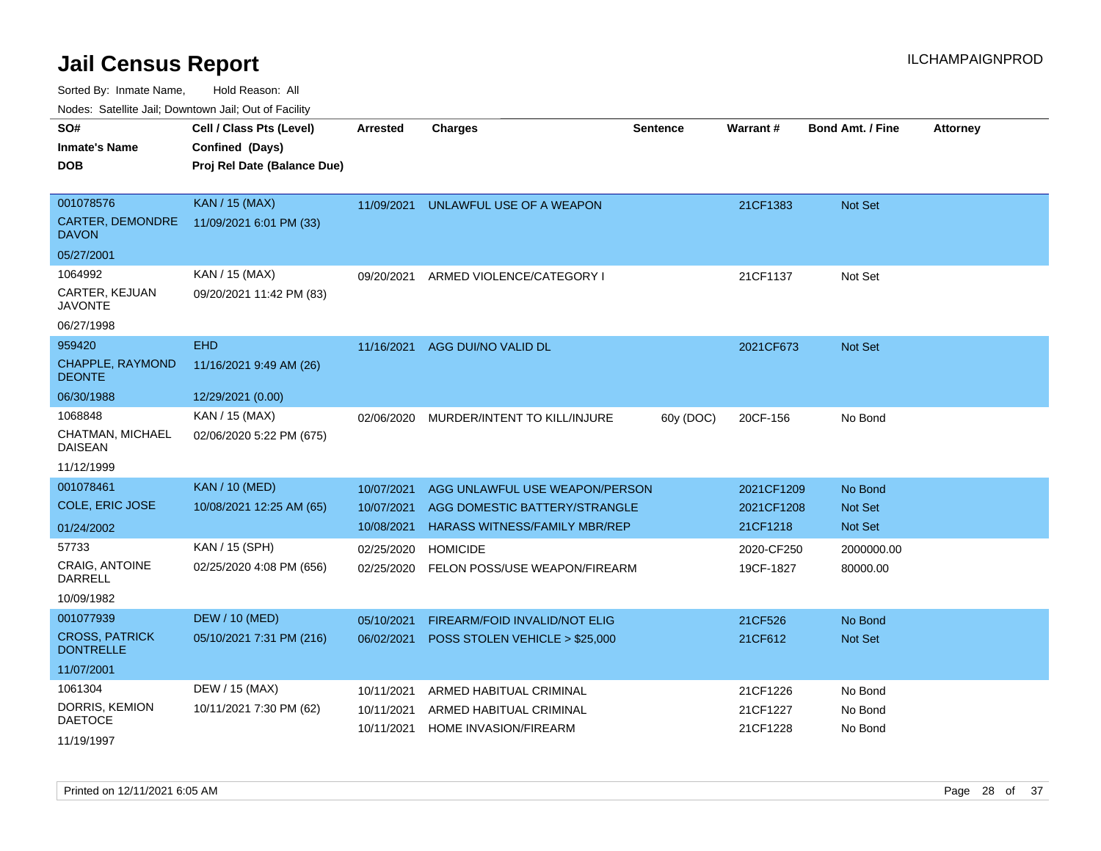Sorted By: Inmate Name, Hold Reason: All

Nodes: Satellite Jail; Downtown Jail; Out of Facility

| SO#                                       | Cell / Class Pts (Level)    | <b>Arrested</b> | <b>Charges</b>                       | <b>Sentence</b> | <b>Warrant#</b> | <b>Bond Amt. / Fine</b> | <b>Attorney</b> |
|-------------------------------------------|-----------------------------|-----------------|--------------------------------------|-----------------|-----------------|-------------------------|-----------------|
| <b>Inmate's Name</b>                      | Confined (Days)             |                 |                                      |                 |                 |                         |                 |
| <b>DOB</b>                                | Proj Rel Date (Balance Due) |                 |                                      |                 |                 |                         |                 |
|                                           |                             |                 |                                      |                 |                 |                         |                 |
| 001078576                                 | <b>KAN / 15 (MAX)</b>       | 11/09/2021      | UNLAWFUL USE OF A WEAPON             |                 | 21CF1383        | <b>Not Set</b>          |                 |
| CARTER, DEMONDRE<br><b>DAVON</b>          | 11/09/2021 6:01 PM (33)     |                 |                                      |                 |                 |                         |                 |
| 05/27/2001                                |                             |                 |                                      |                 |                 |                         |                 |
| 1064992                                   | KAN / 15 (MAX)              | 09/20/2021      | ARMED VIOLENCE/CATEGORY I            |                 | 21CF1137        | Not Set                 |                 |
| CARTER, KEJUAN<br><b>JAVONTE</b>          | 09/20/2021 11:42 PM (83)    |                 |                                      |                 |                 |                         |                 |
| 06/27/1998                                |                             |                 |                                      |                 |                 |                         |                 |
| 959420                                    | <b>EHD</b>                  | 11/16/2021      | AGG DUI/NO VALID DL                  |                 | 2021CF673       | Not Set                 |                 |
| CHAPPLE, RAYMOND<br><b>DEONTE</b>         | 11/16/2021 9:49 AM (26)     |                 |                                      |                 |                 |                         |                 |
| 06/30/1988                                | 12/29/2021 (0.00)           |                 |                                      |                 |                 |                         |                 |
| 1068848                                   | KAN / 15 (MAX)              | 02/06/2020      | MURDER/INTENT TO KILL/INJURE         | 60y (DOC)       | 20CF-156        | No Bond                 |                 |
| CHATMAN, MICHAEL<br><b>DAISEAN</b>        | 02/06/2020 5:22 PM (675)    |                 |                                      |                 |                 |                         |                 |
| 11/12/1999                                |                             |                 |                                      |                 |                 |                         |                 |
| 001078461                                 | <b>KAN / 10 (MED)</b>       | 10/07/2021      | AGG UNLAWFUL USE WEAPON/PERSON       |                 | 2021CF1209      | No Bond                 |                 |
| COLE, ERIC JOSE                           | 10/08/2021 12:25 AM (65)    | 10/07/2021      | AGG DOMESTIC BATTERY/STRANGLE        |                 | 2021CF1208      | <b>Not Set</b>          |                 |
| 01/24/2002                                |                             | 10/08/2021      | <b>HARASS WITNESS/FAMILY MBR/REP</b> |                 | 21CF1218        | <b>Not Set</b>          |                 |
| 57733                                     | KAN / 15 (SPH)              | 02/25/2020      | <b>HOMICIDE</b>                      |                 | 2020-CF250      | 2000000.00              |                 |
| <b>CRAIG, ANTOINE</b>                     | 02/25/2020 4:08 PM (656)    | 02/25/2020      | FELON POSS/USE WEAPON/FIREARM        |                 | 19CF-1827       | 80000.00                |                 |
| DARRELL                                   |                             |                 |                                      |                 |                 |                         |                 |
| 10/09/1982                                |                             |                 |                                      |                 |                 |                         |                 |
| 001077939                                 | <b>DEW / 10 (MED)</b>       | 05/10/2021      | FIREARM/FOID INVALID/NOT ELIG        |                 | 21CF526         | No Bond                 |                 |
| <b>CROSS, PATRICK</b><br><b>DONTRELLE</b> | 05/10/2021 7:31 PM (216)    | 06/02/2021      | POSS STOLEN VEHICLE > \$25,000       |                 | 21CF612         | <b>Not Set</b>          |                 |
| 11/07/2001                                |                             |                 |                                      |                 |                 |                         |                 |
| 1061304                                   | DEW / 15 (MAX)              | 10/11/2021      | ARMED HABITUAL CRIMINAL              |                 | 21CF1226        | No Bond                 |                 |
| DORRIS, KEMION                            | 10/11/2021 7:30 PM (62)     | 10/11/2021      | ARMED HABITUAL CRIMINAL              |                 | 21CF1227        | No Bond                 |                 |
| <b>DAETOCE</b>                            |                             | 10/11/2021      | <b>HOME INVASION/FIREARM</b>         |                 | 21CF1228        | No Bond                 |                 |
| 11/19/1997                                |                             |                 |                                      |                 |                 |                         |                 |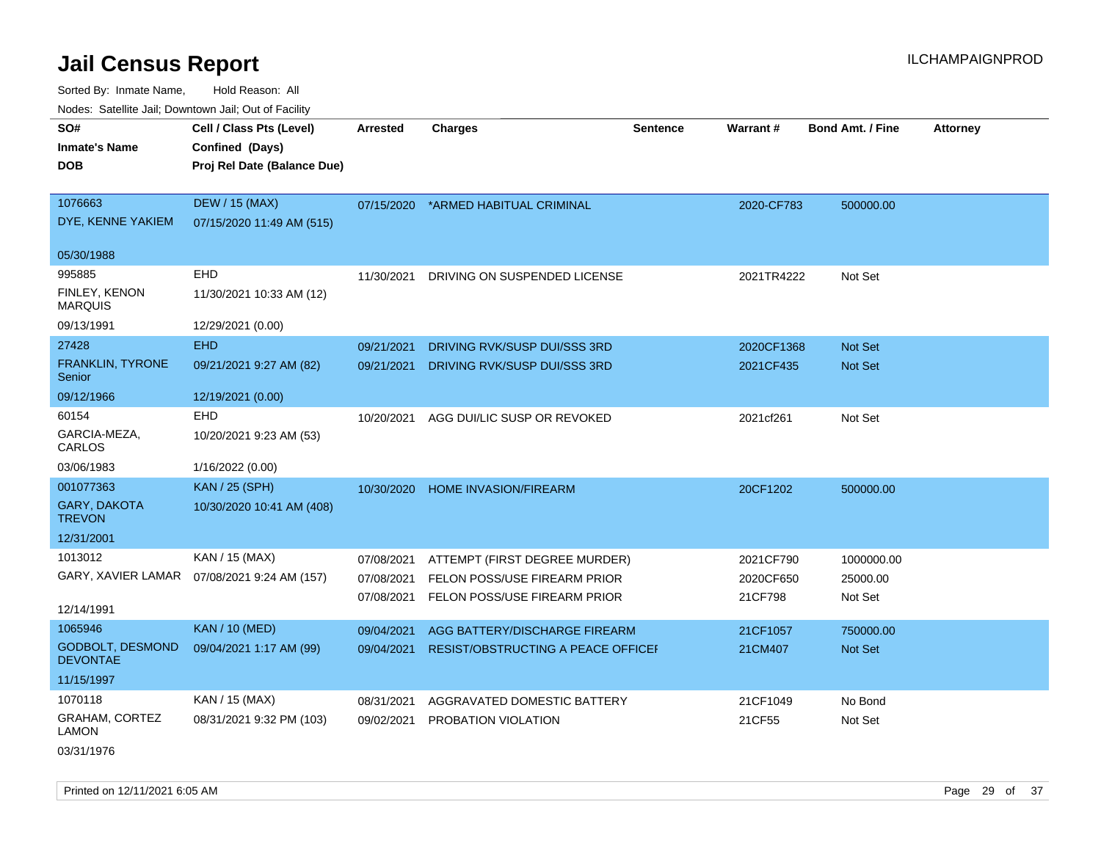Sorted By: Inmate Name, Hold Reason: All Nodes: Satellite Jail; Downtown Jail; Out of Facility

| roaco. Catolino cali, Downtown cali, Out of Fability |                                              |                 |                                    |                 |            |                         |                 |
|------------------------------------------------------|----------------------------------------------|-----------------|------------------------------------|-----------------|------------|-------------------------|-----------------|
| SO#<br><b>Inmate's Name</b>                          | Cell / Class Pts (Level)<br>Confined (Days)  | <b>Arrested</b> | Charges                            | <b>Sentence</b> | Warrant#   | <b>Bond Amt. / Fine</b> | <b>Attorney</b> |
| <b>DOB</b>                                           | Proj Rel Date (Balance Due)                  |                 |                                    |                 |            |                         |                 |
| 1076663                                              | <b>DEW / 15 (MAX)</b>                        | 07/15/2020      | *ARMED HABITUAL CRIMINAL           |                 | 2020-CF783 | 500000.00               |                 |
| DYE, KENNE YAKIEM                                    | 07/15/2020 11:49 AM (515)                    |                 |                                    |                 |            |                         |                 |
| 05/30/1988                                           |                                              |                 |                                    |                 |            |                         |                 |
| 995885                                               | EHD                                          | 11/30/2021      | DRIVING ON SUSPENDED LICENSE       |                 | 2021TR4222 | Not Set                 |                 |
| <b>FINLEY, KENON</b><br><b>MARQUIS</b>               | 11/30/2021 10:33 AM (12)                     |                 |                                    |                 |            |                         |                 |
| 09/13/1991                                           | 12/29/2021 (0.00)                            |                 |                                    |                 |            |                         |                 |
| 27428                                                | <b>EHD</b>                                   | 09/21/2021      | DRIVING RVK/SUSP DUI/SSS 3RD       |                 | 2020CF1368 | <b>Not Set</b>          |                 |
| FRANKLIN, TYRONE<br>Senior                           | 09/21/2021 9:27 AM (82)                      | 09/21/2021      | DRIVING RVK/SUSP DUI/SSS 3RD       |                 | 2021CF435  | <b>Not Set</b>          |                 |
| 09/12/1966                                           | 12/19/2021 (0.00)                            |                 |                                    |                 |            |                         |                 |
| 60154                                                | <b>EHD</b>                                   | 10/20/2021      | AGG DUI/LIC SUSP OR REVOKED        |                 | 2021cf261  | Not Set                 |                 |
| GARCIA-MEZA,<br>CARLOS                               | 10/20/2021 9:23 AM (53)                      |                 |                                    |                 |            |                         |                 |
| 03/06/1983                                           | 1/16/2022 (0.00)                             |                 |                                    |                 |            |                         |                 |
| 001077363                                            | <b>KAN / 25 (SPH)</b>                        | 10/30/2020      | <b>HOME INVASION/FIREARM</b>       |                 | 20CF1202   | 500000.00               |                 |
| <b>GARY, DAKOTA</b><br><b>TREVON</b>                 | 10/30/2020 10:41 AM (408)                    |                 |                                    |                 |            |                         |                 |
| 12/31/2001                                           |                                              |                 |                                    |                 |            |                         |                 |
| 1013012                                              | KAN / 15 (MAX)                               | 07/08/2021      | ATTEMPT (FIRST DEGREE MURDER)      |                 | 2021CF790  | 1000000.00              |                 |
|                                                      | GARY, XAVIER LAMAR  07/08/2021 9:24 AM (157) | 07/08/2021      | FELON POSS/USE FIREARM PRIOR       |                 | 2020CF650  | 25000.00                |                 |
| 12/14/1991                                           |                                              | 07/08/2021      | FELON POSS/USE FIREARM PRIOR       |                 | 21CF798    | Not Set                 |                 |
| 1065946                                              | <b>KAN / 10 (MED)</b>                        | 09/04/2021      | AGG BATTERY/DISCHARGE FIREARM      |                 | 21CF1057   | 750000.00               |                 |
| <b>GODBOLT, DESMOND</b><br><b>DEVONTAE</b>           | 09/04/2021 1:17 AM (99)                      | 09/04/2021      | RESIST/OBSTRUCTING A PEACE OFFICEI |                 | 21CM407    | Not Set                 |                 |
| 11/15/1997                                           |                                              |                 |                                    |                 |            |                         |                 |
| 1070118                                              | KAN / 15 (MAX)                               | 08/31/2021      | AGGRAVATED DOMESTIC BATTERY        |                 | 21CF1049   | No Bond                 |                 |
| <b>GRAHAM, CORTEZ</b><br><b>LAMON</b>                | 08/31/2021 9:32 PM (103)                     | 09/02/2021      | PROBATION VIOLATION                |                 | 21CF55     | Not Set                 |                 |

03/31/1976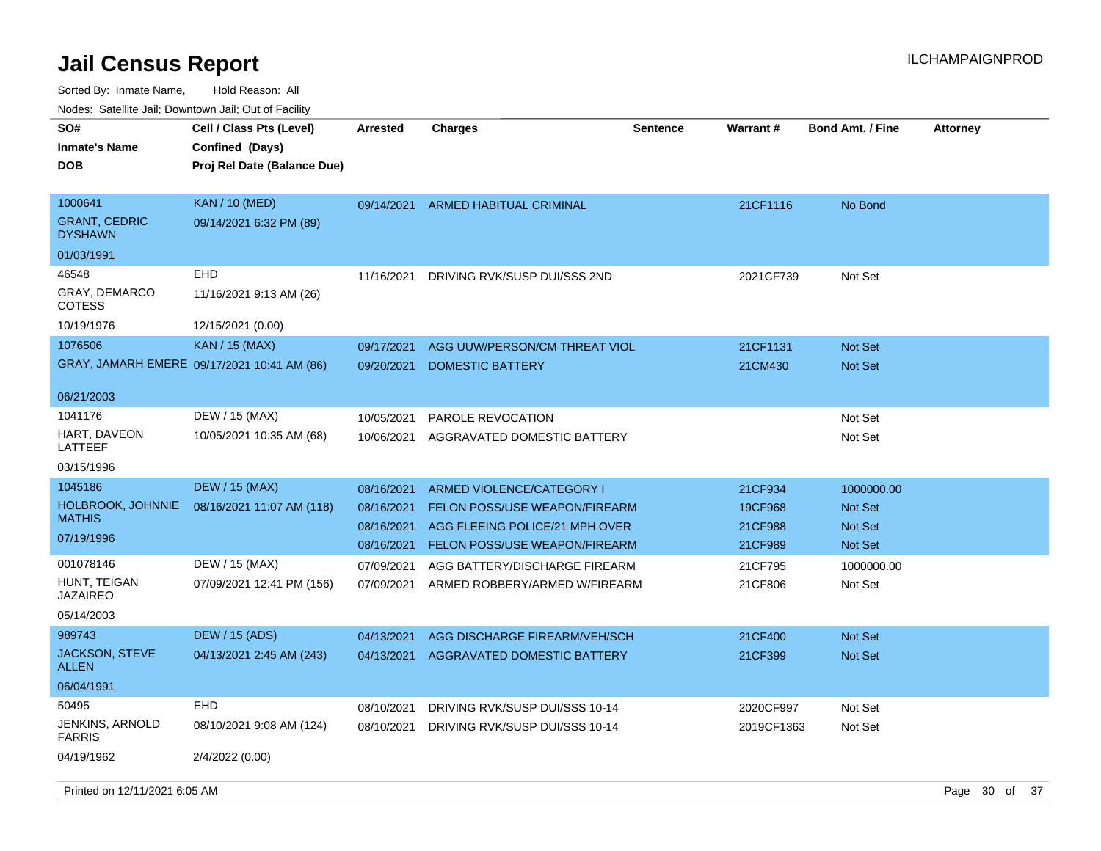| roaco. Catolino dall, Downtown dall, Out of Fability |                                                                            |                          |                                                                 |                 |                    |                                  |                 |
|------------------------------------------------------|----------------------------------------------------------------------------|--------------------------|-----------------------------------------------------------------|-----------------|--------------------|----------------------------------|-----------------|
| SO#<br><b>Inmate's Name</b><br><b>DOB</b>            | Cell / Class Pts (Level)<br>Confined (Days)<br>Proj Rel Date (Balance Due) | Arrested                 | <b>Charges</b>                                                  | <b>Sentence</b> | <b>Warrant#</b>    | <b>Bond Amt. / Fine</b>          | <b>Attorney</b> |
| 1000641<br><b>GRANT, CEDRIC</b><br><b>DYSHAWN</b>    | <b>KAN</b> / 10 (MED)<br>09/14/2021 6:32 PM (89)                           | 09/14/2021               | ARMED HABITUAL CRIMINAL                                         |                 | 21CF1116           | No Bond                          |                 |
| 01/03/1991                                           |                                                                            |                          |                                                                 |                 |                    |                                  |                 |
| 46548                                                | <b>EHD</b>                                                                 | 11/16/2021               | DRIVING RVK/SUSP DUI/SSS 2ND                                    |                 | 2021CF739          | Not Set                          |                 |
| <b>GRAY, DEMARCO</b><br>COTESS                       | 11/16/2021 9:13 AM (26)                                                    |                          |                                                                 |                 |                    |                                  |                 |
| 10/19/1976                                           | 12/15/2021 (0.00)                                                          |                          |                                                                 |                 |                    |                                  |                 |
| 1076506                                              | <b>KAN / 15 (MAX)</b>                                                      | 09/17/2021               | AGG UUW/PERSON/CM THREAT VIOL                                   |                 | 21CF1131           | <b>Not Set</b>                   |                 |
|                                                      | GRAY, JAMARH EMERE 09/17/2021 10:41 AM (86)                                | 09/20/2021               | <b>DOMESTIC BATTERY</b>                                         |                 | 21CM430            | Not Set                          |                 |
| 06/21/2003                                           |                                                                            |                          |                                                                 |                 |                    |                                  |                 |
| 1041176                                              | DEW / 15 (MAX)                                                             | 10/05/2021               | PAROLE REVOCATION                                               |                 |                    | Not Set                          |                 |
| HART, DAVEON<br>LATTEEF                              | 10/05/2021 10:35 AM (68)                                                   | 10/06/2021               | AGGRAVATED DOMESTIC BATTERY                                     |                 |                    | Not Set                          |                 |
| 03/15/1996                                           |                                                                            |                          |                                                                 |                 |                    |                                  |                 |
| 1045186                                              | <b>DEW / 15 (MAX)</b>                                                      | 08/16/2021               | ARMED VIOLENCE/CATEGORY I                                       |                 | 21CF934            | 1000000.00                       |                 |
| <b>HOLBROOK, JOHNNIE</b><br><b>MATHIS</b>            | 08/16/2021 11:07 AM (118)                                                  | 08/16/2021<br>08/16/2021 | FELON POSS/USE WEAPON/FIREARM<br>AGG FLEEING POLICE/21 MPH OVER |                 | 19CF968<br>21CF988 | <b>Not Set</b><br><b>Not Set</b> |                 |
| 07/19/1996                                           |                                                                            | 08/16/2021               | FELON POSS/USE WEAPON/FIREARM                                   |                 | 21CF989            | <b>Not Set</b>                   |                 |
| 001078146                                            | DEW / 15 (MAX)                                                             | 07/09/2021               | AGG BATTERY/DISCHARGE FIREARM                                   |                 | 21CF795            | 1000000.00                       |                 |
| HUNT, TEIGAN<br><b>JAZAIREO</b>                      | 07/09/2021 12:41 PM (156)                                                  | 07/09/2021               | ARMED ROBBERY/ARMED W/FIREARM                                   |                 | 21CF806            | Not Set                          |                 |
| 05/14/2003                                           |                                                                            |                          |                                                                 |                 |                    |                                  |                 |
| 989743                                               | DEW / 15 (ADS)                                                             | 04/13/2021               | AGG DISCHARGE FIREARM/VEH/SCH                                   |                 | 21CF400            | <b>Not Set</b>                   |                 |
| <b>JACKSON, STEVE</b><br>ALLEN                       | 04/13/2021 2:45 AM (243)                                                   | 04/13/2021               | AGGRAVATED DOMESTIC BATTERY                                     |                 | 21CF399            | <b>Not Set</b>                   |                 |
| 06/04/1991                                           |                                                                            |                          |                                                                 |                 |                    |                                  |                 |
| 50495                                                | EHD                                                                        | 08/10/2021               | DRIVING RVK/SUSP DUI/SSS 10-14                                  |                 | 2020CF997          | Not Set                          |                 |
| <b>JENKINS, ARNOLD</b><br><b>FARRIS</b>              | 08/10/2021 9:08 AM (124)                                                   | 08/10/2021               | DRIVING RVK/SUSP DUI/SSS 10-14                                  |                 | 2019CF1363         | Not Set                          |                 |
| 04/19/1962                                           | 2/4/2022 (0.00)                                                            |                          |                                                                 |                 |                    |                                  |                 |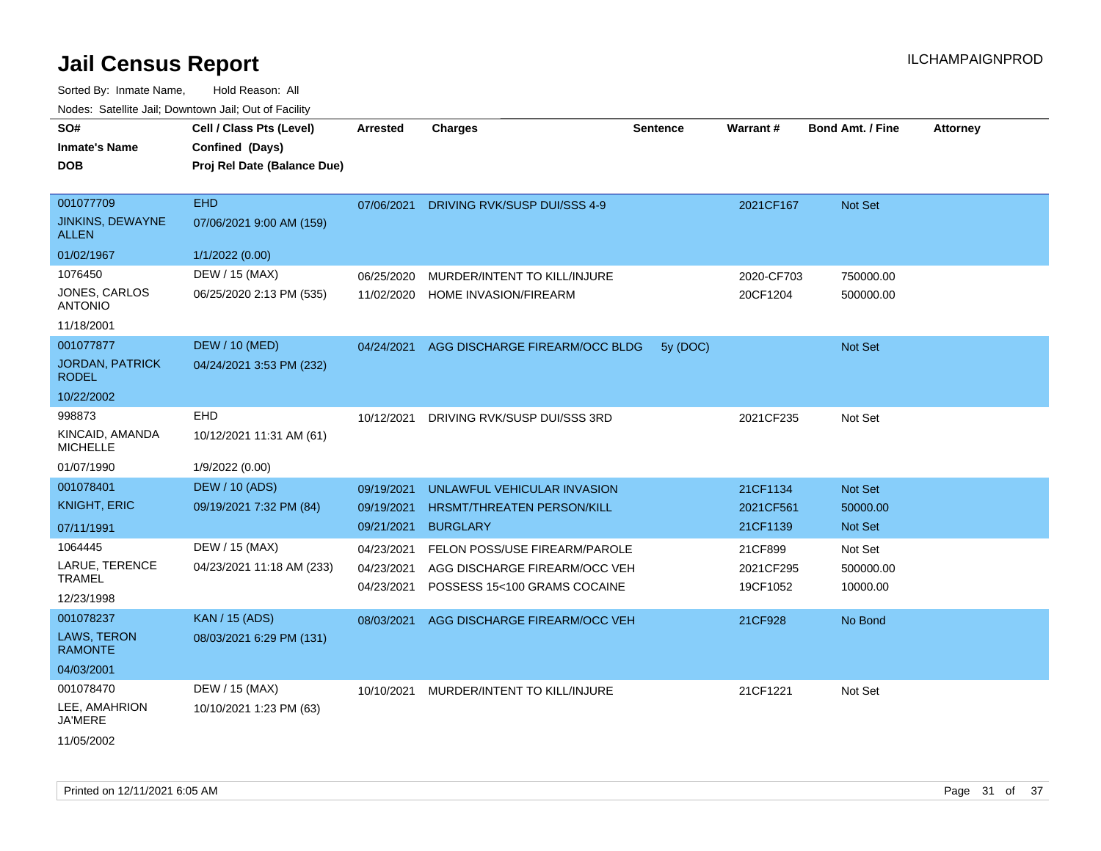Sorted By: Inmate Name, Hold Reason: All

| oonoa Dy: Inimato Ramo,<br>Nodes: Satellite Jail; Downtown Jail; Out of Facility |                             |                 |                                |                 |            |                         |                 |
|----------------------------------------------------------------------------------|-----------------------------|-----------------|--------------------------------|-----------------|------------|-------------------------|-----------------|
| SO#                                                                              | Cell / Class Pts (Level)    | <b>Arrested</b> | <b>Charges</b>                 | <b>Sentence</b> | Warrant#   | <b>Bond Amt. / Fine</b> | <b>Attorney</b> |
| <b>Inmate's Name</b>                                                             | Confined (Days)             |                 |                                |                 |            |                         |                 |
|                                                                                  |                             |                 |                                |                 |            |                         |                 |
| <b>DOB</b>                                                                       | Proj Rel Date (Balance Due) |                 |                                |                 |            |                         |                 |
| 001077709                                                                        | <b>EHD</b>                  |                 |                                |                 |            |                         |                 |
|                                                                                  |                             | 07/06/2021      | DRIVING RVK/SUSP DUI/SSS 4-9   |                 | 2021CF167  | Not Set                 |                 |
| <b>JINKINS, DEWAYNE</b><br><b>ALLEN</b>                                          | 07/06/2021 9:00 AM (159)    |                 |                                |                 |            |                         |                 |
| 01/02/1967                                                                       | 1/1/2022 (0.00)             |                 |                                |                 |            |                         |                 |
| 1076450                                                                          | DEW / 15 (MAX)              | 06/25/2020      | MURDER/INTENT TO KILL/INJURE   |                 | 2020-CF703 | 750000.00               |                 |
| JONES, CARLOS<br><b>ANTONIO</b>                                                  | 06/25/2020 2:13 PM (535)    | 11/02/2020      | <b>HOME INVASION/FIREARM</b>   |                 | 20CF1204   | 500000.00               |                 |
| 11/18/2001                                                                       |                             |                 |                                |                 |            |                         |                 |
| 001077877                                                                        | <b>DEW / 10 (MED)</b>       | 04/24/2021      | AGG DISCHARGE FIREARM/OCC BLDG | 5y (DOC)        |            | Not Set                 |                 |
| <b>JORDAN, PATRICK</b><br><b>RODEL</b>                                           | 04/24/2021 3:53 PM (232)    |                 |                                |                 |            |                         |                 |
| 10/22/2002                                                                       |                             |                 |                                |                 |            |                         |                 |
| 998873                                                                           | EHD                         | 10/12/2021      | DRIVING RVK/SUSP DUI/SSS 3RD   |                 | 2021CF235  | Not Set                 |                 |
| KINCAID, AMANDA<br><b>MICHELLE</b>                                               | 10/12/2021 11:31 AM (61)    |                 |                                |                 |            |                         |                 |
| 01/07/1990                                                                       | 1/9/2022 (0.00)             |                 |                                |                 |            |                         |                 |
| 001078401                                                                        | <b>DEW / 10 (ADS)</b>       | 09/19/2021      | UNLAWFUL VEHICULAR INVASION    |                 | 21CF1134   | <b>Not Set</b>          |                 |
| <b>KNIGHT, ERIC</b>                                                              | 09/19/2021 7:32 PM (84)     | 09/19/2021      | HRSMT/THREATEN PERSON/KILL     |                 | 2021CF561  | 50000.00                |                 |
| 07/11/1991                                                                       |                             | 09/21/2021      | <b>BURGLARY</b>                |                 | 21CF1139   | <b>Not Set</b>          |                 |
| 1064445                                                                          | DEW / 15 (MAX)              | 04/23/2021      | FELON POSS/USE FIREARM/PAROLE  |                 | 21CF899    | Not Set                 |                 |
| LARUE, TERENCE                                                                   | 04/23/2021 11:18 AM (233)   | 04/23/2021      | AGG DISCHARGE FIREARM/OCC VEH  |                 | 2021CF295  | 500000.00               |                 |
| <b>TRAMEL</b>                                                                    |                             | 04/23/2021      | POSSESS 15<100 GRAMS COCAINE   |                 | 19CF1052   | 10000.00                |                 |
| 12/23/1998                                                                       |                             |                 |                                |                 |            |                         |                 |
| 001078237                                                                        | <b>KAN / 15 (ADS)</b>       | 08/03/2021      | AGG DISCHARGE FIREARM/OCC VEH  |                 | 21CF928    | No Bond                 |                 |
| LAWS, TERON<br><b>RAMONTE</b>                                                    | 08/03/2021 6:29 PM (131)    |                 |                                |                 |            |                         |                 |
| 04/03/2001                                                                       |                             |                 |                                |                 |            |                         |                 |
| 001078470                                                                        | DEW / 15 (MAX)              | 10/10/2021      | MURDER/INTENT TO KILL/INJURE   |                 | 21CF1221   | Not Set                 |                 |
| LEE, AMAHRION<br>JA'MERE                                                         | 10/10/2021 1:23 PM (63)     |                 |                                |                 |            |                         |                 |

11/05/2002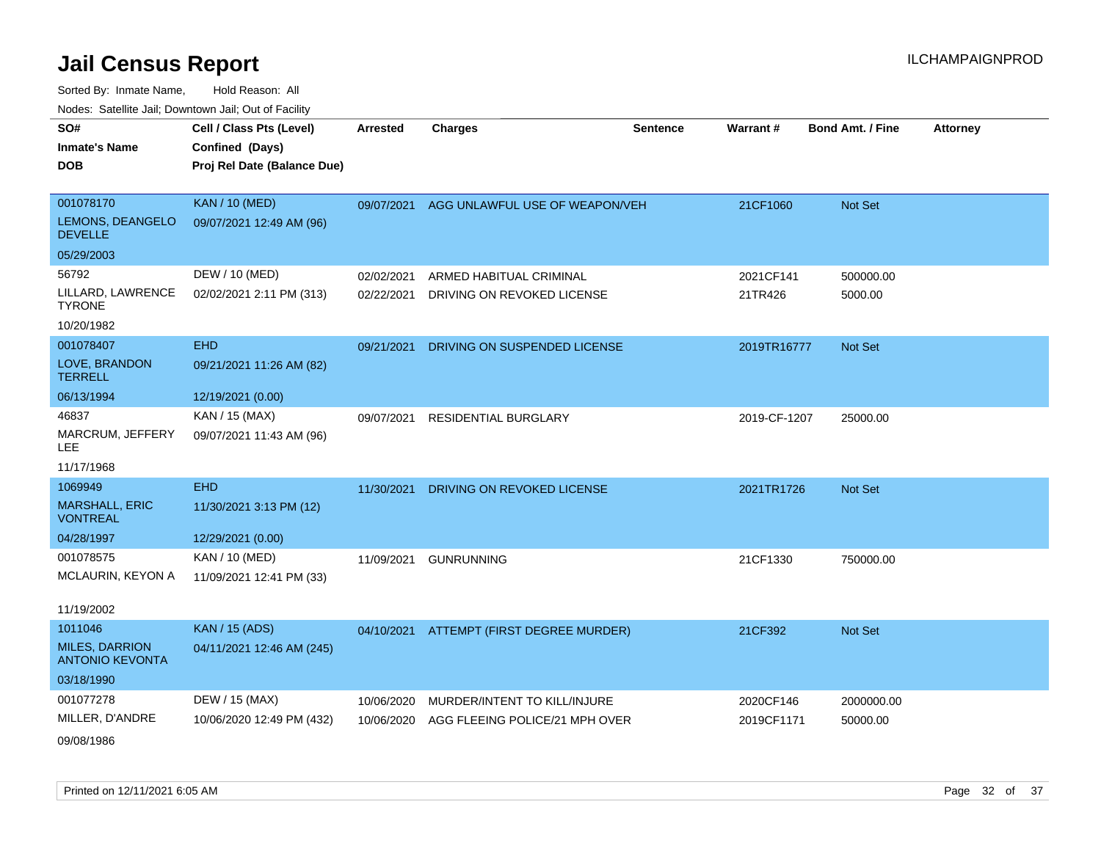| SO#                                             | Cell / Class Pts (Level)    | <b>Arrested</b> | <b>Charges</b>                           | <b>Sentence</b> | Warrant#     | <b>Bond Amt. / Fine</b> | <b>Attorney</b> |
|-------------------------------------------------|-----------------------------|-----------------|------------------------------------------|-----------------|--------------|-------------------------|-----------------|
| <b>Inmate's Name</b>                            | Confined (Days)             |                 |                                          |                 |              |                         |                 |
| <b>DOB</b>                                      | Proj Rel Date (Balance Due) |                 |                                          |                 |              |                         |                 |
|                                                 |                             |                 |                                          |                 |              |                         |                 |
| 001078170                                       | <b>KAN / 10 (MED)</b>       | 09/07/2021      | AGG UNLAWFUL USE OF WEAPON/VEH           |                 | 21CF1060     | Not Set                 |                 |
| LEMONS, DEANGELO<br><b>DEVELLE</b>              | 09/07/2021 12:49 AM (96)    |                 |                                          |                 |              |                         |                 |
| 05/29/2003                                      |                             |                 |                                          |                 |              |                         |                 |
| 56792                                           | DEW / 10 (MED)              | 02/02/2021      | ARMED HABITUAL CRIMINAL                  |                 | 2021CF141    | 500000.00               |                 |
| LILLARD, LAWRENCE<br><b>TYRONE</b>              | 02/02/2021 2:11 PM (313)    | 02/22/2021      | DRIVING ON REVOKED LICENSE               |                 | 21TR426      | 5000.00                 |                 |
| 10/20/1982                                      |                             |                 |                                          |                 |              |                         |                 |
| 001078407                                       | <b>EHD</b>                  | 09/21/2021      | DRIVING ON SUSPENDED LICENSE             |                 | 2019TR16777  | Not Set                 |                 |
| LOVE, BRANDON<br><b>TERRELL</b>                 | 09/21/2021 11:26 AM (82)    |                 |                                          |                 |              |                         |                 |
| 06/13/1994                                      | 12/19/2021 (0.00)           |                 |                                          |                 |              |                         |                 |
| 46837                                           | KAN / 15 (MAX)              | 09/07/2021      | <b>RESIDENTIAL BURGLARY</b>              |                 | 2019-CF-1207 | 25000.00                |                 |
| MARCRUM, JEFFERY<br>LEE.                        | 09/07/2021 11:43 AM (96)    |                 |                                          |                 |              |                         |                 |
| 11/17/1968                                      |                             |                 |                                          |                 |              |                         |                 |
| 1069949                                         | <b>EHD</b>                  | 11/30/2021      | DRIVING ON REVOKED LICENSE               |                 | 2021TR1726   | <b>Not Set</b>          |                 |
| <b>MARSHALL, ERIC</b><br><b>VONTREAL</b>        | 11/30/2021 3:13 PM (12)     |                 |                                          |                 |              |                         |                 |
| 04/28/1997                                      | 12/29/2021 (0.00)           |                 |                                          |                 |              |                         |                 |
| 001078575                                       | KAN / 10 (MED)              | 11/09/2021      | <b>GUNRUNNING</b>                        |                 | 21CF1330     | 750000.00               |                 |
| MCLAURIN, KEYON A                               | 11/09/2021 12:41 PM (33)    |                 |                                          |                 |              |                         |                 |
| 11/19/2002                                      |                             |                 |                                          |                 |              |                         |                 |
| 1011046                                         | <b>KAN</b> / 15 (ADS)       |                 | 04/10/2021 ATTEMPT (FIRST DEGREE MURDER) |                 | 21CF392      | Not Set                 |                 |
| <b>MILES, DARRION</b><br><b>ANTONIO KEVONTA</b> | 04/11/2021 12:46 AM (245)   |                 |                                          |                 |              |                         |                 |
| 03/18/1990                                      |                             |                 |                                          |                 |              |                         |                 |
| 001077278                                       | DEW / 15 (MAX)              | 10/06/2020      | MURDER/INTENT TO KILL/INJURE             |                 | 2020CF146    | 2000000.00              |                 |
| MILLER, D'ANDRE                                 | 10/06/2020 12:49 PM (432)   | 10/06/2020      | AGG FLEEING POLICE/21 MPH OVER           |                 | 2019CF1171   | 50000.00                |                 |
| 09/08/1986                                      |                             |                 |                                          |                 |              |                         |                 |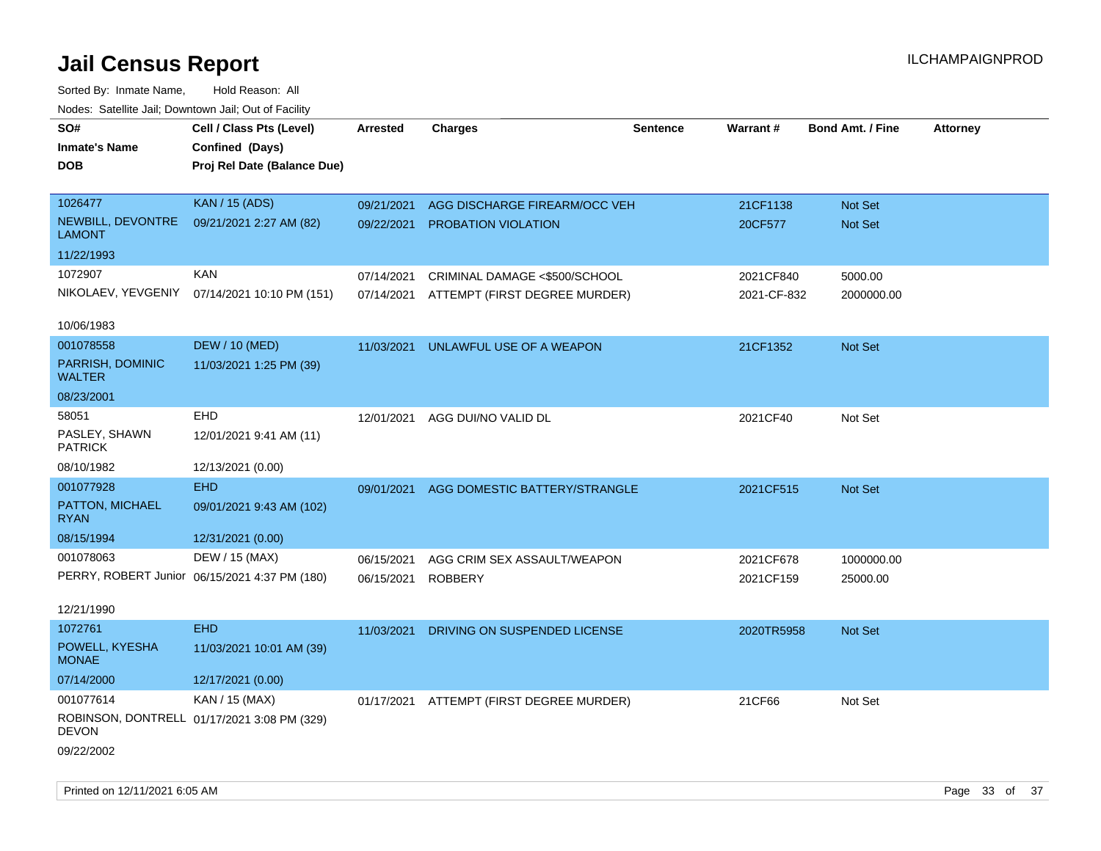| rouco. Calcillo Jali, Downtown Jali, Out of Facility |                                               |                 |                                          |          |             |                         |                 |
|------------------------------------------------------|-----------------------------------------------|-----------------|------------------------------------------|----------|-------------|-------------------------|-----------------|
| SO#<br><b>Inmate's Name</b>                          | Cell / Class Pts (Level)<br>Confined (Days)   | <b>Arrested</b> | <b>Charges</b>                           | Sentence | Warrant#    | <b>Bond Amt. / Fine</b> | <b>Attorney</b> |
| DOB                                                  | Proj Rel Date (Balance Due)                   |                 |                                          |          |             |                         |                 |
|                                                      |                                               |                 |                                          |          |             |                         |                 |
| 1026477                                              | <b>KAN / 15 (ADS)</b>                         | 09/21/2021      | AGG DISCHARGE FIREARM/OCC VEH            |          | 21CF1138    | Not Set                 |                 |
| NEWBILL, DEVONTRE<br><b>LAMONT</b>                   | 09/21/2021 2:27 AM (82)                       | 09/22/2021      | PROBATION VIOLATION                      |          | 20CF577     | Not Set                 |                 |
| 11/22/1993                                           |                                               |                 |                                          |          |             |                         |                 |
| 1072907                                              | KAN                                           | 07/14/2021      | CRIMINAL DAMAGE <\$500/SCHOOL            |          | 2021CF840   | 5000.00                 |                 |
|                                                      | NIKOLAEV, YEVGENIY 07/14/2021 10:10 PM (151)  | 07/14/2021      | ATTEMPT (FIRST DEGREE MURDER)            |          | 2021-CF-832 | 2000000.00              |                 |
| 10/06/1983                                           |                                               |                 |                                          |          |             |                         |                 |
| 001078558                                            | <b>DEW / 10 (MED)</b>                         | 11/03/2021      | UNLAWFUL USE OF A WEAPON                 |          | 21CF1352    | Not Set                 |                 |
| PARRISH, DOMINIC<br><b>WALTER</b>                    | 11/03/2021 1:25 PM (39)                       |                 |                                          |          |             |                         |                 |
| 08/23/2001                                           |                                               |                 |                                          |          |             |                         |                 |
| 58051                                                | <b>EHD</b>                                    | 12/01/2021      | AGG DUI/NO VALID DL                      |          | 2021CF40    | Not Set                 |                 |
| PASLEY, SHAWN<br><b>PATRICK</b>                      | 12/01/2021 9:41 AM (11)                       |                 |                                          |          |             |                         |                 |
| 08/10/1982                                           | 12/13/2021 (0.00)                             |                 |                                          |          |             |                         |                 |
| 001077928                                            | <b>EHD</b>                                    | 09/01/2021      | AGG DOMESTIC BATTERY/STRANGLE            |          | 2021CF515   | Not Set                 |                 |
| PATTON, MICHAEL<br><b>RYAN</b>                       | 09/01/2021 9:43 AM (102)                      |                 |                                          |          |             |                         |                 |
| 08/15/1994                                           | 12/31/2021 (0.00)                             |                 |                                          |          |             |                         |                 |
| 001078063                                            | DEW / 15 (MAX)                                | 06/15/2021      | AGG CRIM SEX ASSAULT/WEAPON              |          | 2021CF678   | 1000000.00              |                 |
|                                                      | PERRY, ROBERT Junior 06/15/2021 4:37 PM (180) | 06/15/2021      | <b>ROBBERY</b>                           |          | 2021CF159   | 25000.00                |                 |
| 12/21/1990                                           |                                               |                 |                                          |          |             |                         |                 |
| 1072761                                              | <b>EHD</b>                                    | 11/03/2021      | DRIVING ON SUSPENDED LICENSE             |          | 2020TR5958  | <b>Not Set</b>          |                 |
| POWELL, KYESHA                                       | 11/03/2021 10:01 AM (39)                      |                 |                                          |          |             |                         |                 |
| <b>MONAE</b>                                         |                                               |                 |                                          |          |             |                         |                 |
| 07/14/2000                                           | 12/17/2021 (0.00)                             |                 |                                          |          |             |                         |                 |
| 001077614                                            | KAN / 15 (MAX)                                |                 | 01/17/2021 ATTEMPT (FIRST DEGREE MURDER) |          | 21CF66      | Not Set                 |                 |
| DEVON                                                | ROBINSON, DONTRELL 01/17/2021 3:08 PM (329)   |                 |                                          |          |             |                         |                 |
| 09/22/2002                                           |                                               |                 |                                          |          |             |                         |                 |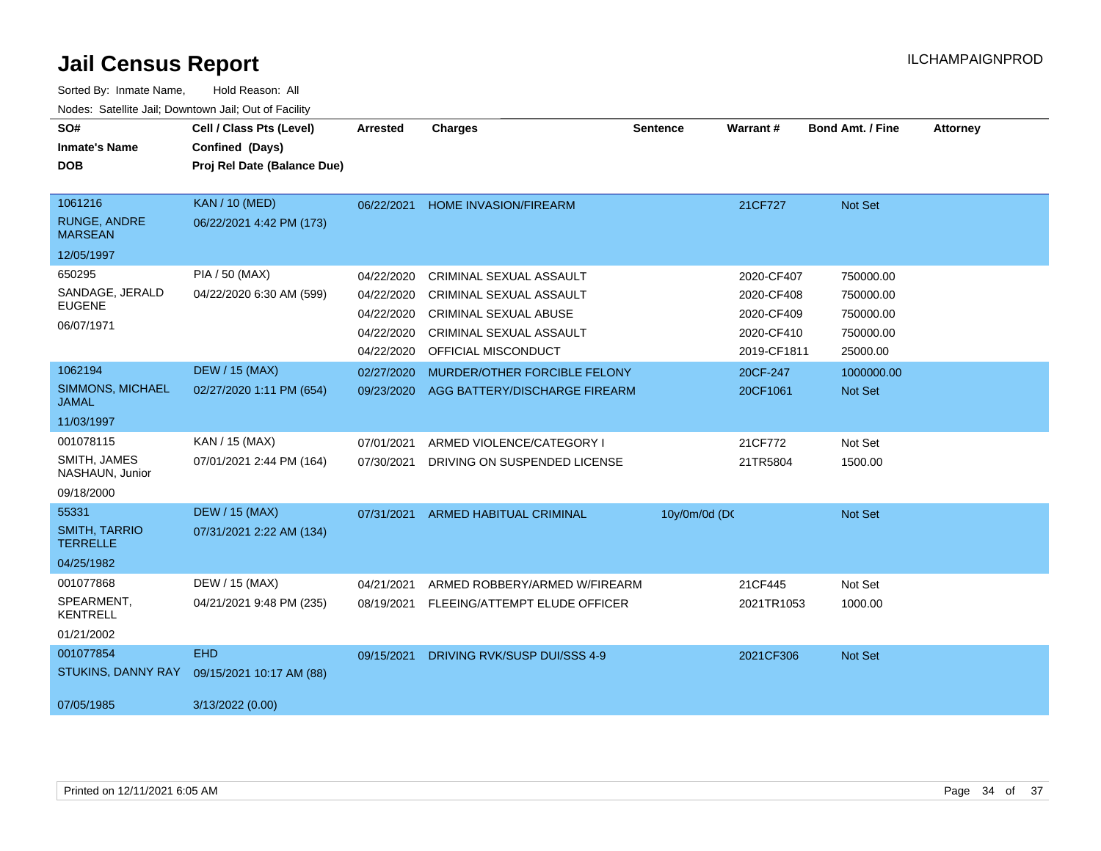| SO#<br><b>Inmate's Name</b><br><b>DOB</b>                        | Cell / Class Pts (Level)<br>Confined (Days)<br>Proj Rel Date (Balance Due) | <b>Arrested</b>                                                    | <b>Charges</b>                                                                                                                              | <b>Sentence</b> | Warrant#                                                            | <b>Bond Amt. / Fine</b>                                      | <b>Attorney</b> |
|------------------------------------------------------------------|----------------------------------------------------------------------------|--------------------------------------------------------------------|---------------------------------------------------------------------------------------------------------------------------------------------|-----------------|---------------------------------------------------------------------|--------------------------------------------------------------|-----------------|
| 1061216<br><b>RUNGE, ANDRE</b><br><b>MARSEAN</b><br>12/05/1997   | <b>KAN / 10 (MED)</b><br>06/22/2021 4:42 PM (173)                          | 06/22/2021                                                         | <b>HOME INVASION/FIREARM</b>                                                                                                                |                 | 21CF727                                                             | Not Set                                                      |                 |
| 650295<br>SANDAGE, JERALD<br><b>EUGENE</b><br>06/07/1971         | PIA / 50 (MAX)<br>04/22/2020 6:30 AM (599)                                 | 04/22/2020<br>04/22/2020<br>04/22/2020<br>04/22/2020<br>04/22/2020 | CRIMINAL SEXUAL ASSAULT<br>CRIMINAL SEXUAL ASSAULT<br><b>CRIMINAL SEXUAL ABUSE</b><br>CRIMINAL SEXUAL ASSAULT<br><b>OFFICIAL MISCONDUCT</b> |                 | 2020-CF407<br>2020-CF408<br>2020-CF409<br>2020-CF410<br>2019-CF1811 | 750000.00<br>750000.00<br>750000.00<br>750000.00<br>25000.00 |                 |
| 1062194<br><b>SIMMONS, MICHAEL</b><br><b>JAMAL</b><br>11/03/1997 | <b>DEW / 15 (MAX)</b><br>02/27/2020 1:11 PM (654)                          | 02/27/2020<br>09/23/2020                                           | MURDER/OTHER FORCIBLE FELONY<br>AGG BATTERY/DISCHARGE FIREARM                                                                               |                 | 20CF-247<br>20CF1061                                                | 1000000.00<br><b>Not Set</b>                                 |                 |
| 001078115<br>SMITH, JAMES<br>NASHAUN, Junior<br>09/18/2000       | KAN / 15 (MAX)<br>07/01/2021 2:44 PM (164)                                 | 07/01/2021<br>07/30/2021                                           | ARMED VIOLENCE/CATEGORY I<br>DRIVING ON SUSPENDED LICENSE                                                                                   |                 | 21CF772<br>21TR5804                                                 | Not Set<br>1500.00                                           |                 |
| 55331<br><b>SMITH, TARRIO</b><br><b>TERRELLE</b><br>04/25/1982   | <b>DEW / 15 (MAX)</b><br>07/31/2021 2:22 AM (134)                          | 07/31/2021                                                         | <b>ARMED HABITUAL CRIMINAL</b>                                                                                                              | 10y/0m/0d (DC   |                                                                     | Not Set                                                      |                 |
| 001077868<br>SPEARMENT.<br><b>KENTRELL</b><br>01/21/2002         | DEW / 15 (MAX)<br>04/21/2021 9:48 PM (235)                                 | 04/21/2021<br>08/19/2021                                           | ARMED ROBBERY/ARMED W/FIREARM<br>FLEEING/ATTEMPT ELUDE OFFICER                                                                              |                 | 21CF445<br>2021TR1053                                               | Not Set<br>1000.00                                           |                 |
| 001077854<br>STUKINS, DANNY RAY<br>07/05/1985                    | <b>EHD</b><br>09/15/2021 10:17 AM (88)<br>3/13/2022 (0.00)                 | 09/15/2021                                                         | DRIVING RVK/SUSP DUI/SSS 4-9                                                                                                                |                 | 2021CF306                                                           | <b>Not Set</b>                                               |                 |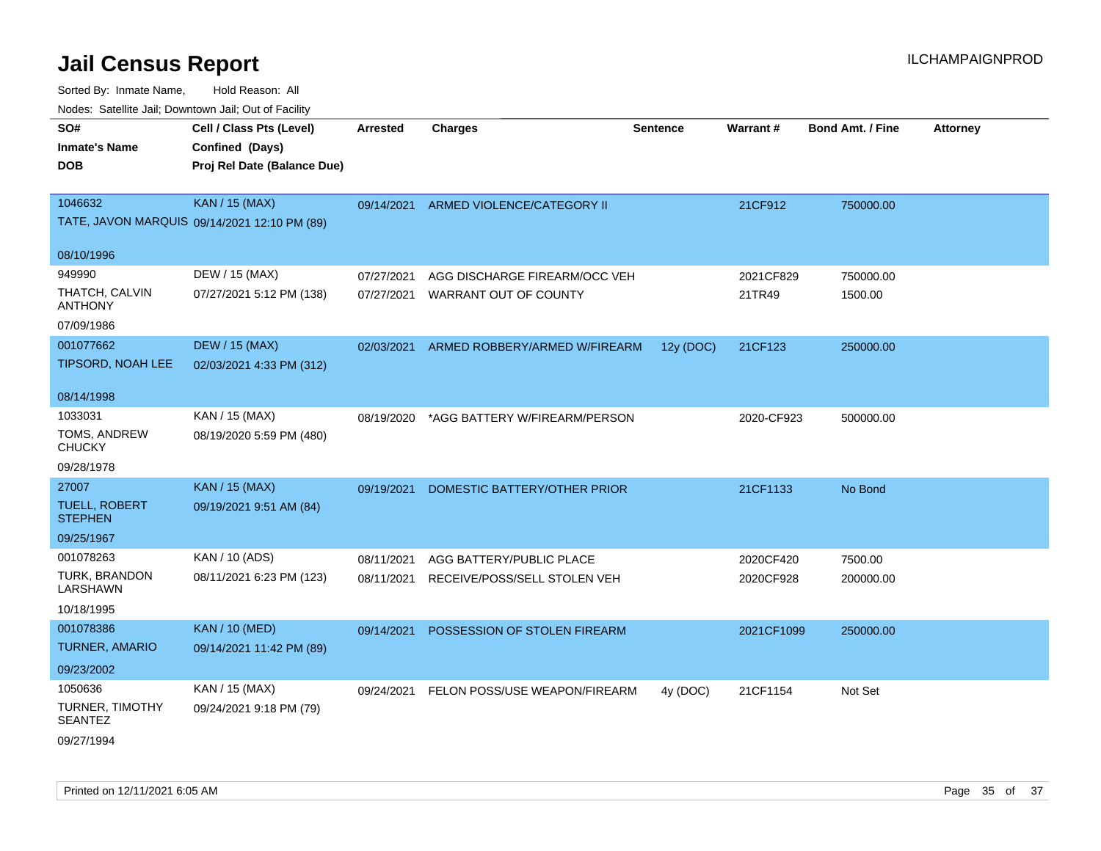| roaco. Oatomto dan, Downtown dan, Oat or Fability |                                                                            |                 |                               |                 |            |                         |                 |
|---------------------------------------------------|----------------------------------------------------------------------------|-----------------|-------------------------------|-----------------|------------|-------------------------|-----------------|
| SO#<br>Inmate's Name<br><b>DOB</b>                | Cell / Class Pts (Level)<br>Confined (Days)<br>Proj Rel Date (Balance Due) | <b>Arrested</b> | <b>Charges</b>                | <b>Sentence</b> | Warrant#   | <b>Bond Amt. / Fine</b> | <b>Attorney</b> |
| 1046632                                           | <b>KAN / 15 (MAX)</b><br>TATE, JAVON MARQUIS 09/14/2021 12:10 PM (89)      | 09/14/2021      | ARMED VIOLENCE/CATEGORY II    |                 | 21CF912    | 750000.00               |                 |
| 08/10/1996                                        |                                                                            |                 |                               |                 |            |                         |                 |
| 949990                                            | DEW / 15 (MAX)                                                             | 07/27/2021      | AGG DISCHARGE FIREARM/OCC VEH |                 | 2021CF829  | 750000.00               |                 |
| THATCH, CALVIN<br><b>ANTHONY</b>                  | 07/27/2021 5:12 PM (138)                                                   | 07/27/2021      | WARRANT OUT OF COUNTY         |                 | 21TR49     | 1500.00                 |                 |
| 07/09/1986                                        |                                                                            |                 |                               |                 |            |                         |                 |
| 001077662                                         | <b>DEW / 15 (MAX)</b>                                                      | 02/03/2021      | ARMED ROBBERY/ARMED W/FIREARM | 12y (DOC)       | 21CF123    | 250000.00               |                 |
| TIPSORD, NOAH LEE                                 | 02/03/2021 4:33 PM (312)                                                   |                 |                               |                 |            |                         |                 |
| 08/14/1998                                        |                                                                            |                 |                               |                 |            |                         |                 |
| 1033031                                           | KAN / 15 (MAX)                                                             | 08/19/2020      | *AGG BATTERY W/FIREARM/PERSON |                 | 2020-CF923 | 500000.00               |                 |
| TOMS, ANDREW<br><b>CHUCKY</b>                     | 08/19/2020 5:59 PM (480)                                                   |                 |                               |                 |            |                         |                 |
| 09/28/1978                                        |                                                                            |                 |                               |                 |            |                         |                 |
| 27007                                             | <b>KAN / 15 (MAX)</b>                                                      | 09/19/2021      | DOMESTIC BATTERY/OTHER PRIOR  |                 | 21CF1133   | No Bond                 |                 |
| <b>TUELL, ROBERT</b><br><b>STEPHEN</b>            | 09/19/2021 9:51 AM (84)                                                    |                 |                               |                 |            |                         |                 |
| 09/25/1967                                        |                                                                            |                 |                               |                 |            |                         |                 |
| 001078263                                         | KAN / 10 (ADS)                                                             | 08/11/2021      | AGG BATTERY/PUBLIC PLACE      |                 | 2020CF420  | 7500.00                 |                 |
| <b>TURK, BRANDON</b><br>LARSHAWN                  | 08/11/2021 6:23 PM (123)                                                   | 08/11/2021      | RECEIVE/POSS/SELL STOLEN VEH  |                 | 2020CF928  | 200000.00               |                 |
| 10/18/1995                                        |                                                                            |                 |                               |                 |            |                         |                 |
| 001078386                                         | <b>KAN / 10 (MED)</b>                                                      | 09/14/2021      | POSSESSION OF STOLEN FIREARM  |                 | 2021CF1099 | 250000.00               |                 |
| <b>TURNER, AMARIO</b>                             | 09/14/2021 11:42 PM (89)                                                   |                 |                               |                 |            |                         |                 |
| 09/23/2002                                        |                                                                            |                 |                               |                 |            |                         |                 |
| 1050636                                           | KAN / 15 (MAX)                                                             | 09/24/2021      | FELON POSS/USE WEAPON/FIREARM | 4y (DOC)        | 21CF1154   | Not Set                 |                 |
| <b>TURNER, TIMOTHY</b><br><b>SEANTEZ</b>          | 09/24/2021 9:18 PM (79)                                                    |                 |                               |                 |            |                         |                 |
| 09/27/1994                                        |                                                                            |                 |                               |                 |            |                         |                 |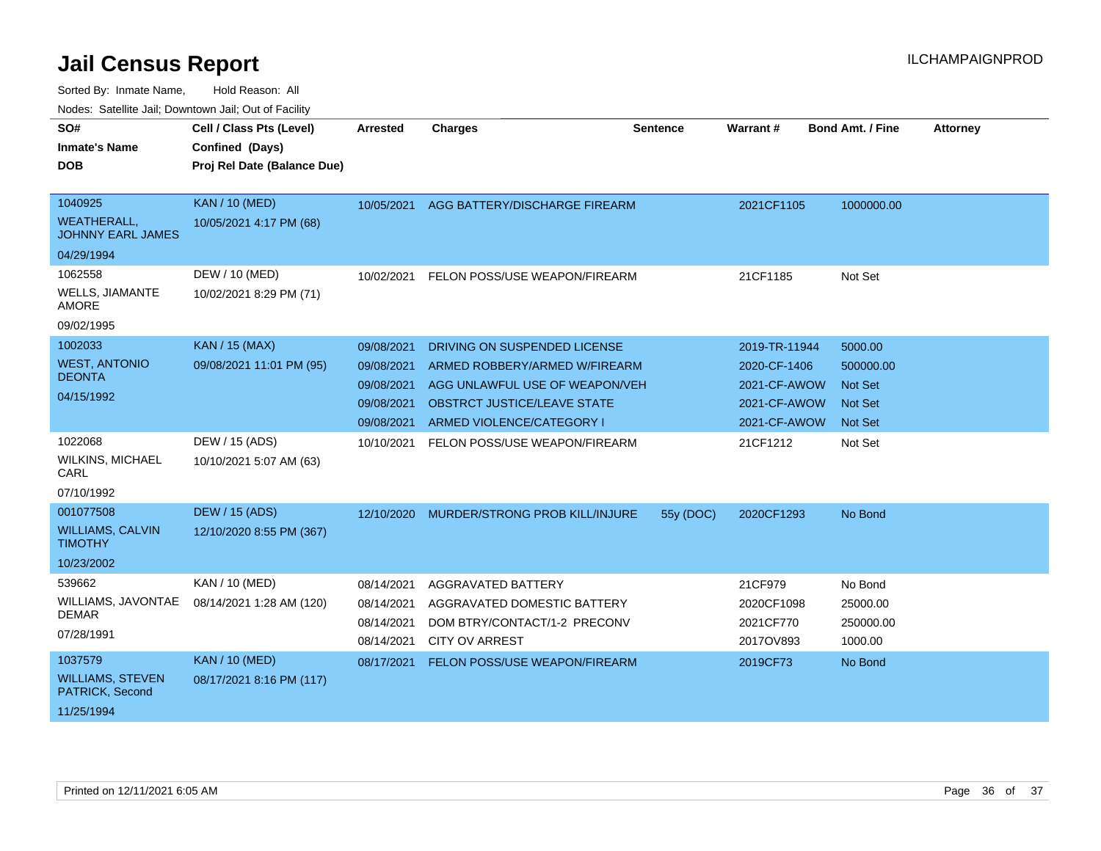| SO#<br><b>Inmate's Name</b>                    | Cell / Class Pts (Level)<br>Confined (Days) | Arrested                 | <b>Charges</b>                                              | <b>Sentence</b> | Warrant #               | <b>Bond Amt. / Fine</b> | <b>Attorney</b> |
|------------------------------------------------|---------------------------------------------|--------------------------|-------------------------------------------------------------|-----------------|-------------------------|-------------------------|-----------------|
| <b>DOB</b>                                     | Proj Rel Date (Balance Due)                 |                          |                                                             |                 |                         |                         |                 |
|                                                |                                             |                          |                                                             |                 |                         |                         |                 |
| 1040925                                        | <b>KAN / 10 (MED)</b>                       | 10/05/2021               | AGG BATTERY/DISCHARGE FIREARM                               |                 | 2021CF1105              | 1000000.00              |                 |
| <b>WEATHERALL.</b><br><b>JOHNNY EARL JAMES</b> | 10/05/2021 4:17 PM (68)                     |                          |                                                             |                 |                         |                         |                 |
| 04/29/1994                                     |                                             |                          |                                                             |                 |                         |                         |                 |
| 1062558                                        | DEW / 10 (MED)                              | 10/02/2021               | FELON POSS/USE WEAPON/FIREARM                               |                 | 21CF1185                | Not Set                 |                 |
| <b>WELLS, JIAMANTE</b><br><b>AMORE</b>         | 10/02/2021 8:29 PM (71)                     |                          |                                                             |                 |                         |                         |                 |
| 09/02/1995                                     |                                             |                          |                                                             |                 |                         |                         |                 |
| 1002033                                        | <b>KAN / 15 (MAX)</b>                       | 09/08/2021               | DRIVING ON SUSPENDED LICENSE                                |                 | 2019-TR-11944           | 5000.00                 |                 |
| <b>WEST, ANTONIO</b><br><b>DEONTA</b>          | 09/08/2021 11:01 PM (95)                    | 09/08/2021               | ARMED ROBBERY/ARMED W/FIREARM                               |                 | 2020-CF-1406            | 500000.00               |                 |
|                                                |                                             | 09/08/2021               | AGG UNLAWFUL USE OF WEAPON/VEH                              |                 | 2021-CF-AWOW            | <b>Not Set</b>          |                 |
| 04/15/1992                                     |                                             | 09/08/2021               | OBSTRCT JUSTICE/LEAVE STATE                                 |                 | 2021-CF-AWOW            | <b>Not Set</b>          |                 |
|                                                |                                             | 09/08/2021               | ARMED VIOLENCE/CATEGORY I                                   |                 | 2021-CF-AWOW            | Not Set                 |                 |
| 1022068                                        | DEW / 15 (ADS)                              | 10/10/2021               | FELON POSS/USE WEAPON/FIREARM                               |                 | 21CF1212                | Not Set                 |                 |
| WILKINS, MICHAEL<br>CARL                       | 10/10/2021 5:07 AM (63)                     |                          |                                                             |                 |                         |                         |                 |
| 07/10/1992                                     |                                             |                          |                                                             |                 |                         |                         |                 |
| 001077508                                      | <b>DEW / 15 (ADS)</b>                       | 12/10/2020               | MURDER/STRONG PROB KILL/INJURE                              | 55y (DOC)       | 2020CF1293              | No Bond                 |                 |
| <b>WILLIAMS, CALVIN</b><br><b>TIMOTHY</b>      | 12/10/2020 8:55 PM (367)                    |                          |                                                             |                 |                         |                         |                 |
| 10/23/2002                                     |                                             |                          |                                                             |                 |                         |                         |                 |
| 539662                                         | KAN / 10 (MED)                              | 08/14/2021               | AGGRAVATED BATTERY                                          |                 | 21CF979                 | No Bond                 |                 |
| WILLIAMS, JAVONTAE<br><b>DEMAR</b>             | 08/14/2021 1:28 AM (120)                    | 08/14/2021<br>08/14/2021 | AGGRAVATED DOMESTIC BATTERY<br>DOM BTRY/CONTACT/1-2 PRECONV |                 | 2020CF1098<br>2021CF770 | 25000.00<br>250000.00   |                 |
| 07/28/1991                                     |                                             | 08/14/2021               | <b>CITY OV ARREST</b>                                       |                 | 2017OV893               | 1000.00                 |                 |
| 1037579                                        | <b>KAN / 10 (MED)</b>                       | 08/17/2021               | FELON POSS/USE WEAPON/FIREARM                               |                 | 2019CF73                | No Bond                 |                 |
| <b>WILLIAMS, STEVEN</b><br>PATRICK, Second     | 08/17/2021 8:16 PM (117)                    |                          |                                                             |                 |                         |                         |                 |
| 11/25/1994                                     |                                             |                          |                                                             |                 |                         |                         |                 |